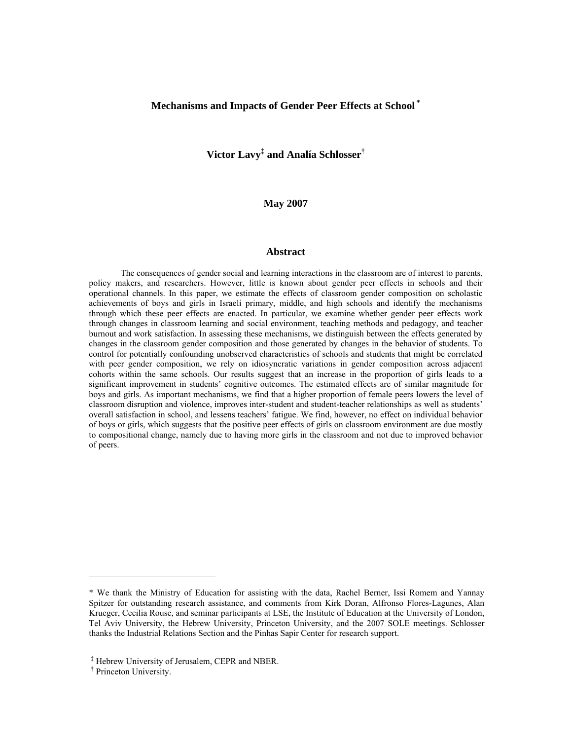# **Mechanisms and Impacts of Gender Peer Effects at School \***

**Victor Lavy‡ and Analía Schlosser†**

**May 2007** 

## **Abstract**

The consequences of gender social and learning interactions in the classroom are of interest to parents, policy makers, and researchers. However, little is known about gender peer effects in schools and their operational channels. In this paper, we estimate the effects of classroom gender composition on scholastic achievements of boys and girls in Israeli primary, middle, and high schools and identify the mechanisms through which these peer effects are enacted. In particular, we examine whether gender peer effects work through changes in classroom learning and social environment, teaching methods and pedagogy, and teacher burnout and work satisfaction. In assessing these mechanisms, we distinguish between the effects generated by changes in the classroom gender composition and those generated by changes in the behavior of students. To control for potentially confounding unobserved characteristics of schools and students that might be correlated with peer gender composition, we rely on idiosyncratic variations in gender composition across adjacent cohorts within the same schools. Our results suggest that an increase in the proportion of girls leads to a significant improvement in students' cognitive outcomes. The estimated effects are of similar magnitude for boys and girls. As important mechanisms, we find that a higher proportion of female peers lowers the level of classroom disruption and violence, improves inter-student and student-teacher relationships as well as students' overall satisfaction in school, and lessens teachers' fatigue. We find, however, no effect on individual behavior of boys or girls, which suggests that the positive peer effects of girls on classroom environment are due mostly to compositional change, namely due to having more girls in the classroom and not due to improved behavior of peers.

 $\overline{a}$ 

<sup>\*</sup> We thank the Ministry of Education for assisting with the data, Rachel Berner, Issi Romem and Yannay Spitzer for outstanding research assistance, and comments from Kirk Doran, Alfronso Flores-Lagunes, Alan Krueger, Cecilia Rouse, and seminar participants at LSE, the Institute of Education at the University of London, Tel Aviv University, the Hebrew University, Princeton University, and the 2007 SOLE meetings. Schlosser thanks the Industrial Relations Section and the Pinhas Sapir Center for research support.

<sup>‡</sup> Hebrew University of Jerusalem, CEPR and NBER.

<sup>†</sup> Princeton University.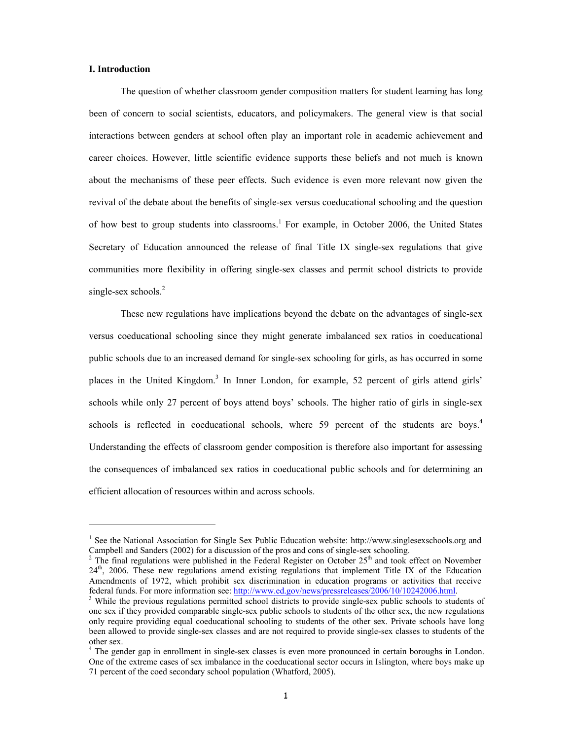## **I. Introduction**

l

The question of whether classroom gender composition matters for student learning has long been of concern to social scientists, educators, and policymakers. The general view is that social interactions between genders at school often play an important role in academic achievement and career choices. However, little scientific evidence supports these beliefs and not much is known about the mechanisms of these peer effects. Such evidence is even more relevant now given the revival of the debate about the benefits of single-sex versus coeducational schooling and the question of how best to group students into classrooms.<sup>1</sup> For example, in October 2006, the United States Secretary of Education announced the release of final Title IX single-sex regulations that give communities more flexibility in offering single-sex classes and permit school districts to provide single-sex schools. $2$ 

These new regulations have implications beyond the debate on the advantages of single-sex versus coeducational schooling since they might generate imbalanced sex ratios in coeducational public schools due to an increased demand for single-sex schooling for girls, as has occurred in some places in the United Kingdom.<sup>3</sup> In Inner London, for example, 52 percent of girls attend girls' schools while only 27 percent of boys attend boys' schools. The higher ratio of girls in single-sex schools is reflected in coeducational schools, where 59 percent of the students are boys.<sup>4</sup> Understanding the effects of classroom gender composition is therefore also important for assessing the consequences of imbalanced sex ratios in coeducational public schools and for determining an efficient allocation of resources within and across schools.

<sup>&</sup>lt;sup>1</sup> See the National Association for Single Sex Public Education website: http://www.singlesexschools.org and Campbell and Sanders (2002) for a discussion of the pros and cons of single-sex schooling.

 $2$  The final regulations were published in the Federal Register on October 25<sup>th</sup> and took effect on November 24<sup>th</sup>, 2006. These new regulations amend existing regulations that implement Title IX of the Education Amendments of 1972, which prohibit sex discrimination in education programs or activities that receive federal funds. For more information see: http://www.ed.gov/news/pressreleases/2006/10/10242006.html.

While the previous regulations permitted school districts to provide single-sex public schools to students of one sex if they provided comparable single-sex public schools to students of the other sex, the new regulations only require providing equal coeducational schooling to students of the other sex. Private schools have long been allowed to provide single-sex classes and are not required to provide single-sex classes to students of the other sex.

<sup>&</sup>lt;sup>4</sup> The gender gap in enrollment in single-sex classes is even more pronounced in certain boroughs in London. One of the extreme cases of sex imbalance in the coeducational sector occurs in Islington, where boys make up 71 percent of the coed secondary school population (Whatford, 2005).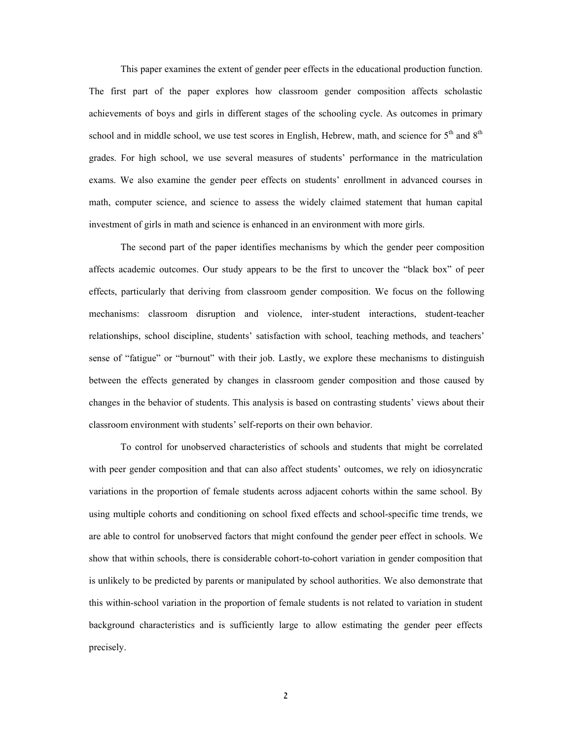This paper examines the extent of gender peer effects in the educational production function. The first part of the paper explores how classroom gender composition affects scholastic achievements of boys and girls in different stages of the schooling cycle. As outcomes in primary school and in middle school, we use test scores in English, Hebrew, math, and science for  $5<sup>th</sup>$  and  $8<sup>th</sup>$ grades. For high school, we use several measures of students' performance in the matriculation exams. We also examine the gender peer effects on students' enrollment in advanced courses in math, computer science, and science to assess the widely claimed statement that human capital investment of girls in math and science is enhanced in an environment with more girls.

The second part of the paper identifies mechanisms by which the gender peer composition affects academic outcomes. Our study appears to be the first to uncover the "black box" of peer effects, particularly that deriving from classroom gender composition. We focus on the following mechanisms: classroom disruption and violence, inter-student interactions, student-teacher relationships, school discipline, students' satisfaction with school, teaching methods, and teachers' sense of "fatigue" or "burnout" with their job. Lastly, we explore these mechanisms to distinguish between the effects generated by changes in classroom gender composition and those caused by changes in the behavior of students. This analysis is based on contrasting students' views about their classroom environment with students' self-reports on their own behavior.

To control for unobserved characteristics of schools and students that might be correlated with peer gender composition and that can also affect students' outcomes, we rely on idiosyncratic variations in the proportion of female students across adjacent cohorts within the same school. By using multiple cohorts and conditioning on school fixed effects and school-specific time trends, we are able to control for unobserved factors that might confound the gender peer effect in schools. We show that within schools, there is considerable cohort-to-cohort variation in gender composition that is unlikely to be predicted by parents or manipulated by school authorities. We also demonstrate that this within-school variation in the proportion of female students is not related to variation in student background characteristics and is sufficiently large to allow estimating the gender peer effects precisely.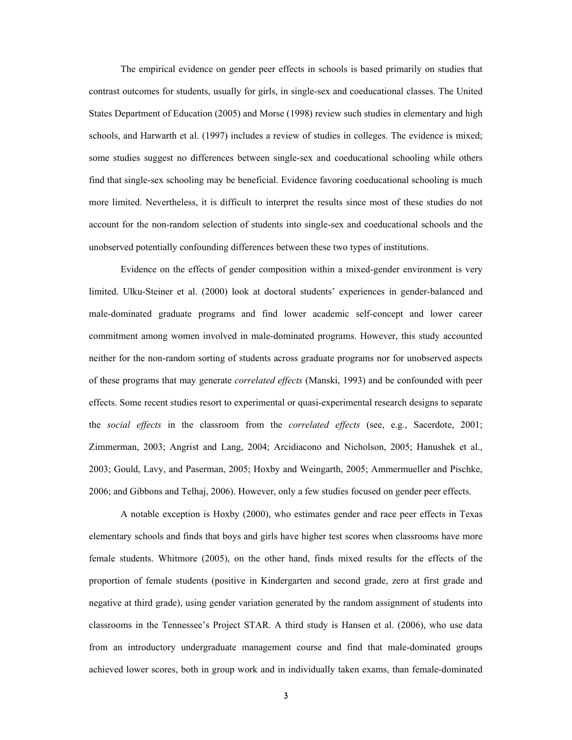The empirical evidence on gender peer effects in schools is based primarily on studies that contrast outcomes for students, usually for girls, in single-sex and coeducational classes. The United States Department of Education (2005) and Morse (1998) review such studies in elementary and high schools, and Harwarth et al. (1997) includes a review of studies in colleges. The evidence is mixed; some studies suggest no differences between single-sex and coeducational schooling while others find that single-sex schooling may be beneficial. Evidence favoring coeducational schooling is much more limited. Nevertheless, it is difficult to interpret the results since most of these studies do not account for the non-random selection of students into single-sex and coeducational schools and the unobserved potentially confounding differences between these two types of institutions.

Evidence on the effects of gender composition within a mixed-gender environment is very limited. Ulku-Steiner et al. (2000) look at doctoral students' experiences in gender-balanced and male-dominated graduate programs and find lower academic self-concept and lower career commitment among women involved in male-dominated programs. However, this study accounted neither for the non-random sorting of students across graduate programs nor for unobserved aspects of these programs that may generate *correlated effects* (Manski, 1993) and be confounded with peer effects. Some recent studies resort to experimental or quasi-experimental research designs to separate the *social effects* in the classroom from the *correlated effects* (see, e.g., Sacerdote, 2001; Zimmerman, 2003; Angrist and Lang, 2004; Arcidiacono and Nicholson, 2005; Hanushek et al., 2003; Gould, Lavy, and Paserman, 2005; Hoxby and Weingarth, 2005; Ammermueller and Pischke, 2006; and Gibbons and Telhaj, 2006). However, only a few studies focused on gender peer effects.

A notable exception is Hoxby (2000), who estimates gender and race peer effects in Texas elementary schools and finds that boys and girls have higher test scores when classrooms have more female students. Whitmore (2005), on the other hand, finds mixed results for the effects of the proportion of female students (positive in Kindergarten and second grade, zero at first grade and negative at third grade), using gender variation generated by the random assignment of students into classrooms in the Tennessee's Project STAR. A third study is Hansen et al. (2006), who use data from an introductory undergraduate management course and find that male-dominated groups achieved lower scores, both in group work and in individually taken exams, than female-dominated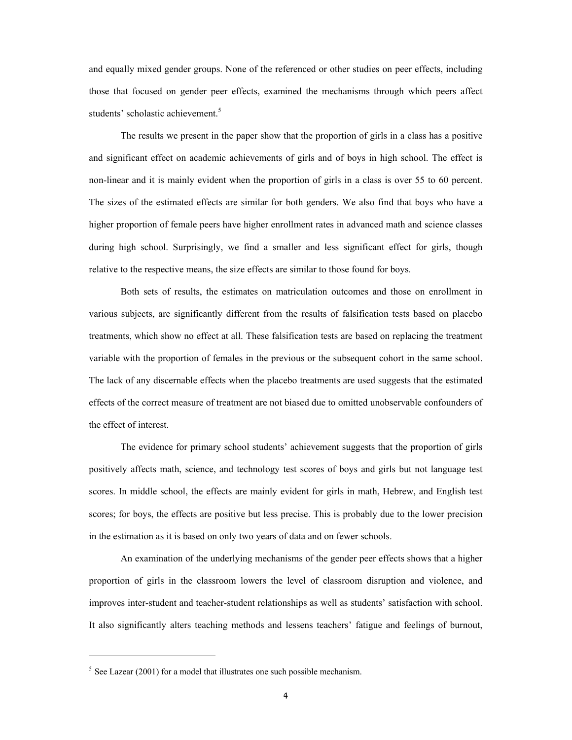and equally mixed gender groups. None of the referenced or other studies on peer effects, including those that focused on gender peer effects, examined the mechanisms through which peers affect students' scholastic achievement.<sup>5</sup>

The results we present in the paper show that the proportion of girls in a class has a positive and significant effect on academic achievements of girls and of boys in high school. The effect is non-linear and it is mainly evident when the proportion of girls in a class is over 55 to 60 percent. The sizes of the estimated effects are similar for both genders. We also find that boys who have a higher proportion of female peers have higher enrollment rates in advanced math and science classes during high school. Surprisingly, we find a smaller and less significant effect for girls, though relative to the respective means, the size effects are similar to those found for boys.

Both sets of results, the estimates on matriculation outcomes and those on enrollment in various subjects, are significantly different from the results of falsification tests based on placebo treatments, which show no effect at all. These falsification tests are based on replacing the treatment variable with the proportion of females in the previous or the subsequent cohort in the same school. The lack of any discernable effects when the placebo treatments are used suggests that the estimated effects of the correct measure of treatment are not biased due to omitted unobservable confounders of the effect of interest.

The evidence for primary school students' achievement suggests that the proportion of girls positively affects math, science, and technology test scores of boys and girls but not language test scores. In middle school, the effects are mainly evident for girls in math, Hebrew, and English test scores; for boys, the effects are positive but less precise. This is probably due to the lower precision in the estimation as it is based on only two years of data and on fewer schools.

An examination of the underlying mechanisms of the gender peer effects shows that a higher proportion of girls in the classroom lowers the level of classroom disruption and violence, and improves inter-student and teacher-student relationships as well as students' satisfaction with school. It also significantly alters teaching methods and lessens teachers' fatigue and feelings of burnout,

l

 $5$  See Lazear (2001) for a model that illustrates one such possible mechanism.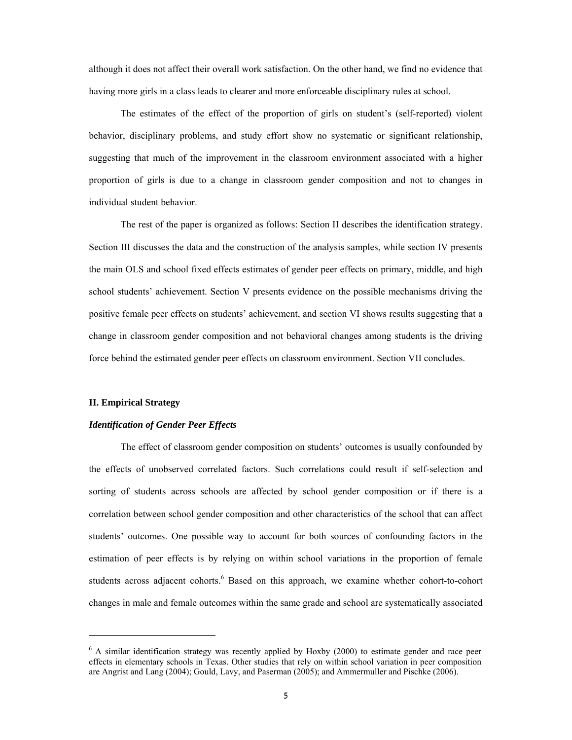although it does not affect their overall work satisfaction. On the other hand, we find no evidence that having more girls in a class leads to clearer and more enforceable disciplinary rules at school.

The estimates of the effect of the proportion of girls on student's (self-reported) violent behavior, disciplinary problems, and study effort show no systematic or significant relationship, suggesting that much of the improvement in the classroom environment associated with a higher proportion of girls is due to a change in classroom gender composition and not to changes in individual student behavior.

The rest of the paper is organized as follows: Section II describes the identification strategy. Section III discusses the data and the construction of the analysis samples, while section IV presents the main OLS and school fixed effects estimates of gender peer effects on primary, middle, and high school students' achievement. Section V presents evidence on the possible mechanisms driving the positive female peer effects on students' achievement, and section VI shows results suggesting that a change in classroom gender composition and not behavioral changes among students is the driving force behind the estimated gender peer effects on classroom environment. Section VII concludes.

## **II. Empirical Strategy**

l

## *Identification of Gender Peer Effects*

The effect of classroom gender composition on students' outcomes is usually confounded by the effects of unobserved correlated factors. Such correlations could result if self-selection and sorting of students across schools are affected by school gender composition or if there is a correlation between school gender composition and other characteristics of the school that can affect students' outcomes. One possible way to account for both sources of confounding factors in the estimation of peer effects is by relying on within school variations in the proportion of female students across adjacent cohorts.<sup>6</sup> Based on this approach, we examine whether cohort-to-cohort changes in male and female outcomes within the same grade and school are systematically associated

<sup>&</sup>lt;sup>6</sup> A similar identification strategy was recently applied by Hoxby (2000) to estimate gender and race peer effects in elementary schools in Texas. Other studies that rely on within school variation in peer composition are Angrist and Lang (2004); Gould, Lavy, and Paserman (2005); and Ammermuller and Pischke (2006).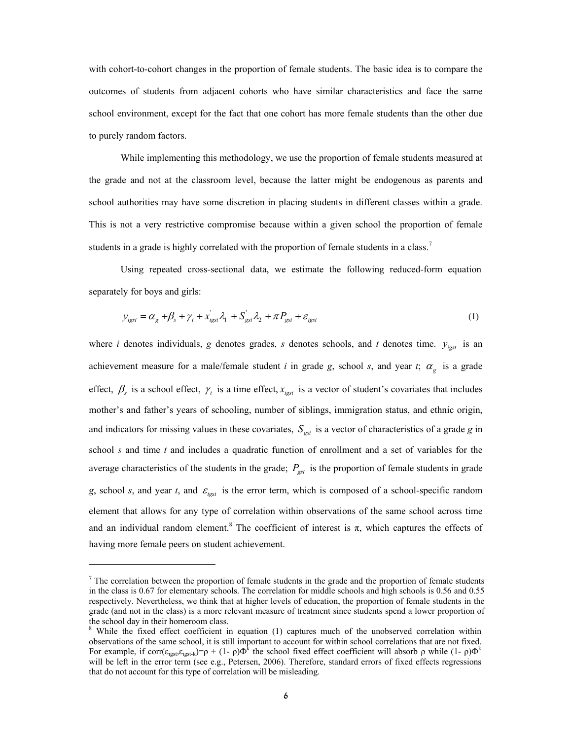with cohort-to-cohort changes in the proportion of female students. The basic idea is to compare the outcomes of students from adjacent cohorts who have similar characteristics and face the same school environment, except for the fact that one cohort has more female students than the other due to purely random factors.

While implementing this methodology, we use the proportion of female students measured at the grade and not at the classroom level, because the latter might be endogenous as parents and school authorities may have some discretion in placing students in different classes within a grade. This is not a very restrictive compromise because within a given school the proportion of female students in a grade is highly correlated with the proportion of female students in a class.<sup>7</sup>

 Using repeated cross-sectional data, we estimate the following reduced-form equation separately for boys and girls:

$$
y_{\text{igst}} = \alpha_{g} + \beta_{s} + \gamma_{t} + x_{\text{igst}}^{'} \lambda_{1} + S_{\text{gst}}^{'} \lambda_{2} + \pi P_{\text{gst}} + \varepsilon_{\text{igst}} \tag{1}
$$

where *i* denotes individuals, *g* denotes grades, *s* denotes schools, and *t* denotes time.  $y_{\text{igst}}$  is an achievement measure for a male/female student *i* in grade *g*, school *s*, and year *t*;  $\alpha_g$  is a grade effect,  $\beta_s$  is a school effect,  $\gamma_t$  is a time effect,  $x_{\text{test}}$  is a vector of student's covariates that includes mother's and father's years of schooling, number of siblings, immigration status, and ethnic origin, and indicators for missing values in these covariates,  $S_{\text{gst}}$  is a vector of characteristics of a grade *g* in school *s* and time *t* and includes a quadratic function of enrollment and a set of variables for the average characteristics of the students in the grade;  $P_{\text{S}st}$  is the proportion of female students in grade *g*, school *s*, and year *t*, and  $\varepsilon_{\text{test}}$  is the error term, which is composed of a school-specific random element that allows for any type of correlation within observations of the same school across time and an individual random element.<sup>8</sup> The coefficient of interest is  $\pi$ , which captures the effects of having more female peers on student achievement.

l

 $7$  The correlation between the proportion of female students in the grade and the proportion of female students in the class is 0.67 for elementary schools. The correlation for middle schools and high schools is 0.56 and 0.55 respectively. Nevertheless, we think that at higher levels of education, the proportion of female students in the grade (and not in the class) is a more relevant measure of treatment since students spend a lower proportion of the school day in their homeroom class.

<sup>&</sup>lt;sup>8</sup> While the fixed effect coefficient in equation (1) captures much of the unobserved correlation within observations of the same school, it is still important to account for within school correlations that are not fixed. For example, if corr( $\varepsilon_{\text{igst}}$ , $\varepsilon_{\text{igst-k}}$ )= $\rho$  + (1-  $\rho$ ) $\Phi^k$  the school fixed effect coefficient will absorb  $\rho$  while (1-  $\rho$ ) $\Phi^k$ will be left in the error term (see e.g., Petersen, 2006). Therefore, standard errors of fixed effects regressions that do not account for this type of correlation will be misleading.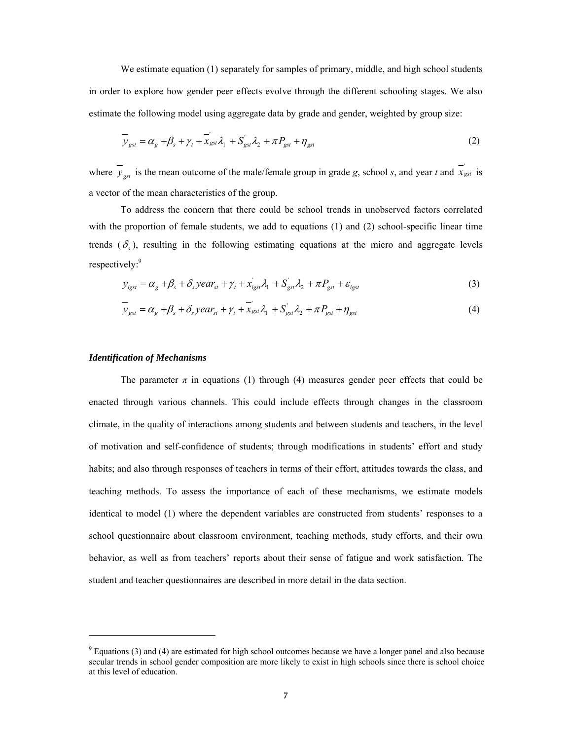We estimate equation (1) separately for samples of primary, middle, and high school students in order to explore how gender peer effects evolve through the different schooling stages. We also estimate the following model using aggregate data by grade and gender, weighted by group size:

$$
\overline{y}_{gst} = \alpha_g + \beta_s + \gamma_t + \overline{x}_{gst} \lambda_1 + S_{gst} \lambda_2 + \pi P_{gst} + \eta_{gst}
$$
\n(2)

where  $\overline{y}_{gst}$  is the mean outcome of the male/female group in grade *g*, school *s*, and year *t* and  $\overline{x}_{gst}$  is a vector of the mean characteristics of the group.

To address the concern that there could be school trends in unobserved factors correlated with the proportion of female students, we add to equations (1) and (2) school-specific linear time trends  $(\delta)$ , resulting in the following estimating equations at the micro and aggregate levels respectively:<sup>9</sup>

$$
y_{\text{igst}} = \alpha_{g} + \beta_{s} + \delta_{s} \text{ year}_{st} + \gamma_{t} + x_{\text{igst}}' \lambda_{1} + S_{\text{gst}}' \lambda_{2} + \pi P_{\text{gst}} + \varepsilon_{\text{igst}} \tag{3}
$$

$$
\overline{y}_{gst} = \alpha_g + \beta_s + \delta_s \text{year}_{st} + \gamma_t + \overline{x}_{gst} \lambda_1 + S_{gst}^{\dagger} \lambda_2 + \pi P_{gst} + \eta_{gst}
$$
\n(4)

### *Identification of Mechanisms*

l

The parameter  $\pi$  in equations (1) through (4) measures gender peer effects that could be enacted through various channels. This could include effects through changes in the classroom climate, in the quality of interactions among students and between students and teachers, in the level of motivation and self-confidence of students; through modifications in students' effort and study habits; and also through responses of teachers in terms of their effort, attitudes towards the class, and teaching methods. To assess the importance of each of these mechanisms, we estimate models identical to model (1) where the dependent variables are constructed from students' responses to a school questionnaire about classroom environment, teaching methods, study efforts, and their own behavior, as well as from teachers' reports about their sense of fatigue and work satisfaction. The student and teacher questionnaires are described in more detail in the data section.

 $9$  Equations (3) and (4) are estimated for high school outcomes because we have a longer panel and also because secular trends in school gender composition are more likely to exist in high schools since there is school choice at this level of education.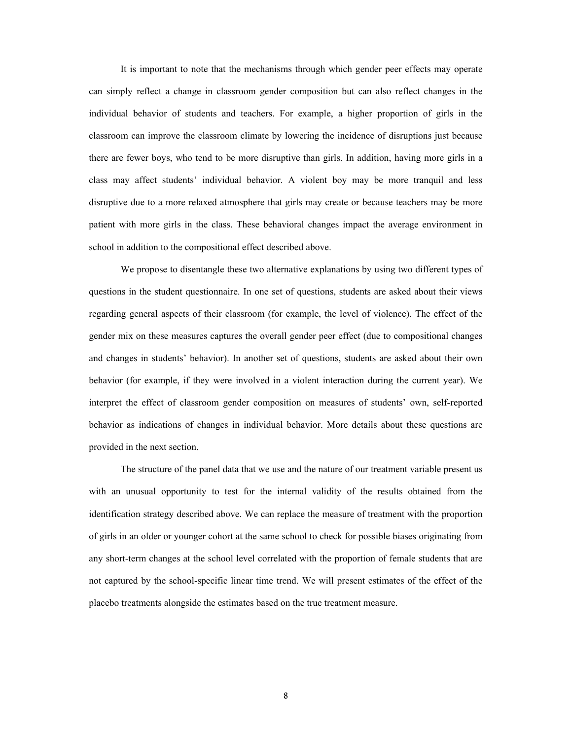It is important to note that the mechanisms through which gender peer effects may operate can simply reflect a change in classroom gender composition but can also reflect changes in the individual behavior of students and teachers. For example, a higher proportion of girls in the classroom can improve the classroom climate by lowering the incidence of disruptions just because there are fewer boys, who tend to be more disruptive than girls. In addition, having more girls in a class may affect students' individual behavior. A violent boy may be more tranquil and less disruptive due to a more relaxed atmosphere that girls may create or because teachers may be more patient with more girls in the class. These behavioral changes impact the average environment in school in addition to the compositional effect described above.

We propose to disentangle these two alternative explanations by using two different types of questions in the student questionnaire. In one set of questions, students are asked about their views regarding general aspects of their classroom (for example, the level of violence). The effect of the gender mix on these measures captures the overall gender peer effect (due to compositional changes and changes in students' behavior). In another set of questions, students are asked about their own behavior (for example, if they were involved in a violent interaction during the current year). We interpret the effect of classroom gender composition on measures of students' own, self-reported behavior as indications of changes in individual behavior. More details about these questions are provided in the next section.

The structure of the panel data that we use and the nature of our treatment variable present us with an unusual opportunity to test for the internal validity of the results obtained from the identification strategy described above. We can replace the measure of treatment with the proportion of girls in an older or younger cohort at the same school to check for possible biases originating from any short-term changes at the school level correlated with the proportion of female students that are not captured by the school-specific linear time trend. We will present estimates of the effect of the placebo treatments alongside the estimates based on the true treatment measure.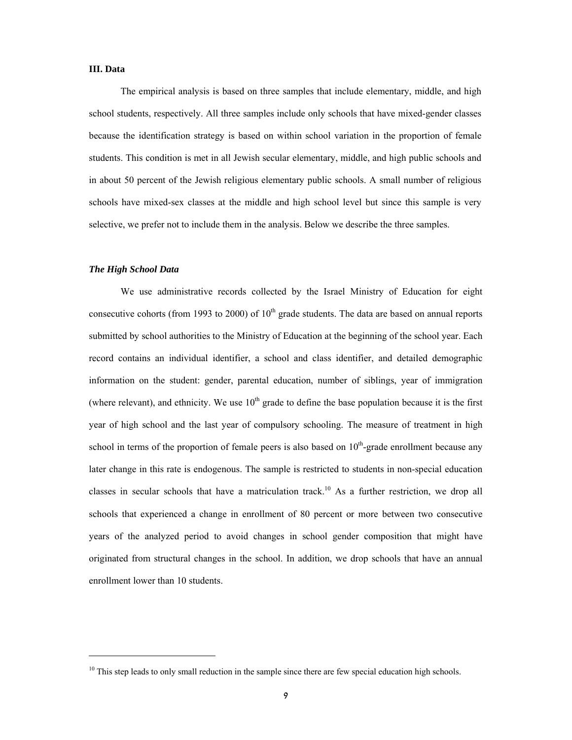## **III. Data**

The empirical analysis is based on three samples that include elementary, middle, and high school students, respectively. All three samples include only schools that have mixed-gender classes because the identification strategy is based on within school variation in the proportion of female students. This condition is met in all Jewish secular elementary, middle, and high public schools and in about 50 percent of the Jewish religious elementary public schools. A small number of religious schools have mixed-sex classes at the middle and high school level but since this sample is very selective, we prefer not to include them in the analysis. Below we describe the three samples.

# *The High School Data*

 $\overline{a}$ 

We use administrative records collected by the Israel Ministry of Education for eight consecutive cohorts (from 1993 to 2000) of  $10<sup>th</sup>$  grade students. The data are based on annual reports submitted by school authorities to the Ministry of Education at the beginning of the school year. Each record contains an individual identifier, a school and class identifier, and detailed demographic information on the student: gender, parental education, number of siblings, year of immigration (where relevant), and ethnicity. We use  $10<sup>th</sup>$  grade to define the base population because it is the first year of high school and the last year of compulsory schooling. The measure of treatment in high school in terms of the proportion of female peers is also based on  $10<sup>th</sup>$ -grade enrollment because any later change in this rate is endogenous. The sample is restricted to students in non-special education classes in secular schools that have a matriculation track.<sup>10</sup> As a further restriction, we drop all schools that experienced a change in enrollment of 80 percent or more between two consecutive years of the analyzed period to avoid changes in school gender composition that might have originated from structural changes in the school. In addition, we drop schools that have an annual enrollment lower than 10 students.

<sup>&</sup>lt;sup>10</sup> This step leads to only small reduction in the sample since there are few special education high schools.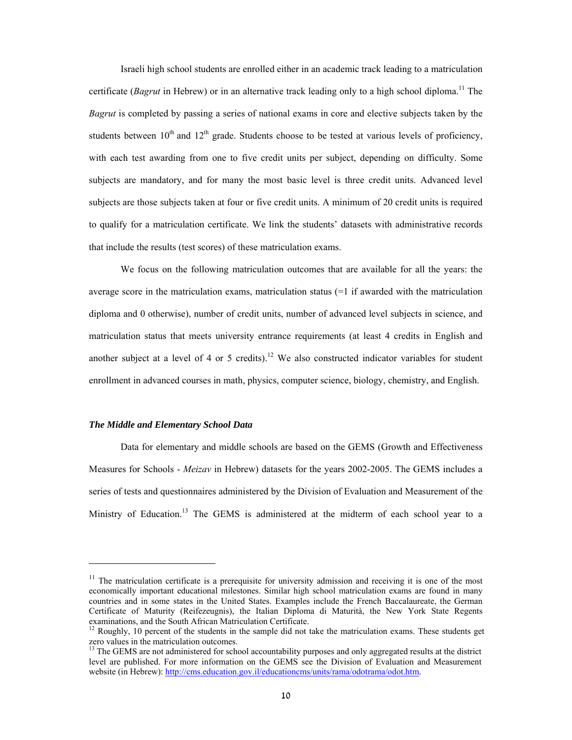Israeli high school students are enrolled either in an academic track leading to a matriculation certificate (*Bagrut* in Hebrew) or in an alternative track leading only to a high school diploma.<sup>11</sup> The *Bagrut* is completed by passing a series of national exams in core and elective subjects taken by the students between  $10<sup>th</sup>$  and  $12<sup>th</sup>$  grade. Students choose to be tested at various levels of proficiency, with each test awarding from one to five credit units per subject, depending on difficulty. Some subjects are mandatory, and for many the most basic level is three credit units. Advanced level subjects are those subjects taken at four or five credit units. A minimum of 20 credit units is required to qualify for a matriculation certificate. We link the students' datasets with administrative records that include the results (test scores) of these matriculation exams.

We focus on the following matriculation outcomes that are available for all the years: the average score in the matriculation exams, matriculation status  $(=1)$  if awarded with the matriculation diploma and 0 otherwise), number of credit units, number of advanced level subjects in science, and matriculation status that meets university entrance requirements (at least 4 credits in English and another subject at a level of 4 or 5 credits).<sup>12</sup> We also constructed indicator variables for student enrollment in advanced courses in math, physics, computer science, biology, chemistry, and English.

#### *The Middle and Elementary School Data*

Data for elementary and middle schools are based on the GEMS (Growth and Effectiveness Measures for Schools - *Meizav* in Hebrew) datasets for the years 2002-2005. The GEMS includes a series of tests and questionnaires administered by the Division of Evaluation and Measurement of the Ministry of Education.<sup>13</sup> The GEMS is administered at the midterm of each school year to a

 $11$  The matriculation certificate is a prerequisite for university admission and receiving it is one of the most economically important educational milestones. Similar high school matriculation exams are found in many countries and in some states in the United States. Examples include the French Baccalaureate, the German Certificate of Maturity (Reifezeugnis), the Italian Diploma di Maturità, the New York State Regents examinations, and the South African Matriculation Certificate.

 $12$  Roughly, 10 percent of the students in the sample did not take the matriculation exams. These students get zero values in the matriculation outcomes.<br> $^{13}$  The CFMG

<sup>13</sup> The GEMS are not administered for school accountability purposes and only aggregated results at the district level are published. For more information on the GEMS see the Division of Evaluation and Measurement website (in Hebrew): http://cms.education.gov.il/educationcms/units/rama/odotrama/odot.htm.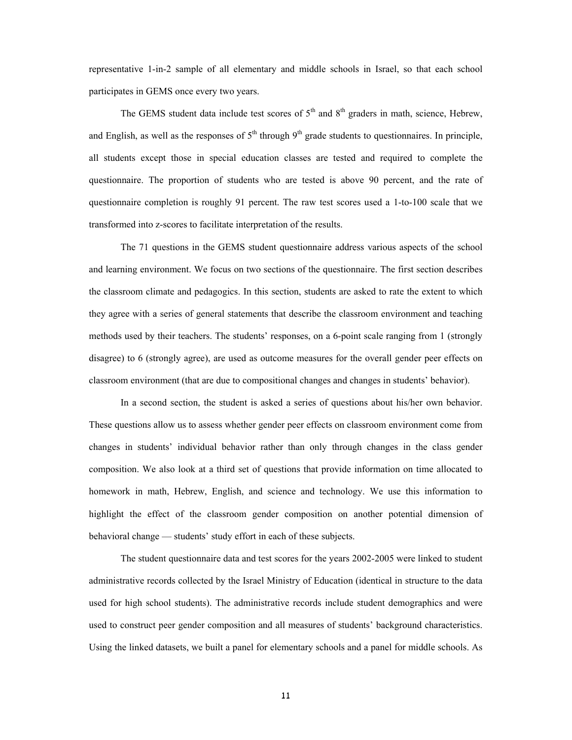representative 1-in-2 sample of all elementary and middle schools in Israel, so that each school participates in GEMS once every two years.

The GEMS student data include test scores of  $5<sup>th</sup>$  and  $8<sup>th</sup>$  graders in math, science, Hebrew, and English, as well as the responses of  $5<sup>th</sup>$  through  $9<sup>th</sup>$  grade students to questionnaires. In principle, all students except those in special education classes are tested and required to complete the questionnaire. The proportion of students who are tested is above 90 percent, and the rate of questionnaire completion is roughly 91 percent. The raw test scores used a 1-to-100 scale that we transformed into z-scores to facilitate interpretation of the results.

The 71 questions in the GEMS student questionnaire address various aspects of the school and learning environment. We focus on two sections of the questionnaire. The first section describes the classroom climate and pedagogics. In this section, students are asked to rate the extent to which they agree with a series of general statements that describe the classroom environment and teaching methods used by their teachers. The students' responses, on a 6-point scale ranging from 1 (strongly disagree) to 6 (strongly agree), are used as outcome measures for the overall gender peer effects on classroom environment (that are due to compositional changes and changes in students' behavior).

In a second section, the student is asked a series of questions about his/her own behavior. These questions allow us to assess whether gender peer effects on classroom environment come from changes in students' individual behavior rather than only through changes in the class gender composition. We also look at a third set of questions that provide information on time allocated to homework in math, Hebrew, English, and science and technology. We use this information to highlight the effect of the classroom gender composition on another potential dimension of behavioral change — students' study effort in each of these subjects.

 The student questionnaire data and test scores for the years 2002-2005 were linked to student administrative records collected by the Israel Ministry of Education (identical in structure to the data used for high school students). The administrative records include student demographics and were used to construct peer gender composition and all measures of students' background characteristics. Using the linked datasets, we built a panel for elementary schools and a panel for middle schools. As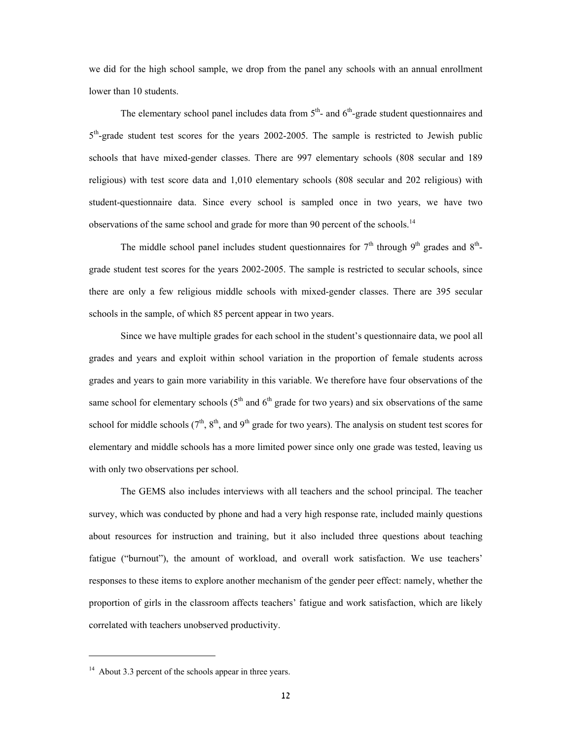we did for the high school sample, we drop from the panel any schools with an annual enrollment lower than 10 students.

The elementary school panel includes data from  $5<sup>th</sup>$ - and  $6<sup>th</sup>$ -grade student questionnaires and  $5<sup>th</sup>$ -grade student test scores for the years 2002-2005. The sample is restricted to Jewish public schools that have mixed-gender classes. There are 997 elementary schools (808 secular and 189 religious) with test score data and 1,010 elementary schools (808 secular and 202 religious) with student-questionnaire data. Since every school is sampled once in two years, we have two observations of the same school and grade for more than 90 percent of the schools.<sup>14</sup>

The middle school panel includes student questionnaires for  $7<sup>th</sup>$  through  $9<sup>th</sup>$  grades and  $8<sup>th</sup>$ grade student test scores for the years 2002-2005. The sample is restricted to secular schools, since there are only a few religious middle schools with mixed-gender classes. There are 395 secular schools in the sample, of which 85 percent appear in two years.

Since we have multiple grades for each school in the student's questionnaire data, we pool all grades and years and exploit within school variation in the proportion of female students across grades and years to gain more variability in this variable. We therefore have four observations of the same school for elementary schools  $(5<sup>th</sup>$  and  $6<sup>th</sup>$  grade for two years) and six observations of the same school for middle schools  $(7<sup>th</sup>, 8<sup>th</sup>,$  and  $9<sup>th</sup>$  grade for two years). The analysis on student test scores for elementary and middle schools has a more limited power since only one grade was tested, leaving us with only two observations per school.

The GEMS also includes interviews with all teachers and the school principal. The teacher survey, which was conducted by phone and had a very high response rate, included mainly questions about resources for instruction and training, but it also included three questions about teaching fatigue ("burnout"), the amount of workload, and overall work satisfaction. We use teachers' responses to these items to explore another mechanism of the gender peer effect: namely, whether the proportion of girls in the classroom affects teachers' fatigue and work satisfaction, which are likely correlated with teachers unobserved productivity.

 $\overline{a}$ 

<sup>&</sup>lt;sup>14</sup> About 3.3 percent of the schools appear in three years.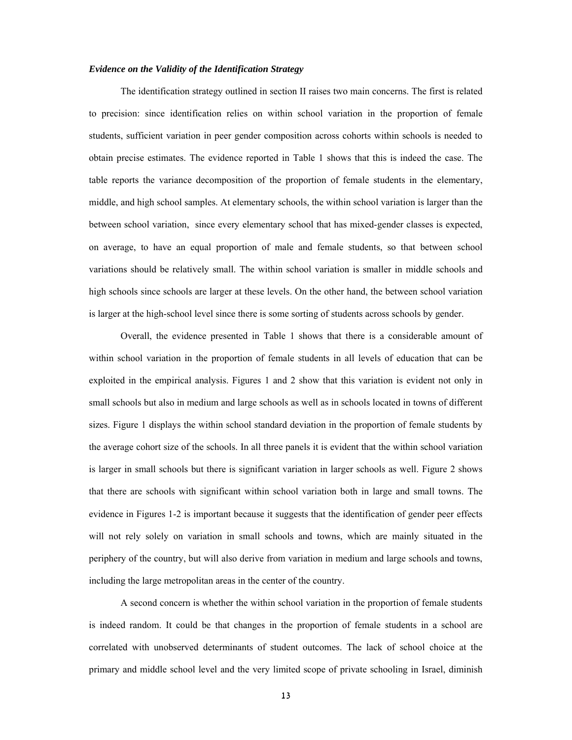## *Evidence on the Validity of the Identification Strategy*

The identification strategy outlined in section II raises two main concerns. The first is related to precision: since identification relies on within school variation in the proportion of female students, sufficient variation in peer gender composition across cohorts within schools is needed to obtain precise estimates. The evidence reported in Table 1 shows that this is indeed the case. The table reports the variance decomposition of the proportion of female students in the elementary, middle, and high school samples. At elementary schools, the within school variation is larger than the between school variation, since every elementary school that has mixed-gender classes is expected, on average, to have an equal proportion of male and female students, so that between school variations should be relatively small. The within school variation is smaller in middle schools and high schools since schools are larger at these levels. On the other hand, the between school variation is larger at the high-school level since there is some sorting of students across schools by gender.

Overall, the evidence presented in Table 1 shows that there is a considerable amount of within school variation in the proportion of female students in all levels of education that can be exploited in the empirical analysis. Figures 1 and 2 show that this variation is evident not only in small schools but also in medium and large schools as well as in schools located in towns of different sizes. Figure 1 displays the within school standard deviation in the proportion of female students by the average cohort size of the schools. In all three panels it is evident that the within school variation is larger in small schools but there is significant variation in larger schools as well. Figure 2 shows that there are schools with significant within school variation both in large and small towns. The evidence in Figures 1-2 is important because it suggests that the identification of gender peer effects will not rely solely on variation in small schools and towns, which are mainly situated in the periphery of the country, but will also derive from variation in medium and large schools and towns, including the large metropolitan areas in the center of the country.

A second concern is whether the within school variation in the proportion of female students is indeed random. It could be that changes in the proportion of female students in a school are correlated with unobserved determinants of student outcomes. The lack of school choice at the primary and middle school level and the very limited scope of private schooling in Israel, diminish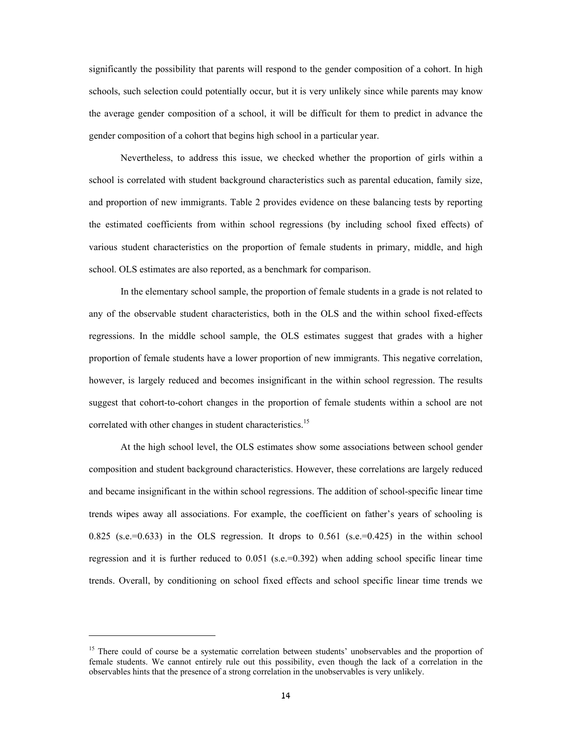significantly the possibility that parents will respond to the gender composition of a cohort. In high schools, such selection could potentially occur, but it is very unlikely since while parents may know the average gender composition of a school, it will be difficult for them to predict in advance the gender composition of a cohort that begins high school in a particular year.

Nevertheless, to address this issue, we checked whether the proportion of girls within a school is correlated with student background characteristics such as parental education, family size, and proportion of new immigrants. Table 2 provides evidence on these balancing tests by reporting the estimated coefficients from within school regressions (by including school fixed effects) of various student characteristics on the proportion of female students in primary, middle, and high school. OLS estimates are also reported, as a benchmark for comparison.

In the elementary school sample, the proportion of female students in a grade is not related to any of the observable student characteristics, both in the OLS and the within school fixed-effects regressions. In the middle school sample, the OLS estimates suggest that grades with a higher proportion of female students have a lower proportion of new immigrants. This negative correlation, however, is largely reduced and becomes insignificant in the within school regression. The results suggest that cohort-to-cohort changes in the proportion of female students within a school are not correlated with other changes in student characteristics.<sup>15</sup>

At the high school level, the OLS estimates show some associations between school gender composition and student background characteristics. However, these correlations are largely reduced and became insignificant in the within school regressions. The addition of school-specific linear time trends wipes away all associations. For example, the coefficient on father's years of schooling is 0.825 (s.e.=0.633) in the OLS regression. It drops to 0.561 (s.e.=0.425) in the within school regression and it is further reduced to  $0.051$  (s.e.=0.392) when adding school specific linear time trends. Overall, by conditioning on school fixed effects and school specific linear time trends we

 $\overline{a}$ 

<sup>&</sup>lt;sup>15</sup> There could of course be a systematic correlation between students' unobservables and the proportion of female students. We cannot entirely rule out this possibility, even though the lack of a correlation in the observables hints that the presence of a strong correlation in the unobservables is very unlikely.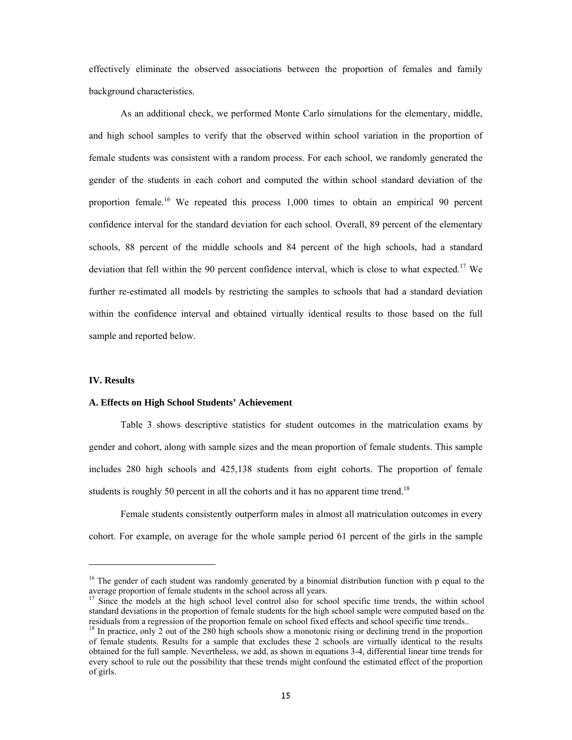effectively eliminate the observed associations between the proportion of females and family background characteristics.

As an additional check, we performed Monte Carlo simulations for the elementary, middle, and high school samples to verify that the observed within school variation in the proportion of female students was consistent with a random process. For each school, we randomly generated the gender of the students in each cohort and computed the within school standard deviation of the proportion female.16 We repeated this process 1,000 times to obtain an empirical 90 percent confidence interval for the standard deviation for each school. Overall, 89 percent of the elementary schools, 88 percent of the middle schools and 84 percent of the high schools, had a standard deviation that fell within the 90 percent confidence interval, which is close to what expected.<sup>17</sup> We further re-estimated all models by restricting the samples to schools that had a standard deviation within the confidence interval and obtained virtually identical results to those based on the full sample and reported below.

# **IV. Results**

 $\overline{a}$ 

# **A. Effects on High School Students' Achievement**

Table 3 shows descriptive statistics for student outcomes in the matriculation exams by gender and cohort, along with sample sizes and the mean proportion of female students. This sample includes 280 high schools and 425,138 students from eight cohorts. The proportion of female students is roughly 50 percent in all the cohorts and it has no apparent time trend.<sup>18</sup>

Female students consistently outperform males in almost all matriculation outcomes in every cohort. For example, on average for the whole sample period 61 percent of the girls in the sample

<sup>&</sup>lt;sup>16</sup> The gender of each student was randomly generated by a binomial distribution function with p equal to the average proportion of female students in the school across all years.

Since the models at the high school level control also for school specific time trends, the within school standard deviations in the proportion of female students for the high school sample were computed based on the residuals from a regression of the proportion female on school fixed effects and school specific time trends..

<sup>&</sup>lt;sup>18</sup> In practice, only 2 out of the 280 high schools show a monotonic rising or declining trend in the proportion of female students. Results for a sample that excludes these 2 schools are virtually identical to the results obtained for the full sample. Nevertheless, we add, as shown in equations 3-4, differential linear time trends for every school to rule out the possibility that these trends might confound the estimated effect of the proportion of girls.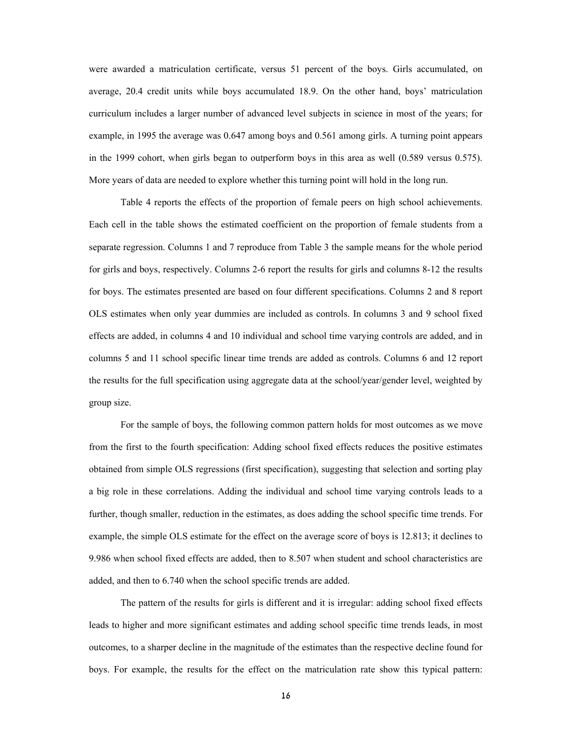were awarded a matriculation certificate, versus 51 percent of the boys. Girls accumulated, on average, 20.4 credit units while boys accumulated 18.9. On the other hand, boys' matriculation curriculum includes a larger number of advanced level subjects in science in most of the years; for example, in 1995 the average was 0.647 among boys and 0.561 among girls. A turning point appears in the 1999 cohort, when girls began to outperform boys in this area as well (0.589 versus 0.575). More years of data are needed to explore whether this turning point will hold in the long run.

Table 4 reports the effects of the proportion of female peers on high school achievements. Each cell in the table shows the estimated coefficient on the proportion of female students from a separate regression. Columns 1 and 7 reproduce from Table 3 the sample means for the whole period for girls and boys, respectively. Columns 2-6 report the results for girls and columns 8-12 the results for boys. The estimates presented are based on four different specifications. Columns 2 and 8 report OLS estimates when only year dummies are included as controls. In columns 3 and 9 school fixed effects are added, in columns 4 and 10 individual and school time varying controls are added, and in columns 5 and 11 school specific linear time trends are added as controls. Columns 6 and 12 report the results for the full specification using aggregate data at the school/year/gender level, weighted by group size.

For the sample of boys, the following common pattern holds for most outcomes as we move from the first to the fourth specification: Adding school fixed effects reduces the positive estimates obtained from simple OLS regressions (first specification), suggesting that selection and sorting play a big role in these correlations. Adding the individual and school time varying controls leads to a further, though smaller, reduction in the estimates, as does adding the school specific time trends. For example, the simple OLS estimate for the effect on the average score of boys is 12.813; it declines to 9.986 when school fixed effects are added, then to 8.507 when student and school characteristics are added, and then to 6.740 when the school specific trends are added.

The pattern of the results for girls is different and it is irregular: adding school fixed effects leads to higher and more significant estimates and adding school specific time trends leads, in most outcomes, to a sharper decline in the magnitude of the estimates than the respective decline found for boys. For example, the results for the effect on the matriculation rate show this typical pattern: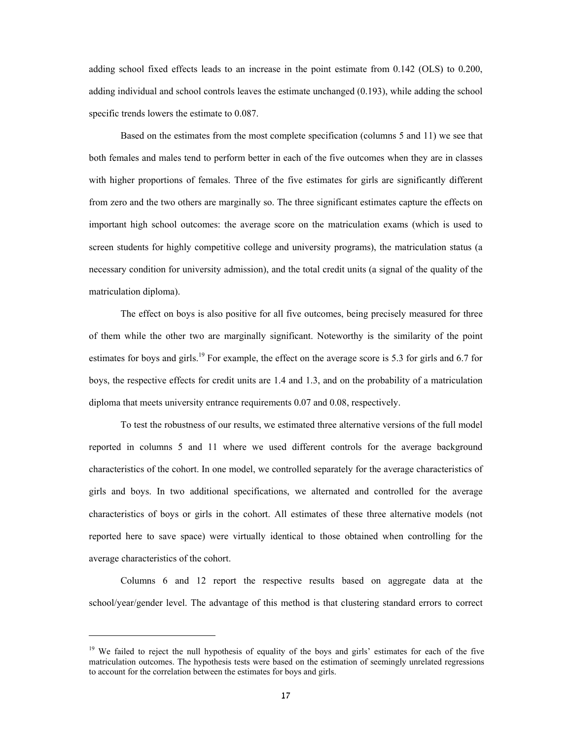adding school fixed effects leads to an increase in the point estimate from 0.142 (OLS) to 0.200, adding individual and school controls leaves the estimate unchanged (0.193), while adding the school specific trends lowers the estimate to 0.087.

Based on the estimates from the most complete specification (columns 5 and 11) we see that both females and males tend to perform better in each of the five outcomes when they are in classes with higher proportions of females. Three of the five estimates for girls are significantly different from zero and the two others are marginally so. The three significant estimates capture the effects on important high school outcomes: the average score on the matriculation exams (which is used to screen students for highly competitive college and university programs), the matriculation status (a necessary condition for university admission), and the total credit units (a signal of the quality of the matriculation diploma).

The effect on boys is also positive for all five outcomes, being precisely measured for three of them while the other two are marginally significant. Noteworthy is the similarity of the point estimates for boys and girls.<sup>19</sup> For example, the effect on the average score is 5.3 for girls and 6.7 for boys, the respective effects for credit units are 1.4 and 1.3, and on the probability of a matriculation diploma that meets university entrance requirements 0.07 and 0.08, respectively.

To test the robustness of our results, we estimated three alternative versions of the full model reported in columns 5 and 11 where we used different controls for the average background characteristics of the cohort. In one model, we controlled separately for the average characteristics of girls and boys. In two additional specifications, we alternated and controlled for the average characteristics of boys or girls in the cohort. All estimates of these three alternative models (not reported here to save space) were virtually identical to those obtained when controlling for the average characteristics of the cohort.

Columns 6 and 12 report the respective results based on aggregate data at the school/year/gender level. The advantage of this method is that clustering standard errors to correct

 $\overline{a}$ 

<sup>&</sup>lt;sup>19</sup> We failed to reject the null hypothesis of equality of the boys and girls' estimates for each of the five matriculation outcomes. The hypothesis tests were based on the estimation of seemingly unrelated regressions to account for the correlation between the estimates for boys and girls.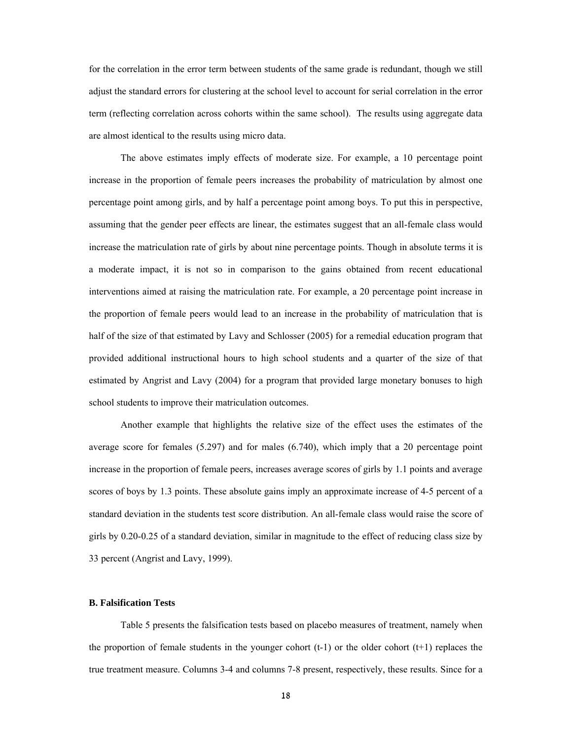for the correlation in the error term between students of the same grade is redundant, though we still adjust the standard errors for clustering at the school level to account for serial correlation in the error term (reflecting correlation across cohorts within the same school). The results using aggregate data are almost identical to the results using micro data.

The above estimates imply effects of moderate size. For example, a 10 percentage point increase in the proportion of female peers increases the probability of matriculation by almost one percentage point among girls, and by half a percentage point among boys. To put this in perspective, assuming that the gender peer effects are linear, the estimates suggest that an all-female class would increase the matriculation rate of girls by about nine percentage points. Though in absolute terms it is a moderate impact, it is not so in comparison to the gains obtained from recent educational interventions aimed at raising the matriculation rate. For example, a 20 percentage point increase in the proportion of female peers would lead to an increase in the probability of matriculation that is half of the size of that estimated by Lavy and Schlosser (2005) for a remedial education program that provided additional instructional hours to high school students and a quarter of the size of that estimated by Angrist and Lavy (2004) for a program that provided large monetary bonuses to high school students to improve their matriculation outcomes.

Another example that highlights the relative size of the effect uses the estimates of the average score for females (5.297) and for males (6.740), which imply that a 20 percentage point increase in the proportion of female peers, increases average scores of girls by 1.1 points and average scores of boys by 1.3 points. These absolute gains imply an approximate increase of 4-5 percent of a standard deviation in the students test score distribution. An all-female class would raise the score of girls by 0.20-0.25 of a standard deviation, similar in magnitude to the effect of reducing class size by 33 percent (Angrist and Lavy, 1999).

# **B. Falsification Tests**

 Table 5 presents the falsification tests based on placebo measures of treatment, namely when the proportion of female students in the younger cohort  $(t-1)$  or the older cohort  $(t+1)$  replaces the true treatment measure. Columns 3-4 and columns 7-8 present, respectively, these results. Since for a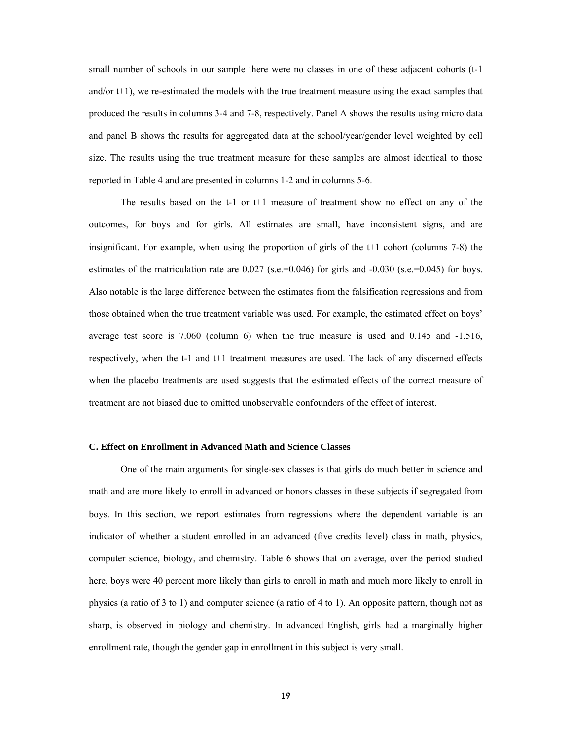small number of schools in our sample there were no classes in one of these adjacent cohorts (t-1) and/or t+1), we re-estimated the models with the true treatment measure using the exact samples that produced the results in columns 3-4 and 7-8, respectively. Panel A shows the results using micro data and panel B shows the results for aggregated data at the school/year/gender level weighted by cell size. The results using the true treatment measure for these samples are almost identical to those reported in Table 4 and are presented in columns 1-2 and in columns 5-6.

 The results based on the t-1 or t+1 measure of treatment show no effect on any of the outcomes, for boys and for girls. All estimates are small, have inconsistent signs, and are insignificant. For example, when using the proportion of girls of the t+1 cohort (columns 7-8) the estimates of the matriculation rate are  $0.027$  (s.e.=0.046) for girls and  $-0.030$  (s.e.=0.045) for boys. Also notable is the large difference between the estimates from the falsification regressions and from those obtained when the true treatment variable was used. For example, the estimated effect on boys' average test score is 7.060 (column 6) when the true measure is used and 0.145 and -1.516, respectively, when the t-1 and t+1 treatment measures are used. The lack of any discerned effects when the placebo treatments are used suggests that the estimated effects of the correct measure of treatment are not biased due to omitted unobservable confounders of the effect of interest.

# **C. Effect on Enrollment in Advanced Math and Science Classes**

 One of the main arguments for single-sex classes is that girls do much better in science and math and are more likely to enroll in advanced or honors classes in these subjects if segregated from boys. In this section, we report estimates from regressions where the dependent variable is an indicator of whether a student enrolled in an advanced (five credits level) class in math, physics, computer science, biology, and chemistry. Table 6 shows that on average, over the period studied here, boys were 40 percent more likely than girls to enroll in math and much more likely to enroll in physics (a ratio of 3 to 1) and computer science (a ratio of 4 to 1). An opposite pattern, though not as sharp, is observed in biology and chemistry. In advanced English, girls had a marginally higher enrollment rate, though the gender gap in enrollment in this subject is very small.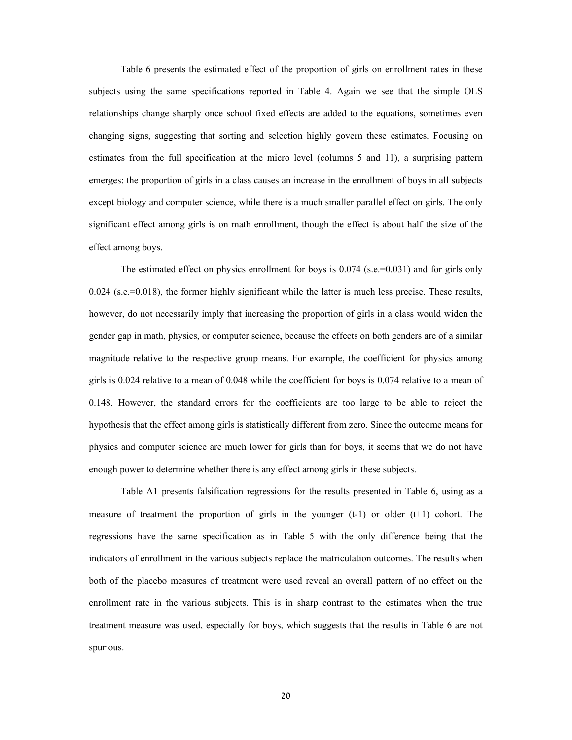Table 6 presents the estimated effect of the proportion of girls on enrollment rates in these subjects using the same specifications reported in Table 4. Again we see that the simple OLS relationships change sharply once school fixed effects are added to the equations, sometimes even changing signs, suggesting that sorting and selection highly govern these estimates. Focusing on estimates from the full specification at the micro level (columns 5 and 11), a surprising pattern emerges: the proportion of girls in a class causes an increase in the enrollment of boys in all subjects except biology and computer science, while there is a much smaller parallel effect on girls. The only significant effect among girls is on math enrollment, though the effect is about half the size of the effect among boys.

The estimated effect on physics enrollment for boys is  $0.074$  (s.e.=0.031) and for girls only 0.024 (s.e.=0.018), the former highly significant while the latter is much less precise. These results, however, do not necessarily imply that increasing the proportion of girls in a class would widen the gender gap in math, physics, or computer science, because the effects on both genders are of a similar magnitude relative to the respective group means. For example, the coefficient for physics among girls is 0.024 relative to a mean of 0.048 while the coefficient for boys is 0.074 relative to a mean of 0.148. However, the standard errors for the coefficients are too large to be able to reject the hypothesis that the effect among girls is statistically different from zero. Since the outcome means for physics and computer science are much lower for girls than for boys, it seems that we do not have enough power to determine whether there is any effect among girls in these subjects.

 Table A1 presents falsification regressions for the results presented in Table 6, using as a measure of treatment the proportion of girls in the younger  $(t-1)$  or older  $(t+1)$  cohort. The regressions have the same specification as in Table 5 with the only difference being that the indicators of enrollment in the various subjects replace the matriculation outcomes. The results when both of the placebo measures of treatment were used reveal an overall pattern of no effect on the enrollment rate in the various subjects. This is in sharp contrast to the estimates when the true treatment measure was used, especially for boys, which suggests that the results in Table 6 are not spurious.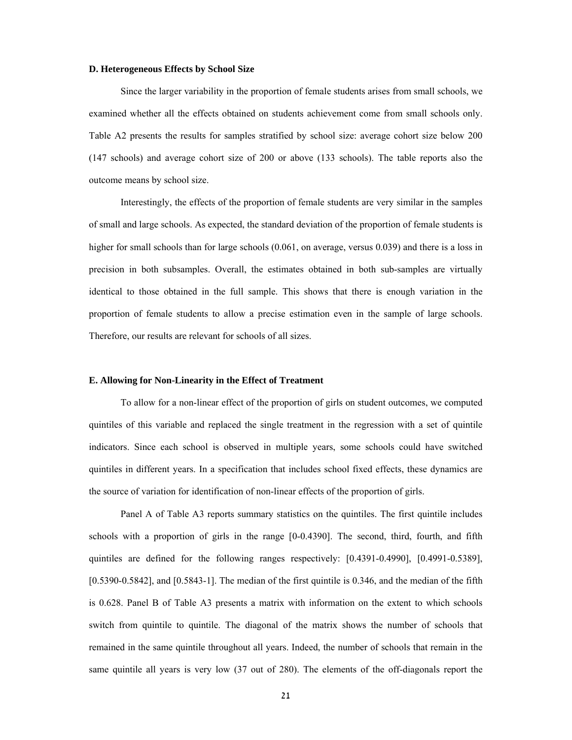#### **D. Heterogeneous Effects by School Size**

Since the larger variability in the proportion of female students arises from small schools, we examined whether all the effects obtained on students achievement come from small schools only. Table A2 presents the results for samples stratified by school size: average cohort size below 200 (147 schools) and average cohort size of 200 or above (133 schools). The table reports also the outcome means by school size.

 Interestingly, the effects of the proportion of female students are very similar in the samples of small and large schools. As expected, the standard deviation of the proportion of female students is higher for small schools than for large schools (0.061, on average, versus 0.039) and there is a loss in precision in both subsamples. Overall, the estimates obtained in both sub-samples are virtually identical to those obtained in the full sample. This shows that there is enough variation in the proportion of female students to allow a precise estimation even in the sample of large schools. Therefore, our results are relevant for schools of all sizes.

## **E. Allowing for Non-Linearity in the Effect of Treatment**

 To allow for a non-linear effect of the proportion of girls on student outcomes, we computed quintiles of this variable and replaced the single treatment in the regression with a set of quintile indicators. Since each school is observed in multiple years, some schools could have switched quintiles in different years. In a specification that includes school fixed effects, these dynamics are the source of variation for identification of non-linear effects of the proportion of girls.

Panel A of Table A3 reports summary statistics on the quintiles. The first quintile includes schools with a proportion of girls in the range [0-0.4390]. The second, third, fourth, and fifth quintiles are defined for the following ranges respectively: [0.4391-0.4990], [0.4991-0.5389], [0.5390-0.5842], and [0.5843-1]. The median of the first quintile is 0.346, and the median of the fifth is 0.628. Panel B of Table A3 presents a matrix with information on the extent to which schools switch from quintile to quintile. The diagonal of the matrix shows the number of schools that remained in the same quintile throughout all years. Indeed, the number of schools that remain in the same quintile all years is very low (37 out of 280). The elements of the off-diagonals report the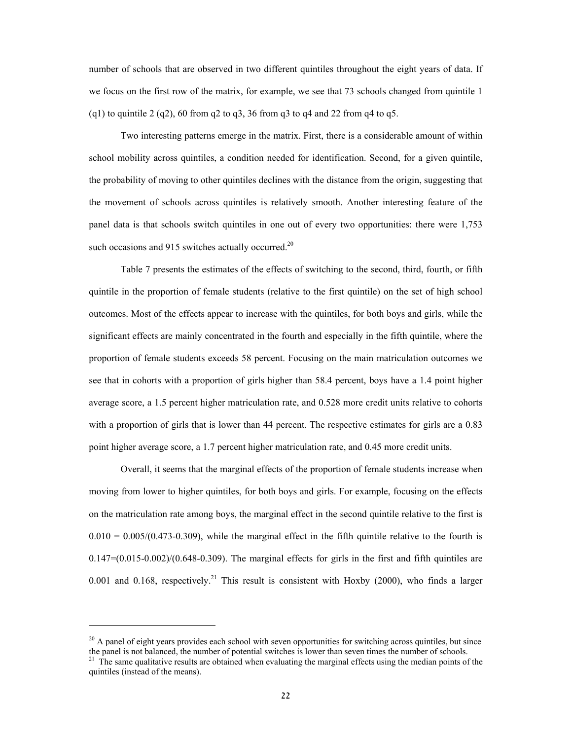number of schools that are observed in two different quintiles throughout the eight years of data. If we focus on the first row of the matrix, for example, we see that 73 schools changed from quintile 1 (q1) to quintile 2 (q2), 60 from q2 to q3, 36 from q3 to q4 and 22 from q4 to q5.

Two interesting patterns emerge in the matrix. First, there is a considerable amount of within school mobility across quintiles, a condition needed for identification. Second, for a given quintile, the probability of moving to other quintiles declines with the distance from the origin, suggesting that the movement of schools across quintiles is relatively smooth. Another interesting feature of the panel data is that schools switch quintiles in one out of every two opportunities: there were 1,753 such occasions and 915 switches actually occurred.<sup>20</sup>

 Table 7 presents the estimates of the effects of switching to the second, third, fourth, or fifth quintile in the proportion of female students (relative to the first quintile) on the set of high school outcomes. Most of the effects appear to increase with the quintiles, for both boys and girls, while the significant effects are mainly concentrated in the fourth and especially in the fifth quintile, where the proportion of female students exceeds 58 percent. Focusing on the main matriculation outcomes we see that in cohorts with a proportion of girls higher than 58.4 percent, boys have a 1.4 point higher average score, a 1.5 percent higher matriculation rate, and 0.528 more credit units relative to cohorts with a proportion of girls that is lower than 44 percent. The respective estimates for girls are a 0.83 point higher average score, a 1.7 percent higher matriculation rate, and 0.45 more credit units.

Overall, it seems that the marginal effects of the proportion of female students increase when moving from lower to higher quintiles, for both boys and girls. For example, focusing on the effects on the matriculation rate among boys, the marginal effect in the second quintile relative to the first is  $0.010 = 0.005/(0.473-0.309)$ , while the marginal effect in the fifth quintile relative to the fourth is  $0.147=(0.015-0.002)/(0.648-0.309)$ . The marginal effects for girls in the first and fifth quintiles are 0.001 and 0.168, respectively.<sup>21</sup> This result is consistent with Hoxby (2000), who finds a larger

 $20$  A panel of eight years provides each school with seven opportunities for switching across quintiles, but since the panel is not balanced, the number of potential switches is lower than seven times the number of schools.

<sup>&</sup>lt;sup>21</sup> The same qualitative results are obtained when evaluating the marginal effects using the median points of the quintiles (instead of the means).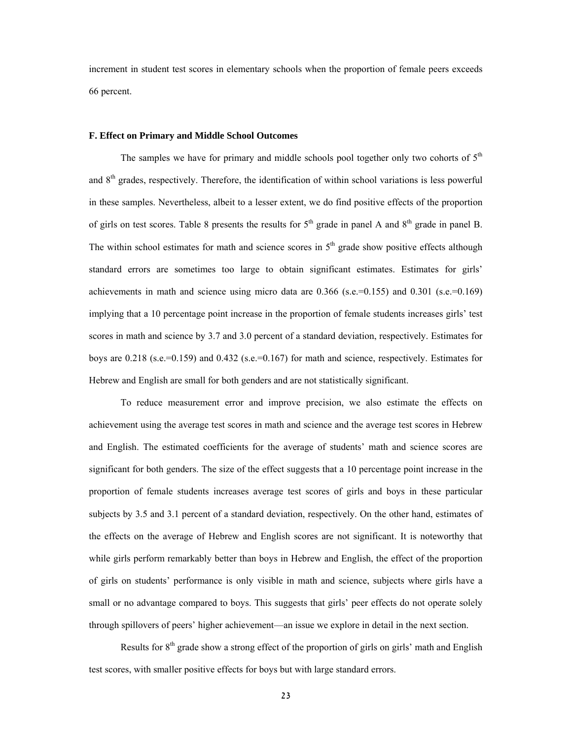increment in student test scores in elementary schools when the proportion of female peers exceeds 66 percent.

#### **F. Effect on Primary and Middle School Outcomes**

The samples we have for primary and middle schools pool together only two cohorts of  $5<sup>th</sup>$ and 8<sup>th</sup> grades, respectively. Therefore, the identification of within school variations is less powerful in these samples. Nevertheless, albeit to a lesser extent, we do find positive effects of the proportion of girls on test scores. Table 8 presents the results for  $5<sup>th</sup>$  grade in panel A and  $8<sup>th</sup>$  grade in panel B. The within school estimates for math and science scores in  $5<sup>th</sup>$  grade show positive effects although standard errors are sometimes too large to obtain significant estimates. Estimates for girls' achievements in math and science using micro data are  $0.366$  (s.e.=0.155) and  $0.301$  (s.e.=0.169) implying that a 10 percentage point increase in the proportion of female students increases girls' test scores in math and science by 3.7 and 3.0 percent of a standard deviation, respectively. Estimates for boys are 0.218 (s.e.=0.159) and 0.432 (s.e.=0.167) for math and science, respectively. Estimates for Hebrew and English are small for both genders and are not statistically significant.

To reduce measurement error and improve precision, we also estimate the effects on achievement using the average test scores in math and science and the average test scores in Hebrew and English. The estimated coefficients for the average of students' math and science scores are significant for both genders. The size of the effect suggests that a 10 percentage point increase in the proportion of female students increases average test scores of girls and boys in these particular subjects by 3.5 and 3.1 percent of a standard deviation, respectively. On the other hand, estimates of the effects on the average of Hebrew and English scores are not significant. It is noteworthy that while girls perform remarkably better than boys in Hebrew and English, the effect of the proportion of girls on students' performance is only visible in math and science, subjects where girls have a small or no advantage compared to boys. This suggests that girls' peer effects do not operate solely through spillovers of peers' higher achievement—an issue we explore in detail in the next section.

Results for 8<sup>th</sup> grade show a strong effect of the proportion of girls on girls' math and English test scores, with smaller positive effects for boys but with large standard errors.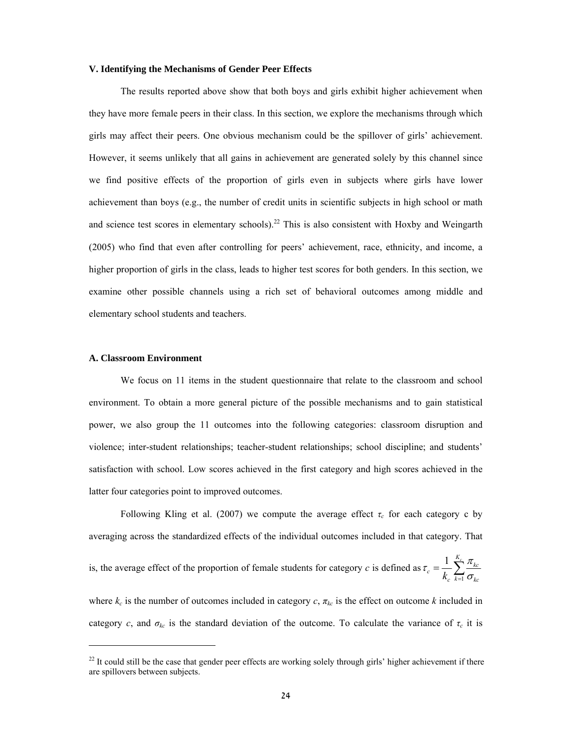### **V. Identifying the Mechanisms of Gender Peer Effects**

The results reported above show that both boys and girls exhibit higher achievement when they have more female peers in their class. In this section, we explore the mechanisms through which girls may affect their peers. One obvious mechanism could be the spillover of girls' achievement. However, it seems unlikely that all gains in achievement are generated solely by this channel since we find positive effects of the proportion of girls even in subjects where girls have lower achievement than boys (e.g., the number of credit units in scientific subjects in high school or math and science test scores in elementary schools).<sup>22</sup> This is also consistent with Hoxby and Weingarth (2005) who find that even after controlling for peers' achievement, race, ethnicity, and income, a higher proportion of girls in the class, leads to higher test scores for both genders. In this section, we examine other possible channels using a rich set of behavioral outcomes among middle and elementary school students and teachers.

#### **A. Classroom Environment**

 $\overline{a}$ 

We focus on 11 items in the student questionnaire that relate to the classroom and school environment. To obtain a more general picture of the possible mechanisms and to gain statistical power, we also group the 11 outcomes into the following categories: classroom disruption and violence; inter-student relationships; teacher-student relationships; school discipline; and students' satisfaction with school. Low scores achieved in the first category and high scores achieved in the latter four categories point to improved outcomes.

Following Kling et al. (2007) we compute the average effect  $\tau_c$  for each category c by averaging across the standardized effects of the individual outcomes included in that category. That is, the average effect of the proportion of female students for category *c* is defined as 1  $\tau_c = \frac{1}{k_c} \sum_{k=1}^{K_c} \frac{\pi_{kc}}{\sigma_{kc}}$  $\tau_c = \frac{1}{k_c} \sum_{k=1}^{c_c} \frac{\pi}{\sigma}$ where  $k_c$  is the number of outcomes included in category  $c$ ,  $\pi_{kc}$  is the effect on outcome  $k$  included in category *c*, and  $\sigma_{kc}$  is the standard deviation of the outcome. To calculate the variance of  $\tau_c$  it is

 $22$  It could still be the case that gender peer effects are working solely through girls' higher achievement if there are spillovers between subjects.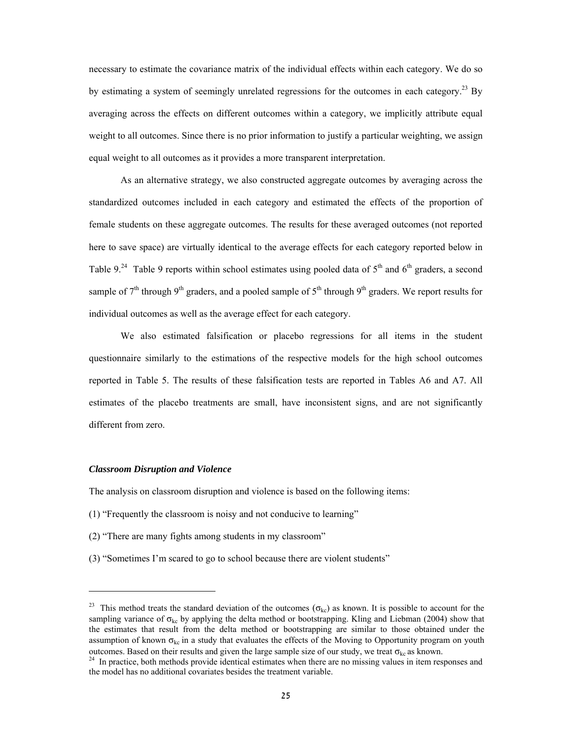necessary to estimate the covariance matrix of the individual effects within each category. We do so by estimating a system of seemingly unrelated regressions for the outcomes in each category.<sup>23</sup> By averaging across the effects on different outcomes within a category, we implicitly attribute equal weight to all outcomes. Since there is no prior information to justify a particular weighting, we assign equal weight to all outcomes as it provides a more transparent interpretation.

As an alternative strategy, we also constructed aggregate outcomes by averaging across the standardized outcomes included in each category and estimated the effects of the proportion of female students on these aggregate outcomes. The results for these averaged outcomes (not reported here to save space) are virtually identical to the average effects for each category reported below in Table 9.<sup>24</sup> Table 9 reports within school estimates using pooled data of  $5<sup>th</sup>$  and  $6<sup>th</sup>$  graders, a second sample of  $7<sup>th</sup>$  through 9<sup>th</sup> graders, and a pooled sample of  $5<sup>th</sup>$  through 9<sup>th</sup> graders. We report results for individual outcomes as well as the average effect for each category.

We also estimated falsification or placebo regressions for all items in the student questionnaire similarly to the estimations of the respective models for the high school outcomes reported in Table 5. The results of these falsification tests are reported in Tables A6 and A7. All estimates of the placebo treatments are small, have inconsistent signs, and are not significantly different from zero.

# *Classroom Disruption and Violence*

 $\overline{a}$ 

The analysis on classroom disruption and violence is based on the following items:

- (1) "Frequently the classroom is noisy and not conducive to learning"
- (2) "There are many fights among students in my classroom"
- (3) "Sometimes I'm scared to go to school because there are violent students"

<sup>&</sup>lt;sup>23</sup> This method treats the standard deviation of the outcomes ( $\sigma_{kc}$ ) as known. It is possible to account for the sampling variance of  $\sigma_{kc}$  by applying the delta method or bootstrapping. Kling and Liebman (2004) show that the estimates that result from the delta method or bootstrapping are similar to those obtained under the assumption of known  $\sigma_{kc}$  in a study that evaluates the effects of the Moving to Opportunity program on youth outcomes. Based on their results and given the large sample size of our study, we treat  $\sigma_{k_c}$  as known. <sup>24</sup> In practice, both methods provide identical estimates when there are no missing values in item responses and

the model has no additional covariates besides the treatment variable.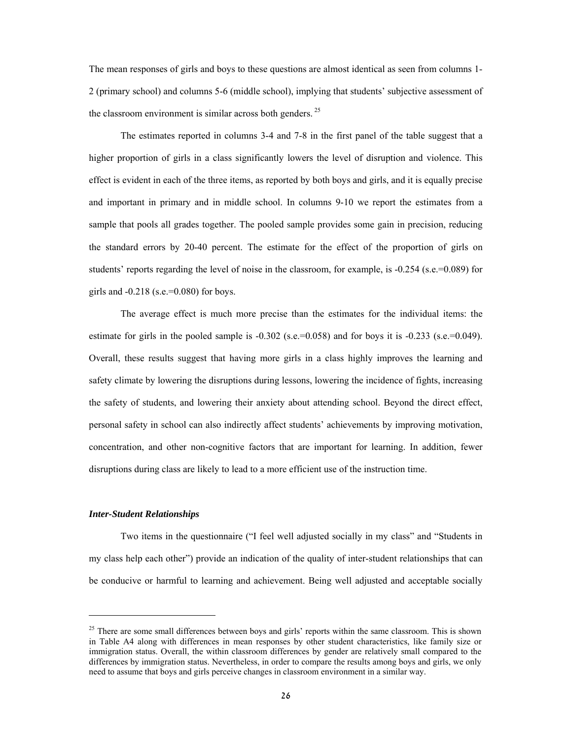The mean responses of girls and boys to these questions are almost identical as seen from columns 1- 2 (primary school) and columns 5-6 (middle school), implying that students' subjective assessment of the classroom environment is similar across both genders.<sup>25</sup>

The estimates reported in columns 3-4 and 7-8 in the first panel of the table suggest that a higher proportion of girls in a class significantly lowers the level of disruption and violence. This effect is evident in each of the three items, as reported by both boys and girls, and it is equally precise and important in primary and in middle school. In columns 9-10 we report the estimates from a sample that pools all grades together. The pooled sample provides some gain in precision, reducing the standard errors by 20-40 percent. The estimate for the effect of the proportion of girls on students' reports regarding the level of noise in the classroom, for example, is -0.254 (s.e.=0.089) for girls and  $-0.218$  (s.e.=0.080) for boys.

The average effect is much more precise than the estimates for the individual items: the estimate for girls in the pooled sample is  $-0.302$  (s.e.=0.058) and for boys it is  $-0.233$  (s.e.=0.049). Overall, these results suggest that having more girls in a class highly improves the learning and safety climate by lowering the disruptions during lessons, lowering the incidence of fights, increasing the safety of students, and lowering their anxiety about attending school. Beyond the direct effect, personal safety in school can also indirectly affect students' achievements by improving motivation, concentration, and other non-cognitive factors that are important for learning. In addition, fewer disruptions during class are likely to lead to a more efficient use of the instruction time.

# *Inter-Student Relationships*

Two items in the questionnaire ("I feel well adjusted socially in my class" and "Students in my class help each other") provide an indication of the quality of inter-student relationships that can be conducive or harmful to learning and achievement. Being well adjusted and acceptable socially

<sup>&</sup>lt;sup>25</sup> There are some small differences between boys and girls' reports within the same classroom. This is shown in Table A4 along with differences in mean responses by other student characteristics, like family size or immigration status. Overall, the within classroom differences by gender are relatively small compared to the differences by immigration status. Nevertheless, in order to compare the results among boys and girls, we only need to assume that boys and girls perceive changes in classroom environment in a similar way.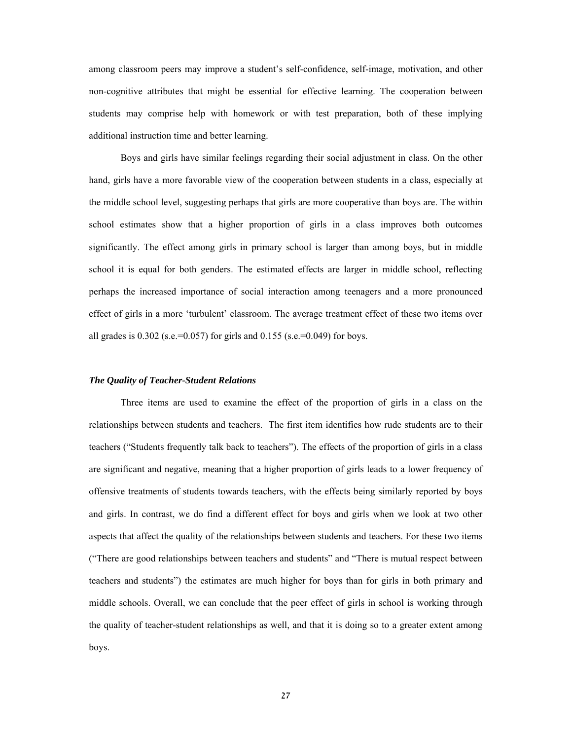among classroom peers may improve a student's self-confidence, self-image, motivation, and other non-cognitive attributes that might be essential for effective learning. The cooperation between students may comprise help with homework or with test preparation, both of these implying additional instruction time and better learning.

Boys and girls have similar feelings regarding their social adjustment in class. On the other hand, girls have a more favorable view of the cooperation between students in a class, especially at the middle school level, suggesting perhaps that girls are more cooperative than boys are. The within school estimates show that a higher proportion of girls in a class improves both outcomes significantly. The effect among girls in primary school is larger than among boys, but in middle school it is equal for both genders. The estimated effects are larger in middle school, reflecting perhaps the increased importance of social interaction among teenagers and a more pronounced effect of girls in a more 'turbulent' classroom. The average treatment effect of these two items over all grades is  $0.302$  (s.e.=0.057) for girls and  $0.155$  (s.e.=0.049) for boys.

# *The Quality of Teacher-Student Relations*

Three items are used to examine the effect of the proportion of girls in a class on the relationships between students and teachers. The first item identifies how rude students are to their teachers ("Students frequently talk back to teachers"). The effects of the proportion of girls in a class are significant and negative, meaning that a higher proportion of girls leads to a lower frequency of offensive treatments of students towards teachers, with the effects being similarly reported by boys and girls. In contrast, we do find a different effect for boys and girls when we look at two other aspects that affect the quality of the relationships between students and teachers. For these two items ("There are good relationships between teachers and students" and "There is mutual respect between teachers and students") the estimates are much higher for boys than for girls in both primary and middle schools. Overall, we can conclude that the peer effect of girls in school is working through the quality of teacher-student relationships as well, and that it is doing so to a greater extent among boys.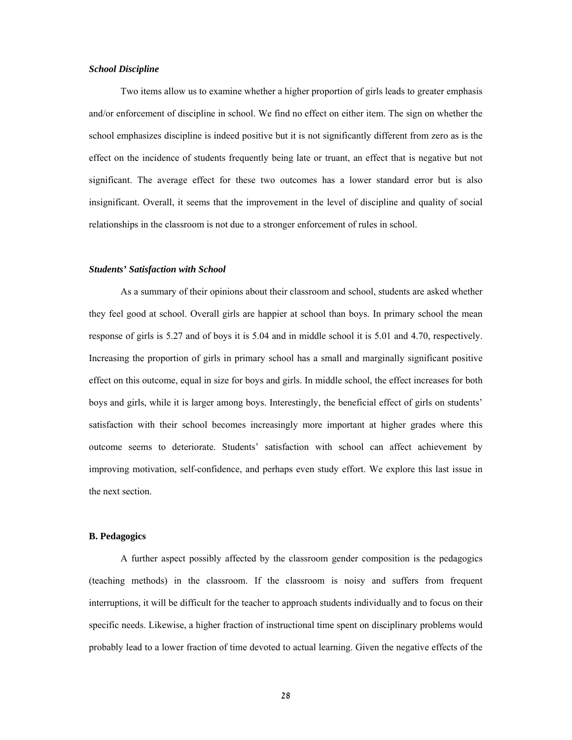### *School Discipline*

 Two items allow us to examine whether a higher proportion of girls leads to greater emphasis and/or enforcement of discipline in school. We find no effect on either item. The sign on whether the school emphasizes discipline is indeed positive but it is not significantly different from zero as is the effect on the incidence of students frequently being late or truant, an effect that is negative but not significant. The average effect for these two outcomes has a lower standard error but is also insignificant. Overall, it seems that the improvement in the level of discipline and quality of social relationships in the classroom is not due to a stronger enforcement of rules in school.

### *Students' Satisfaction with School*

As a summary of their opinions about their classroom and school, students are asked whether they feel good at school. Overall girls are happier at school than boys. In primary school the mean response of girls is 5.27 and of boys it is 5.04 and in middle school it is 5.01 and 4.70, respectively. Increasing the proportion of girls in primary school has a small and marginally significant positive effect on this outcome, equal in size for boys and girls. In middle school, the effect increases for both boys and girls, while it is larger among boys. Interestingly, the beneficial effect of girls on students' satisfaction with their school becomes increasingly more important at higher grades where this outcome seems to deteriorate. Students' satisfaction with school can affect achievement by improving motivation, self-confidence, and perhaps even study effort. We explore this last issue in the next section.

# **B. Pedagogics**

A further aspect possibly affected by the classroom gender composition is the pedagogics (teaching methods) in the classroom. If the classroom is noisy and suffers from frequent interruptions, it will be difficult for the teacher to approach students individually and to focus on their specific needs. Likewise, a higher fraction of instructional time spent on disciplinary problems would probably lead to a lower fraction of time devoted to actual learning. Given the negative effects of the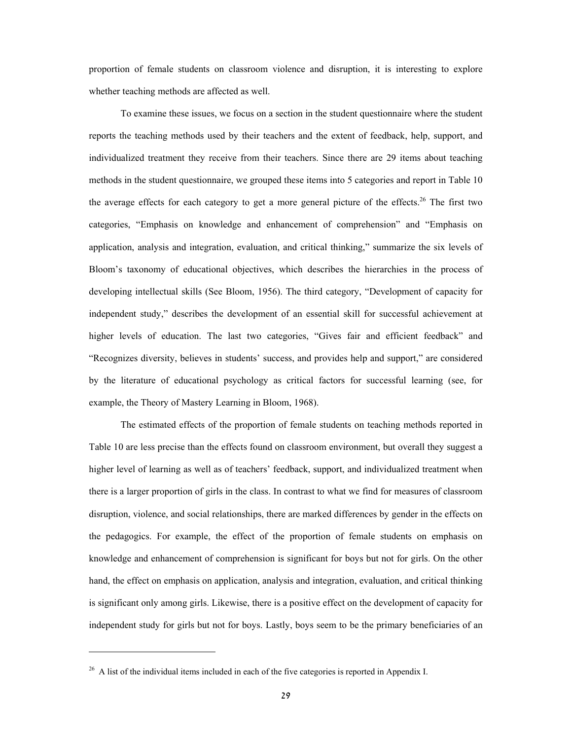proportion of female students on classroom violence and disruption, it is interesting to explore whether teaching methods are affected as well.

To examine these issues, we focus on a section in the student questionnaire where the student reports the teaching methods used by their teachers and the extent of feedback, help, support, and individualized treatment they receive from their teachers. Since there are 29 items about teaching methods in the student questionnaire, we grouped these items into 5 categories and report in Table 10 the average effects for each category to get a more general picture of the effects.<sup>26</sup> The first two categories, "Emphasis on knowledge and enhancement of comprehension" and "Emphasis on application, analysis and integration, evaluation, and critical thinking," summarize the six levels of Bloom's taxonomy of educational objectives, which describes the hierarchies in the process of developing intellectual skills (See Bloom, 1956). The third category, "Development of capacity for independent study," describes the development of an essential skill for successful achievement at higher levels of education. The last two categories, "Gives fair and efficient feedback" and "Recognizes diversity, believes in students' success, and provides help and support," are considered by the literature of educational psychology as critical factors for successful learning (see, for example, the Theory of Mastery Learning in Bloom, 1968).

The estimated effects of the proportion of female students on teaching methods reported in Table 10 are less precise than the effects found on classroom environment, but overall they suggest a higher level of learning as well as of teachers' feedback, support, and individualized treatment when there is a larger proportion of girls in the class. In contrast to what we find for measures of classroom disruption, violence, and social relationships, there are marked differences by gender in the effects on the pedagogics. For example, the effect of the proportion of female students on emphasis on knowledge and enhancement of comprehension is significant for boys but not for girls. On the other hand, the effect on emphasis on application, analysis and integration, evaluation, and critical thinking is significant only among girls. Likewise, there is a positive effect on the development of capacity for independent study for girls but not for boys. Lastly, boys seem to be the primary beneficiaries of an

 $\overline{a}$ 

<sup>&</sup>lt;sup>26</sup> A list of the individual items included in each of the five categories is reported in Appendix I.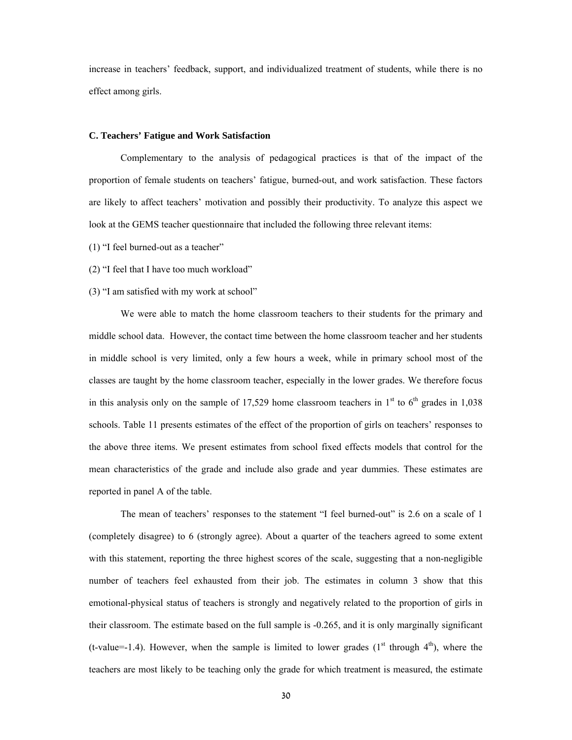increase in teachers' feedback, support, and individualized treatment of students, while there is no effect among girls.

#### **C. Teachers' Fatigue and Work Satisfaction**

Complementary to the analysis of pedagogical practices is that of the impact of the proportion of female students on teachers' fatigue, burned-out, and work satisfaction. These factors are likely to affect teachers' motivation and possibly their productivity. To analyze this aspect we look at the GEMS teacher questionnaire that included the following three relevant items:

(1) "I feel burned-out as a teacher"

(2) "I feel that I have too much workload"

#### (3) "I am satisfied with my work at school"

We were able to match the home classroom teachers to their students for the primary and middle school data. However, the contact time between the home classroom teacher and her students in middle school is very limited, only a few hours a week, while in primary school most of the classes are taught by the home classroom teacher, especially in the lower grades. We therefore focus in this analysis only on the sample of 17,529 home classroom teachers in  $1<sup>st</sup>$  to  $6<sup>th</sup>$  grades in 1,038 schools. Table 11 presents estimates of the effect of the proportion of girls on teachers' responses to the above three items. We present estimates from school fixed effects models that control for the mean characteristics of the grade and include also grade and year dummies. These estimates are reported in panel A of the table.

The mean of teachers' responses to the statement "I feel burned-out" is 2.6 on a scale of 1 (completely disagree) to 6 (strongly agree). About a quarter of the teachers agreed to some extent with this statement, reporting the three highest scores of the scale, suggesting that a non-negligible number of teachers feel exhausted from their job. The estimates in column 3 show that this emotional-physical status of teachers is strongly and negatively related to the proportion of girls in their classroom. The estimate based on the full sample is -0.265, and it is only marginally significant (t-value=-1.4). However, when the sample is limited to lower grades ( $1<sup>st</sup>$  through  $4<sup>th</sup>$ ), where the teachers are most likely to be teaching only the grade for which treatment is measured, the estimate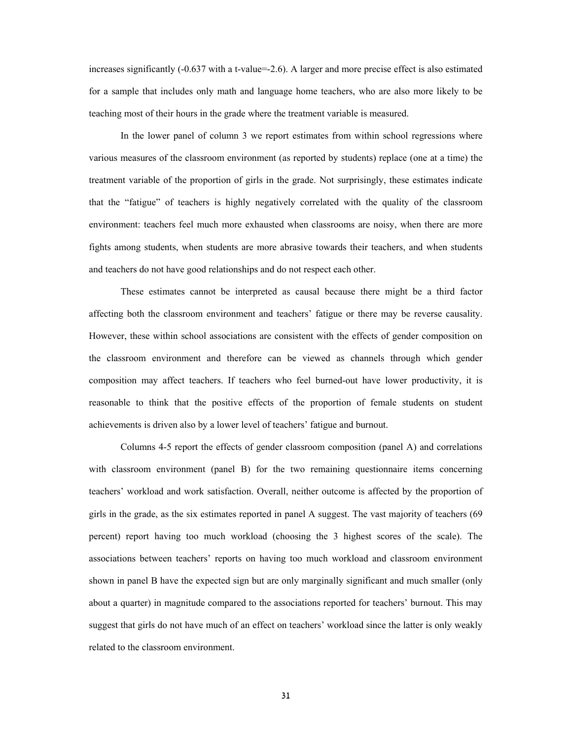increases significantly (-0.637 with a t-value=-2.6). A larger and more precise effect is also estimated for a sample that includes only math and language home teachers, who are also more likely to be teaching most of their hours in the grade where the treatment variable is measured.

In the lower panel of column 3 we report estimates from within school regressions where various measures of the classroom environment (as reported by students) replace (one at a time) the treatment variable of the proportion of girls in the grade. Not surprisingly, these estimates indicate that the "fatigue" of teachers is highly negatively correlated with the quality of the classroom environment: teachers feel much more exhausted when classrooms are noisy, when there are more fights among students, when students are more abrasive towards their teachers, and when students and teachers do not have good relationships and do not respect each other.

These estimates cannot be interpreted as causal because there might be a third factor affecting both the classroom environment and teachers' fatigue or there may be reverse causality. However, these within school associations are consistent with the effects of gender composition on the classroom environment and therefore can be viewed as channels through which gender composition may affect teachers. If teachers who feel burned-out have lower productivity, it is reasonable to think that the positive effects of the proportion of female students on student achievements is driven also by a lower level of teachers' fatigue and burnout.

Columns 4-5 report the effects of gender classroom composition (panel A) and correlations with classroom environment (panel B) for the two remaining questionnaire items concerning teachers' workload and work satisfaction. Overall, neither outcome is affected by the proportion of girls in the grade, as the six estimates reported in panel A suggest. The vast majority of teachers (69 percent) report having too much workload (choosing the 3 highest scores of the scale). The associations between teachers' reports on having too much workload and classroom environment shown in panel B have the expected sign but are only marginally significant and much smaller (only about a quarter) in magnitude compared to the associations reported for teachers' burnout. This may suggest that girls do not have much of an effect on teachers' workload since the latter is only weakly related to the classroom environment.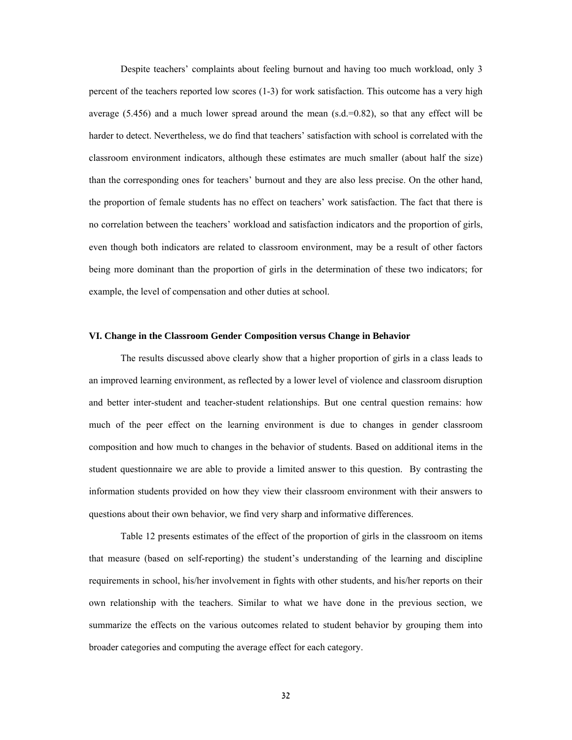Despite teachers' complaints about feeling burnout and having too much workload, only 3 percent of the teachers reported low scores (1-3) for work satisfaction. This outcome has a very high average  $(5.456)$  and a much lower spread around the mean  $(s.d.=0.82)$ , so that any effect will be harder to detect. Nevertheless, we do find that teachers' satisfaction with school is correlated with the classroom environment indicators, although these estimates are much smaller (about half the size) than the corresponding ones for teachers' burnout and they are also less precise. On the other hand, the proportion of female students has no effect on teachers' work satisfaction. The fact that there is no correlation between the teachers' workload and satisfaction indicators and the proportion of girls, even though both indicators are related to classroom environment, may be a result of other factors being more dominant than the proportion of girls in the determination of these two indicators; for example, the level of compensation and other duties at school.

#### **VI. Change in the Classroom Gender Composition versus Change in Behavior**

The results discussed above clearly show that a higher proportion of girls in a class leads to an improved learning environment, as reflected by a lower level of violence and classroom disruption and better inter-student and teacher-student relationships. But one central question remains: how much of the peer effect on the learning environment is due to changes in gender classroom composition and how much to changes in the behavior of students. Based on additional items in the student questionnaire we are able to provide a limited answer to this question. By contrasting the information students provided on how they view their classroom environment with their answers to questions about their own behavior, we find very sharp and informative differences.

Table 12 presents estimates of the effect of the proportion of girls in the classroom on items that measure (based on self-reporting) the student's understanding of the learning and discipline requirements in school, his/her involvement in fights with other students, and his/her reports on their own relationship with the teachers. Similar to what we have done in the previous section, we summarize the effects on the various outcomes related to student behavior by grouping them into broader categories and computing the average effect for each category.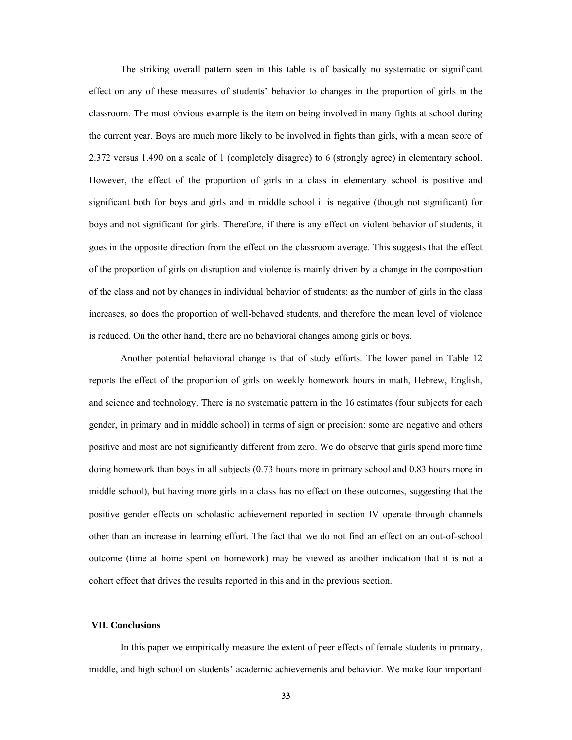The striking overall pattern seen in this table is of basically no systematic or significant effect on any of these measures of students' behavior to changes in the proportion of girls in the classroom. The most obvious example is the item on being involved in many fights at school during the current year. Boys are much more likely to be involved in fights than girls, with a mean score of 2.372 versus 1.490 on a scale of 1 (completely disagree) to 6 (strongly agree) in elementary school. However, the effect of the proportion of girls in a class in elementary school is positive and significant both for boys and girls and in middle school it is negative (though not significant) for boys and not significant for girls. Therefore, if there is any effect on violent behavior of students, it goes in the opposite direction from the effect on the classroom average. This suggests that the effect of the proportion of girls on disruption and violence is mainly driven by a change in the composition of the class and not by changes in individual behavior of students: as the number of girls in the class increases, so does the proportion of well-behaved students, and therefore the mean level of violence is reduced. On the other hand, there are no behavioral changes among girls or boys.

Another potential behavioral change is that of study efforts. The lower panel in Table 12 reports the effect of the proportion of girls on weekly homework hours in math, Hebrew, English, and science and technology. There is no systematic pattern in the 16 estimates (four subjects for each gender, in primary and in middle school) in terms of sign or precision: some are negative and others positive and most are not significantly different from zero. We do observe that girls spend more time doing homework than boys in all subjects (0.73 hours more in primary school and 0.83 hours more in middle school), but having more girls in a class has no effect on these outcomes, suggesting that the positive gender effects on scholastic achievement reported in section IV operate through channels other than an increase in learning effort. The fact that we do not find an effect on an out-of-school outcome (time at home spent on homework) may be viewed as another indication that it is not a cohort effect that drives the results reported in this and in the previous section.

#### **VII. Conclusions**

In this paper we empirically measure the extent of peer effects of female students in primary, middle, and high school on students' academic achievements and behavior. We make four important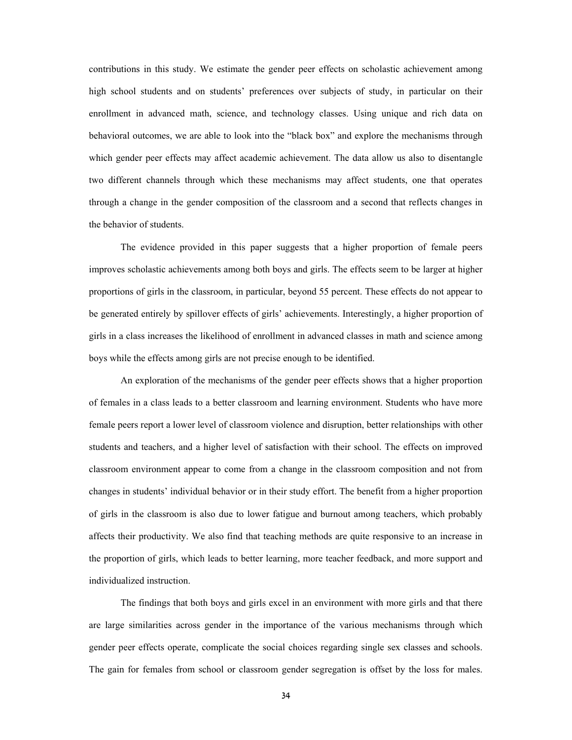contributions in this study. We estimate the gender peer effects on scholastic achievement among high school students and on students' preferences over subjects of study, in particular on their enrollment in advanced math, science, and technology classes. Using unique and rich data on behavioral outcomes, we are able to look into the "black box" and explore the mechanisms through which gender peer effects may affect academic achievement. The data allow us also to disentangle two different channels through which these mechanisms may affect students, one that operates through a change in the gender composition of the classroom and a second that reflects changes in the behavior of students.

The evidence provided in this paper suggests that a higher proportion of female peers improves scholastic achievements among both boys and girls. The effects seem to be larger at higher proportions of girls in the classroom, in particular, beyond 55 percent. These effects do not appear to be generated entirely by spillover effects of girls' achievements. Interestingly, a higher proportion of girls in a class increases the likelihood of enrollment in advanced classes in math and science among boys while the effects among girls are not precise enough to be identified.

An exploration of the mechanisms of the gender peer effects shows that a higher proportion of females in a class leads to a better classroom and learning environment. Students who have more female peers report a lower level of classroom violence and disruption, better relationships with other students and teachers, and a higher level of satisfaction with their school. The effects on improved classroom environment appear to come from a change in the classroom composition and not from changes in students' individual behavior or in their study effort. The benefit from a higher proportion of girls in the classroom is also due to lower fatigue and burnout among teachers, which probably affects their productivity. We also find that teaching methods are quite responsive to an increase in the proportion of girls, which leads to better learning, more teacher feedback, and more support and individualized instruction.

The findings that both boys and girls excel in an environment with more girls and that there are large similarities across gender in the importance of the various mechanisms through which gender peer effects operate, complicate the social choices regarding single sex classes and schools. The gain for females from school or classroom gender segregation is offset by the loss for males.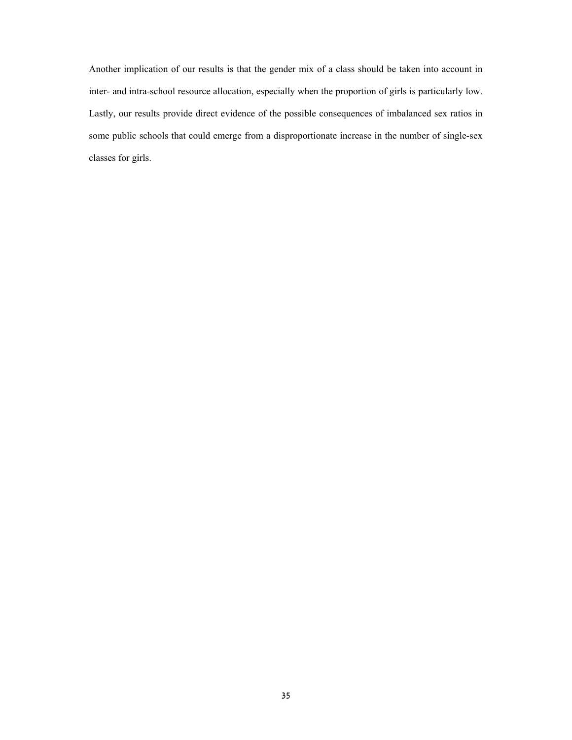Another implication of our results is that the gender mix of a class should be taken into account in inter- and intra-school resource allocation, especially when the proportion of girls is particularly low. Lastly, our results provide direct evidence of the possible consequences of imbalanced sex ratios in some public schools that could emerge from a disproportionate increase in the number of single-sex classes for girls.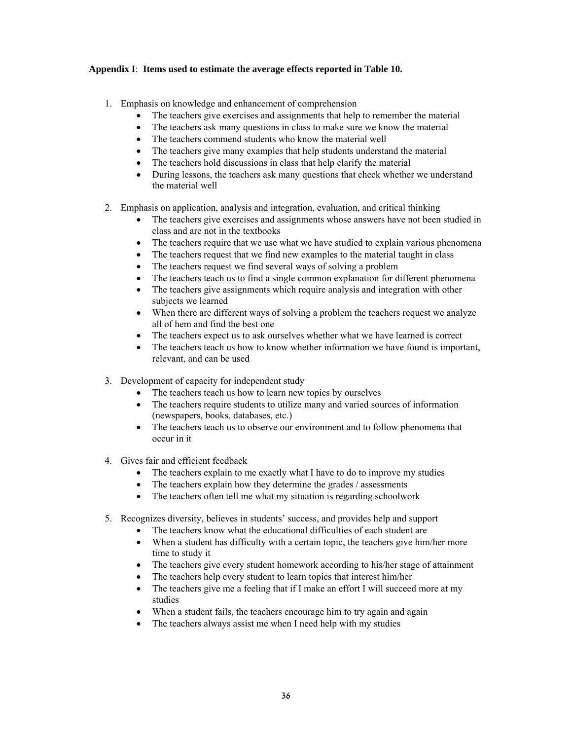# **Appendix I**: **Items used to estimate the average effects reported in Table 10.**

- 1. Emphasis on knowledge and enhancement of comprehension
	- The teachers give exercises and assignments that help to remember the material
	- The teachers ask many questions in class to make sure we know the material
	- The teachers commend students who know the material well
	- The teachers give many examples that help students understand the material
	- The teachers hold discussions in class that help clarify the material
	- During lessons, the teachers ask many questions that check whether we understand the material well
- 2. Emphasis on application, analysis and integration, evaluation, and critical thinking
	- The teachers give exercises and assignments whose answers have not been studied in class and are not in the textbooks
	- The teachers require that we use what we have studied to explain various phenomena
	- The teachers request that we find new examples to the material taught in class
	- The teachers request we find several ways of solving a problem
	- The teachers teach us to find a single common explanation for different phenomena
	- The teachers give assignments which require analysis and integration with other subjects we learned
	- When there are different ways of solving a problem the teachers request we analyze all of hem and find the best one
	- The teachers expect us to ask ourselves whether what we have learned is correct
	- The teachers teach us how to know whether information we have found is important, relevant, and can be used
- 3. Development of capacity for independent study
	- The teachers teach us how to learn new topics by ourselves
	- The teachers require students to utilize many and varied sources of information (newspapers, books, databases, etc.)
	- The teachers teach us to observe our environment and to follow phenomena that occur in it
- 4. Gives fair and efficient feedback
	- The teachers explain to me exactly what I have to do to improve my studies
	- The teachers explain how they determine the grades / assessments
	- The teachers often tell me what my situation is regarding schoolwork
- 5. Recognizes diversity, believes in students' success, and provides help and support
	- The teachers know what the educational difficulties of each student are
	- When a student has difficulty with a certain topic, the teachers give him/her more time to study it
	- The teachers give every student homework according to his/her stage of attainment
	- The teachers help every student to learn topics that interest him/her
	- The teachers give me a feeling that if I make an effort I will succeed more at my studies
	- When a student fails, the teachers encourage him to try again and again
	- The teachers always assist me when I need help with my studies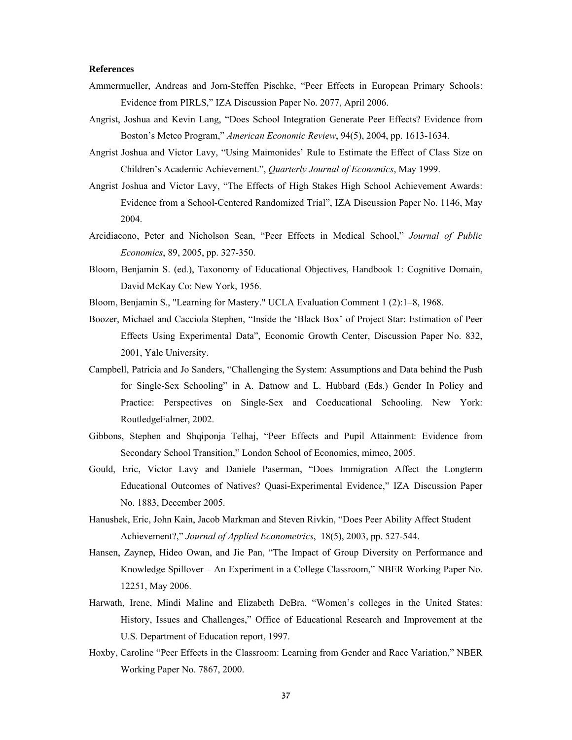#### **References**

- Ammermueller, Andreas and Jorn-Steffen Pischke, "Peer Effects in European Primary Schools: Evidence from PIRLS," IZA Discussion Paper No. 2077, April 2006.
- Angrist, Joshua and Kevin Lang, "Does School Integration Generate Peer Effects? Evidence from Boston's Metco Program," *American Economic Review*, 94(5), 2004, pp. 1613-1634.
- Angrist Joshua and Victor Lavy, "Using Maimonides' Rule to Estimate the Effect of Class Size on Children's Academic Achievement.", *Quarterly Journal of Economics*, May 1999.
- Angrist Joshua and Victor Lavy, "The Effects of High Stakes High School Achievement Awards: Evidence from a School-Centered Randomized Trial", IZA Discussion Paper No. 1146, May 2004.
- Arcidiacono, Peter and Nicholson Sean, "Peer Effects in Medical School," *Journal of Public Economics*, 89, 2005, pp. 327-350.
- Bloom, Benjamin S. (ed.), Taxonomy of Educational Objectives, Handbook 1: Cognitive Domain, David McKay Co: New York, 1956.
- Bloom, Benjamin S., "Learning for Mastery." UCLA Evaluation Comment 1 (2):1–8, 1968.
- Boozer, Michael and Cacciola Stephen, "Inside the 'Black Box' of Project Star: Estimation of Peer Effects Using Experimental Data", Economic Growth Center, Discussion Paper No. 832, 2001, Yale University.
- Campbell, Patricia and Jo Sanders, "Challenging the System: Assumptions and Data behind the Push for Single-Sex Schooling" in A. Datnow and L. Hubbard (Eds.) Gender In Policy and Practice: Perspectives on Single-Sex and Coeducational Schooling. New York: RoutledgeFalmer, 2002.
- Gibbons, Stephen and Shqiponja Telhaj, "Peer Effects and Pupil Attainment: Evidence from Secondary School Transition," London School of Economics, mimeo, 2005.
- Gould, Eric, Victor Lavy and Daniele Paserman, "Does Immigration Affect the Longterm Educational Outcomes of Natives? Quasi-Experimental Evidence," IZA Discussion Paper No. 1883, December 2005.
- Hanushek, Eric, John Kain, Jacob Markman and Steven Rivkin, "Does Peer Ability Affect Student Achievement?," *Journal of Applied Econometrics*,18(5), 2003, pp. 527-544.
- Hansen, Zaynep, Hideo Owan, and Jie Pan, "The Impact of Group Diversity on Performance and Knowledge Spillover – An Experiment in a College Classroom," NBER Working Paper No. 12251, May 2006.
- Harwath, Irene, Mindi Maline and Elizabeth DeBra, "Women's colleges in the United States: History, Issues and Challenges," Office of Educational Research and Improvement at the U.S. Department of Education report, 1997.
- Hoxby, Caroline "Peer Effects in the Classroom: Learning from Gender and Race Variation," NBER Working Paper No. 7867, 2000.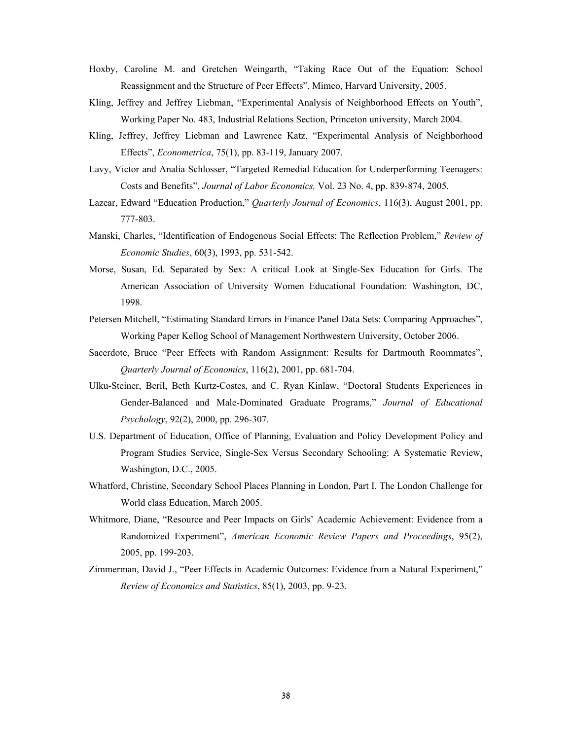- Hoxby, Caroline M. and Gretchen Weingarth, "Taking Race Out of the Equation: School Reassignment and the Structure of Peer Effects", Mimeo, Harvard University, 2005.
- Kling, Jeffrey and Jeffrey Liebman, "Experimental Analysis of Neighborhood Effects on Youth", Working Paper No. 483, Industrial Relations Section, Princeton university, March 2004.
- Kling, Jeffrey, Jeffrey Liebman and Lawrence Katz, "Experimental Analysis of Neighborhood Effects", *Econometrica*, 75(1), pp. 83-119, January 2007.
- Lavy, Victor and Analía Schlosser, "Targeted Remedial Education for Underperforming Teenagers: Costs and Benefits", *Journal of Labor Economics,* Vol. 23 No. 4, pp. 839-874, 2005.
- Lazear, Edward "Education Production," *Quarterly Journal of Economics*, 116(3), August 2001, pp. 777-803.
- Manski, Charles, "Identification of Endogenous Social Effects: The Reflection Problem," *Review of Economic Studies*, 60(3), 1993, pp. 531-542.
- Morse, Susan, Ed. Separated by Sex: A critical Look at Single-Sex Education for Girls. The American Association of University Women Educational Foundation: Washington, DC, 1998.
- Petersen Mitchell, "Estimating Standard Errors in Finance Panel Data Sets: Comparing Approaches", Working Paper Kellog School of Management Northwestern University, October 2006.
- Sacerdote, Bruce "Peer Effects with Random Assignment: Results for Dartmouth Roommates", *Quarterly Journal of Economics*, 116(2), 2001, pp. 681-704.
- Ulku-Steiner, Beril, Beth Kurtz-Costes, and C. Ryan Kinlaw, "Doctoral Students Experiences in Gender-Balanced and Male-Dominated Graduate Programs," *Journal of Educational Psychology*, 92(2), 2000, pp. 296-307.
- U.S. Department of Education, Office of Planning, Evaluation and Policy Development Policy and Program Studies Service, Single-Sex Versus Secondary Schooling: A Systematic Review, Washington, D.C., 2005.
- Whatford, Christine, Secondary School Places Planning in London, Part I. The London Challenge for World class Education, March 2005.
- Whitmore, Diane, "Resource and Peer Impacts on Girls' Academic Achievement: Evidence from a Randomized Experiment", *American Economic Review Papers and Proceedings*, 95(2), 2005, pp. 199-203.
- Zimmerman, David J., "Peer Effects in Academic Outcomes: Evidence from a Natural Experiment," *Review of Economics and Statistics*, 85(1), 2003, pp. 9-23.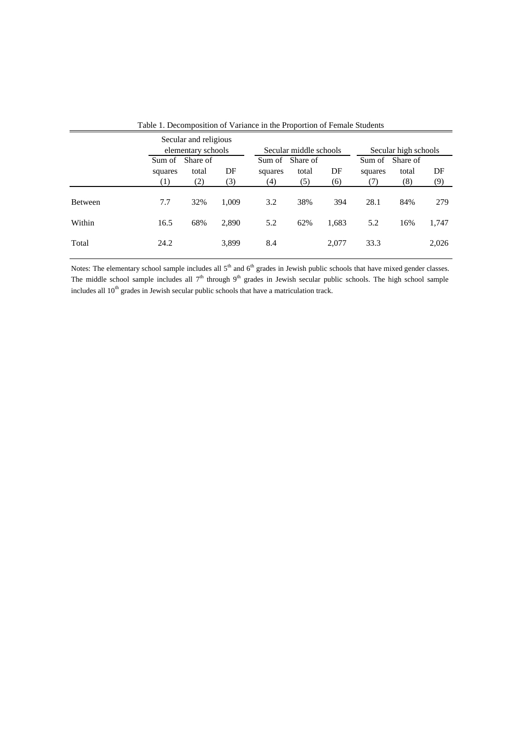|                |                          | Secular and religious<br>elementary schools |           |                | Secular middle schools          |           | Secular high schools |                          |           |
|----------------|--------------------------|---------------------------------------------|-----------|----------------|---------------------------------|-----------|----------------------|--------------------------|-----------|
|                | Sum of<br>squares<br>(1) | Share of<br>total<br>(2)                    | DF<br>(3) | squares<br>(4) | Sum of Share of<br>total<br>(5) | DF<br>(6) | Sum of<br>squares    | Share of<br>total<br>(8) | DF<br>(9) |
| <b>Between</b> | 7.7                      | 32%                                         | 1.009     | 3.2            | 38%                             | 394       | 28.1                 | 84%                      | 279       |
| Within         | 16.5                     | 68%                                         | 2,890     | 5.2            | 62%                             | 1,683     | 5.2                  | 16%                      | 1,747     |
| Total          | 24.2                     |                                             | 3,899     | 8.4            |                                 | 2,077     | 33.3                 |                          | 2,026     |

Table 1. Decomposition of Variance in the Proportion of Female Students

Notes: The elementary school sample includes all  $5<sup>th</sup>$  and  $6<sup>th</sup>$  grades in Jewish public schools that have mixed gender classes. The middle school sample includes all  $7<sup>th</sup>$  through  $9<sup>th</sup>$  grades in Jewish secular public schools. The high school sample includes all  $10<sup>th</sup>$  grades in Jewish secular public schools that have a matriculation track.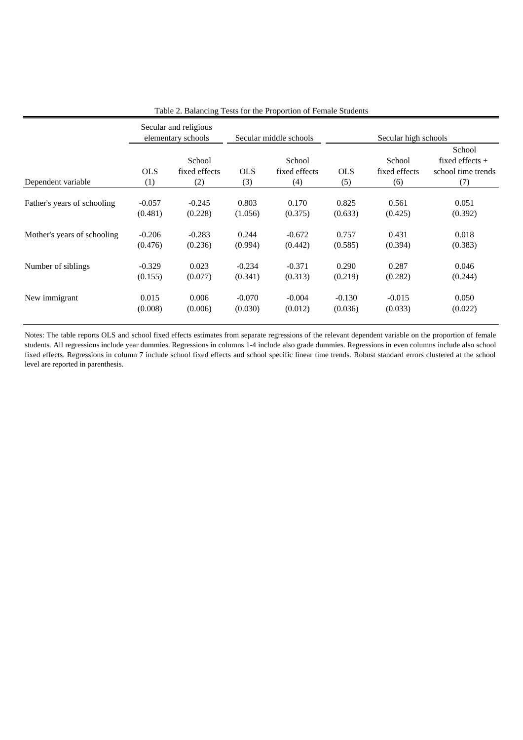|                             |                   | Secular and religious<br>elementary schools |                   | Secular middle schools         | Secular high schools |                                |                                                          |  |
|-----------------------------|-------------------|---------------------------------------------|-------------------|--------------------------------|----------------------|--------------------------------|----------------------------------------------------------|--|
| Dependent variable          | <b>OLS</b><br>(1) | School<br>fixed effects<br>(2)              | <b>OLS</b><br>(3) | School<br>fixed effects<br>(4) | <b>OLS</b><br>(5)    | School<br>fixed effects<br>(6) | School<br>fixed effects $+$<br>school time trends<br>(7) |  |
| Father's years of schooling | $-0.057$          | $-0.245$                                    | 0.803             | 0.170                          | 0.825                | 0.561                          | 0.051                                                    |  |
|                             | (0.481)           | (0.228)                                     | (1.056)           | (0.375)                        | (0.633)              | (0.425)                        | (0.392)                                                  |  |
| Mother's years of schooling | $-0.206$          | $-0.283$                                    | 0.244             | $-0.672$                       | 0.757                | 0.431                          | 0.018                                                    |  |
|                             | (0.476)           | (0.236)                                     | (0.994)           | (0.442)                        | (0.585)              | (0.394)                        | (0.383)                                                  |  |
| Number of siblings          | $-0.329$          | 0.023                                       | $-0.234$          | $-0.371$                       | 0.290                | 0.287                          | 0.046                                                    |  |
|                             | (0.155)           | (0.077)                                     | (0.341)           | (0.313)                        | (0.219)              | (0.282)                        | (0.244)                                                  |  |
| New immigrant               | 0.015             | 0.006                                       | $-0.070$          | $-0.004$                       | $-0.130$             | $-0.015$                       | 0.050                                                    |  |
|                             | (0.008)           | (0.006)                                     | (0.030)           | (0.012)                        | (0.036)              | (0.033)                        | (0.022)                                                  |  |

Table 2. Balancing Tests for the Proportion of Female Students

Notes: The table reports OLS and school fixed effects estimates from separate regressions of the relevant dependent variable on the proportion of female students. All regressions include year dummies. Regressions in columns 1-4 include also grade dummies. Regressions in even columns include also school fixed effects. Regressions in column 7 include school fixed effects and school specific linear time trends. Robust standard errors clustered at the school level are reported in parenthesis.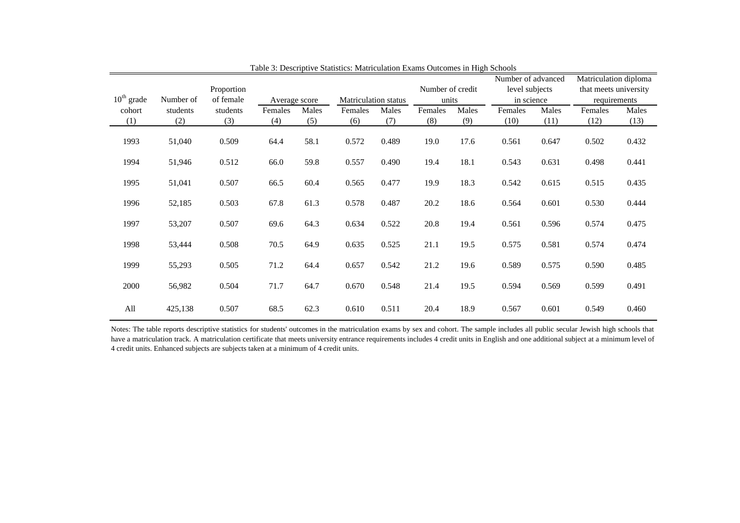| Proportion<br>$10th$ grade<br>Number of<br>of female |          | Average score |         |       | Matriculation status |       | Number of credit<br>units |       | Number of advanced<br>level subjects<br>in science |       | Matriculation diploma<br>that meets university<br>requirements |       |
|------------------------------------------------------|----------|---------------|---------|-------|----------------------|-------|---------------------------|-------|----------------------------------------------------|-------|----------------------------------------------------------------|-------|
| cohort                                               | students | students      | Females | Males | Females              | Males | Females                   | Males | Females                                            | Males | Females                                                        | Males |
| (1)                                                  | (2)      | (3)           | (4)     | (5)   | (6)                  | (7)   | (8)                       | (9)   | (10)                                               | (11)  | (12)                                                           | (13)  |
| 1993                                                 | 51,040   | 0.509         | 64.4    | 58.1  | 0.572                | 0.489 | 19.0                      | 17.6  | 0.561                                              | 0.647 | 0.502                                                          | 0.432 |
| 1994                                                 | 51,946   | 0.512         | 66.0    | 59.8  | 0.557                | 0.490 | 19.4                      | 18.1  | 0.543                                              | 0.631 | 0.498                                                          | 0.441 |
| 1995                                                 | 51,041   | 0.507         | 66.5    | 60.4  | 0.565                | 0.477 | 19.9                      | 18.3  | 0.542                                              | 0.615 | 0.515                                                          | 0.435 |
| 1996                                                 | 52,185   | 0.503         | 67.8    | 61.3  | 0.578                | 0.487 | 20.2                      | 18.6  | 0.564                                              | 0.601 | 0.530                                                          | 0.444 |
| 1997                                                 | 53,207   | 0.507         | 69.6    | 64.3  | 0.634                | 0.522 | 20.8                      | 19.4  | 0.561                                              | 0.596 | 0.574                                                          | 0.475 |
| 1998                                                 | 53,444   | 0.508         | 70.5    | 64.9  | 0.635                | 0.525 | 21.1                      | 19.5  | 0.575                                              | 0.581 | 0.574                                                          | 0.474 |
| 1999                                                 | 55,293   | 0.505         | 71.2    | 64.4  | 0.657                | 0.542 | 21.2                      | 19.6  | 0.589                                              | 0.575 | 0.590                                                          | 0.485 |
| 2000                                                 | 56,982   | 0.504         | 71.7    | 64.7  | 0.670                | 0.548 | 21.4                      | 19.5  | 0.594                                              | 0.569 | 0.599                                                          | 0.491 |
| All                                                  | 425,138  | 0.507         | 68.5    | 62.3  | 0.610                | 0.511 | 20.4                      | 18.9  | 0.567                                              | 0.601 | 0.549                                                          | 0.460 |

Table 3: Descriptive Statistics: Matriculation Exams Outcomes in High Schools

Notes: The table reports descriptive statistics for students' outcomes in the matriculation exams by sex and cohort. The sample includes all public secular Jewish high schools that have <sup>a</sup> matriculation track. A matriculation certificate that meets university entrance requirements includes 4 credit units in English and one additional subject at <sup>a</sup> minimum level of 4 credit units. Enhanced subjects are subjects taken at a minimum of 4 credit units.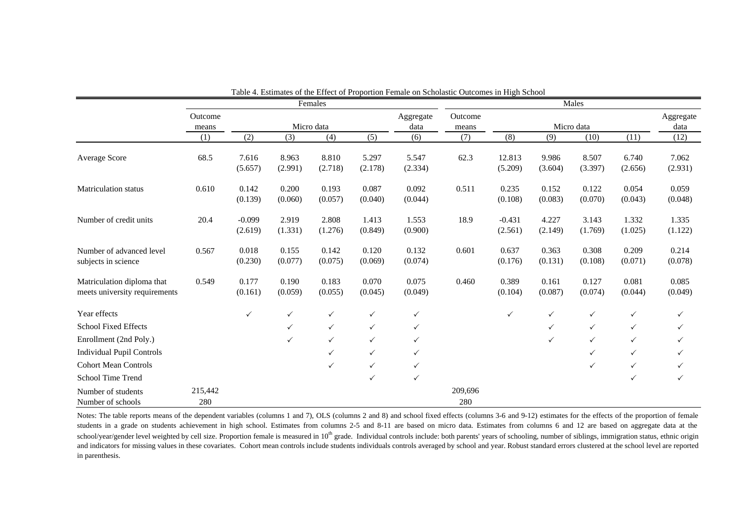|                                                             |                  |                     |                  | Females          |                  |                   | Males            |                     |                  |                  |                  |                   |
|-------------------------------------------------------------|------------------|---------------------|------------------|------------------|------------------|-------------------|------------------|---------------------|------------------|------------------|------------------|-------------------|
|                                                             | Outcome<br>means |                     |                  | Micro data       |                  | Aggregate<br>data | Outcome<br>means |                     |                  | Micro data       |                  | Aggregate<br>data |
|                                                             | (1)              | (2)                 | (3)              | (4)              | (5)              | (6)               | (7)              | (8)                 | (9)              | (10)             | (11)             | (12)              |
| <b>Average Score</b>                                        | 68.5             | 7.616<br>(5.657)    | 8.963<br>(2.991) | 8.810<br>(2.718) | 5.297<br>(2.178) | 5.547<br>(2.334)  | 62.3             | 12.813<br>(5.209)   | 9.986<br>(3.604) | 8.507<br>(3.397) | 6.740<br>(2.656) | 7.062<br>(2.931)  |
| <b>Matriculation status</b>                                 | 0.610            | 0.142<br>(0.139)    | 0.200<br>(0.060) | 0.193<br>(0.057) | 0.087<br>(0.040) | 0.092<br>(0.044)  | 0.511            | 0.235<br>(0.108)    | 0.152<br>(0.083) | 0.122<br>(0.070) | 0.054<br>(0.043) | 0.059<br>(0.048)  |
| Number of credit units                                      | 20.4             | $-0.099$<br>(2.619) | 2.919<br>(1.331) | 2.808<br>(1.276) | 1.413<br>(0.849) | 1.553<br>(0.900)  | 18.9             | $-0.431$<br>(2.561) | 4.227<br>(2.149) | 3.143<br>(1.769) | 1.332<br>(1.025) | 1.335<br>(1.122)  |
| Number of advanced level<br>subjects in science             | 0.567            | 0.018<br>(0.230)    | 0.155<br>(0.077) | 0.142<br>(0.075) | 0.120<br>(0.069) | 0.132<br>(0.074)  | 0.601            | 0.637<br>(0.176)    | 0.363<br>(0.131) | 0.308<br>(0.108) | 0.209<br>(0.071) | 0.214<br>(0.078)  |
| Matriculation diploma that<br>meets university requirements | 0.549            | 0.177<br>(0.161)    | 0.190<br>(0.059) | 0.183<br>(0.055) | 0.070<br>(0.045) | 0.075<br>(0.049)  | 0.460            | 0.389<br>(0.104)    | 0.161<br>(0.087) | 0.127<br>(0.074) | 0.081<br>(0.044) | 0.085<br>(0.049)  |
| Year effects                                                |                  | $\checkmark$        | $\checkmark$     | $\checkmark$     | $\checkmark$     | $\checkmark$      |                  | $\checkmark$        | $\checkmark$     | $\checkmark$     | $\checkmark$     | ✓                 |
| <b>School Fixed Effects</b>                                 |                  |                     | $\checkmark$     | $\checkmark$     | $\checkmark$     | $\checkmark$      |                  |                     | $\checkmark$     | $\checkmark$     | $\checkmark$     | ✓                 |
| Enrollment (2nd Poly.)                                      |                  |                     | $\checkmark$     | $\checkmark$     | $\checkmark$     | $\checkmark$      |                  |                     | $\checkmark$     | $\checkmark$     | $\checkmark$     | ✓                 |
| <b>Individual Pupil Controls</b>                            |                  |                     |                  | $\checkmark$     | $\checkmark$     | $\checkmark$      |                  |                     |                  | ✓                | $\checkmark$     |                   |
| <b>Cohort Mean Controls</b>                                 |                  |                     |                  | $\checkmark$     | $\checkmark$     | $\checkmark$      |                  |                     |                  | ✓                | $\checkmark$     |                   |
| School Time Trend                                           |                  |                     |                  |                  | ✓                | $\checkmark$      |                  |                     |                  |                  | $\checkmark$     | ✓                 |
| Number of students<br>Number of schools                     | 215,442<br>280   |                     |                  |                  |                  |                   | 209,696<br>280   |                     |                  |                  |                  |                   |

Table 4. Estimates of the Effect of Proportion Female on Scholastic Outcomes in High School

Notes: The table reports means of the dependent variables (columns 1 and 7), OLS (columns 2 and 8) and school fixed effects (columns 3-6 and 9-12) estimates for the effects of the proportion of female students in <sup>a</sup> grade on students achievement in high school. Estimates from columns 2-5 and 8-11 are based on micro data. Estimates from columns 6 and 12 are based on aggregate data at the school/year/gender level weighted by cell size. Proportion female is measured in 10<sup>th</sup> grade. Individual controls include: both parents' years of schooling, number of siblings, immigration status, ethnic origin and indicators for missing values in these covariates. Cohort mean controls include students individuals controls averaged by school and year. Robust standard errors clustered at the school level are reported in parenthesis.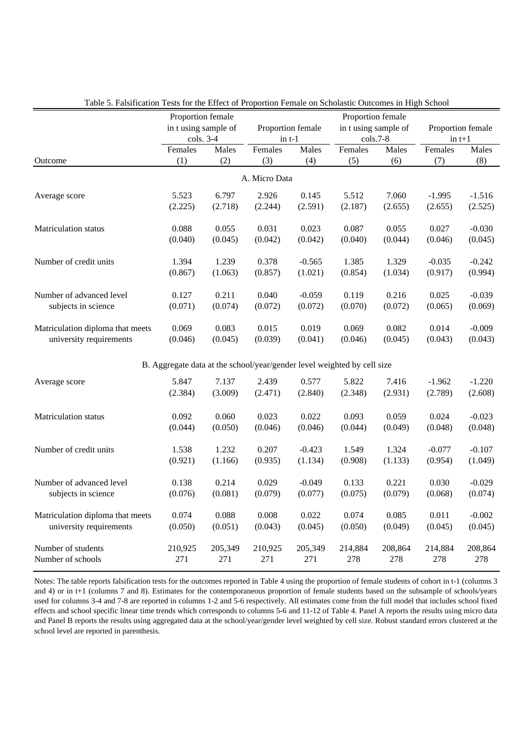|                                  | Proportion female                                                       |           |               |                   | Proportion female |                      |                   |          |  |
|----------------------------------|-------------------------------------------------------------------------|-----------|---------------|-------------------|-------------------|----------------------|-------------------|----------|--|
|                                  | in t using sample of                                                    |           |               | Proportion female |                   | in t using sample of | Proportion female |          |  |
|                                  |                                                                         | cols. 3-4 |               | $in t-1$          |                   | $\cosh 7-8$          | $in t+1$          |          |  |
|                                  | Females                                                                 | Males     | Females       | Males             | Females           | Males                | Females           | Males    |  |
| Outcome                          | (1)                                                                     | (2)       | (3)           | (4)               | (5)               | (6)                  | (7)               | (8)      |  |
|                                  |                                                                         |           | A. Micro Data |                   |                   |                      |                   |          |  |
| Average score                    | 5.523                                                                   | 6.797     | 2.926         | 0.145             | 5.512             | 7.060                | $-1.995$          | $-1.516$ |  |
|                                  | (2.225)                                                                 | (2.718)   | (2.244)       | (2.591)           | (2.187)           | (2.655)              | (2.655)           | (2.525)  |  |
| <b>Matriculation status</b>      | 0.088                                                                   | 0.055     | 0.031         | 0.023             | 0.087             | 0.055                | 0.027             | $-0.030$ |  |
|                                  | (0.040)                                                                 | (0.045)   | (0.042)       | (0.042)           | (0.040)           | (0.044)              | (0.046)           | (0.045)  |  |
| Number of credit units           | 1.394                                                                   | 1.239     | 0.378         | $-0.565$          | 1.385             | 1.329                | $-0.035$          | $-0.242$ |  |
|                                  | (0.867)                                                                 | (1.063)   | (0.857)       | (1.021)           | (0.854)           | (1.034)              | (0.917)           | (0.994)  |  |
| Number of advanced level         | 0.127                                                                   | 0.211     | 0.040         | $-0.059$          | 0.119             | 0.216                | 0.025             | $-0.039$ |  |
| subjects in science              | (0.071)                                                                 | (0.074)   | (0.072)       | (0.072)           | (0.070)           | (0.072)              | (0.065)           | (0.069)  |  |
| Matriculation diploma that meets | 0.069                                                                   | 0.083     | 0.015         | 0.019             | 0.069             | 0.082                | 0.014             | $-0.009$ |  |
| university requirements          | (0.046)                                                                 | (0.045)   | (0.039)       | (0.041)           | (0.046)           | (0.045)              | (0.043)           | (0.043)  |  |
|                                  | B. Aggregate data at the school/year/gender level weighted by cell size |           |               |                   |                   |                      |                   |          |  |
| Average score                    | 5.847                                                                   | 7.137     | 2.439         | 0.577             | 5.822             | 7.416                | $-1.962$          | $-1.220$ |  |
|                                  | (2.384)                                                                 | (3.009)   | (2.471)       | (2.840)           | (2.348)           | (2.931)              | (2.789)           | (2.608)  |  |
| Matriculation status             | 0.092                                                                   | 0.060     | 0.023         | 0.022             | 0.093             | 0.059                | 0.024             | $-0.023$ |  |
|                                  | (0.044)                                                                 | (0.050)   | (0.046)       | (0.046)           | (0.044)           | (0.049)              | (0.048)           | (0.048)  |  |
| Number of credit units           | 1.538                                                                   | 1.232     | 0.207         | $-0.423$          | 1.549             | 1.324                | $-0.077$          | $-0.107$ |  |
|                                  | (0.921)                                                                 | (1.166)   | (0.935)       | (1.134)           | (0.908)           | (1.133)              | (0.954)           | (1.049)  |  |
| Number of advanced level         | 0.138                                                                   | 0.214     | 0.029         | $-0.049$          | 0.133             | 0.221                | 0.030             | $-0.029$ |  |
| subjects in science              | (0.076)                                                                 | (0.081)   | (0.079)       | (0.077)           | (0.075)           | (0.079)              | (0.068)           | (0.074)  |  |
| Matriculation diploma that meets | 0.074                                                                   | 0.088     | 0.008         | 0.022             | 0.074             | 0.085                | 0.011             | $-0.002$ |  |
| university requirements          | (0.050)                                                                 | (0.051)   | (0.043)       | (0.045)           | (0.050)           | (0.049)              | (0.045)           | (0.045)  |  |
| Number of students               | 210,925                                                                 | 205,349   | 210,925       | 205,349           | 214,884           | 208,864              | 214,884           | 208,864  |  |
| Number of schools                | 271                                                                     | 271       | 271           | 271               | 278               | 278                  | 278               | 278      |  |

Table 5. Falsification Tests for the Effect of Proportion Female on Scholastic Outcomes in High School

Notes: The table reports falsification tests for the outcomes reported in Table 4 using the proportion of female students of cohort in t-1 (columns 3 and 4) or in t+1 (columns 7 and 8). Estimates for the contemporaneous proportion of female students based on the subsample of schools/years used for columns 3-4 and 7-8 are reported in columns 1-2 and 5-6 respectively. All estimates come from the full model that includes school fixed effects and school specific linear time trends which corresponds to columns 5-6 and 11-12 of Table 4. Panel A reports the results using micro data and Panel B reports the results using aggregated data at the school/year/gender level weighted by cell size. Robust standard errors clustered at the school level are reported in parenthesis.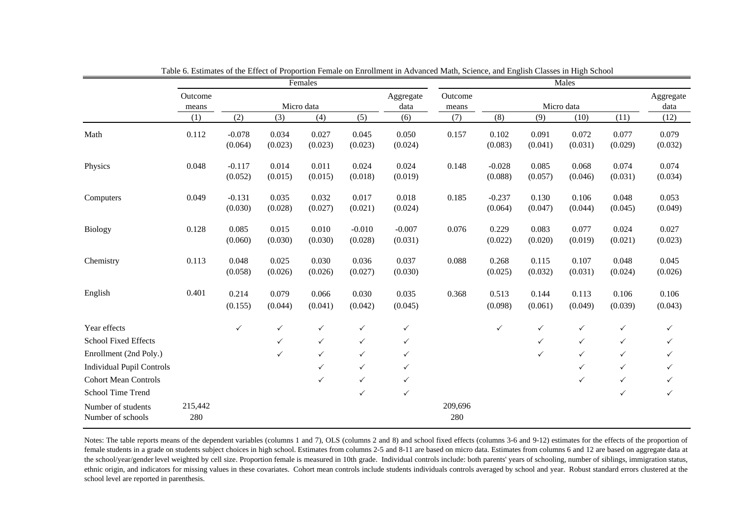|                                         |                  |                     |                                 | Females          |                     |                                | Males          |                     |                  |                   |                  |                  |
|-----------------------------------------|------------------|---------------------|---------------------------------|------------------|---------------------|--------------------------------|----------------|---------------------|------------------|-------------------|------------------|------------------|
|                                         | Outcome<br>means |                     | Aggregate<br>Micro data<br>data |                  |                     | Outcome<br>Micro data<br>means |                |                     |                  | Aggregate<br>data |                  |                  |
|                                         | (1)              | (2)                 | (3)                             | (4)              | (5)                 | (6)                            | (7)            | (8)                 | (9)              | (10)              | (11)             | (12)             |
| Math                                    | 0.112            | $-0.078$<br>(0.064) | 0.034<br>(0.023)                | 0.027<br>(0.023) | 0.045<br>(0.023)    | 0.050<br>(0.024)               | 0.157          | 0.102<br>(0.083)    | 0.091<br>(0.041) | 0.072<br>(0.031)  | 0.077<br>(0.029) | 0.079<br>(0.032) |
| Physics                                 | 0.048            | $-0.117$<br>(0.052) | 0.014<br>(0.015)                | 0.011<br>(0.015) | 0.024<br>(0.018)    | 0.024<br>(0.019)               | 0.148          | $-0.028$<br>(0.088) | 0.085<br>(0.057) | 0.068<br>(0.046)  | 0.074<br>(0.031) | 0.074<br>(0.034) |
| Computers                               | 0.049            | $-0.131$<br>(0.030) | 0.035<br>(0.028)                | 0.032<br>(0.027) | 0.017<br>(0.021)    | 0.018<br>(0.024)               | 0.185          | $-0.237$<br>(0.064) | 0.130<br>(0.047) | 0.106<br>(0.044)  | 0.048<br>(0.045) | 0.053<br>(0.049) |
| Biology                                 | 0.128            | 0.085<br>(0.060)    | 0.015<br>(0.030)                | 0.010<br>(0.030) | $-0.010$<br>(0.028) | $-0.007$<br>(0.031)            | 0.076          | 0.229<br>(0.022)    | 0.083<br>(0.020) | 0.077<br>(0.019)  | 0.024<br>(0.021) | 0.027<br>(0.023) |
| Chemistry                               | 0.113            | 0.048<br>(0.058)    | 0.025<br>(0.026)                | 0.030<br>(0.026) | 0.036<br>(0.027)    | 0.037<br>(0.030)               | 0.088          | 0.268<br>(0.025)    | 0.115<br>(0.032) | 0.107<br>(0.031)  | 0.048<br>(0.024) | 0.045<br>(0.026) |
| English                                 | 0.401            | 0.214<br>(0.155)    | 0.079<br>(0.044)                | 0.066<br>(0.041) | 0.030<br>(0.042)    | 0.035<br>(0.045)               | 0.368          | 0.513<br>(0.098)    | 0.144<br>(0.061) | 0.113<br>(0.049)  | 0.106<br>(0.039) | 0.106<br>(0.043) |
| Year effects                            |                  | $\checkmark$        | $\checkmark$                    | $\checkmark$     | $\checkmark$        | $\checkmark$                   |                | $\checkmark$        | $\checkmark$     | $\checkmark$      | $\checkmark$     | ✓                |
| <b>School Fixed Effects</b>             |                  |                     | $\checkmark$                    | $\checkmark$     | $\checkmark$        | $\checkmark$                   |                |                     | $\checkmark$     | $\checkmark$      | $\checkmark$     | $\checkmark$     |
| Enrollment (2nd Poly.)                  |                  |                     | $\checkmark$                    | $\checkmark$     | $\checkmark$        | $\checkmark$                   |                |                     | $\checkmark$     | $\checkmark$      | $\checkmark$     | $\checkmark$     |
| <b>Individual Pupil Controls</b>        |                  |                     |                                 | $\checkmark$     | $\checkmark$        | ✓                              |                |                     |                  | $\checkmark$      | $\checkmark$     | ✓                |
| <b>Cohort Mean Controls</b>             |                  |                     |                                 | $\checkmark$     | $\checkmark$        | $\checkmark$                   |                |                     |                  | $\checkmark$      | $\checkmark$     |                  |
| School Time Trend                       |                  |                     |                                 |                  | $\checkmark$        | $\checkmark$                   |                |                     |                  |                   | $\checkmark$     | $\checkmark$     |
| Number of students<br>Number of schools | 215,442<br>280   |                     |                                 |                  |                     |                                | 209,696<br>280 |                     |                  |                   |                  |                  |

Table 6. Estimates of the Effect of Proportion Female on Enrollment in Advanced Math, Science, and English Classes in High School

Notes: The table reports means of the dependent variables (columns 1 and 7), OLS (columns 2 and 8) and school fixed effects (columns 3-6 and 9-12) estimates for the effects of the proportion of female students in a grade on students subject choices in high school. Estimates from columns 2-5 and 8-11 are based on micro data. Estimates from columns 6 and 12 are based on aggregate data at the school/year/gender level weighted by cell size. Proportion female is measured in 10th grade. Individual controls include: both parents' years of schooling, number of siblings, immigration status, ethnic origin, and indicators for missing values in these covariates. Cohort mean controls include students individuals controls averaged by school and year. Robust standard errors clustered at the school level are reported in parenthesis.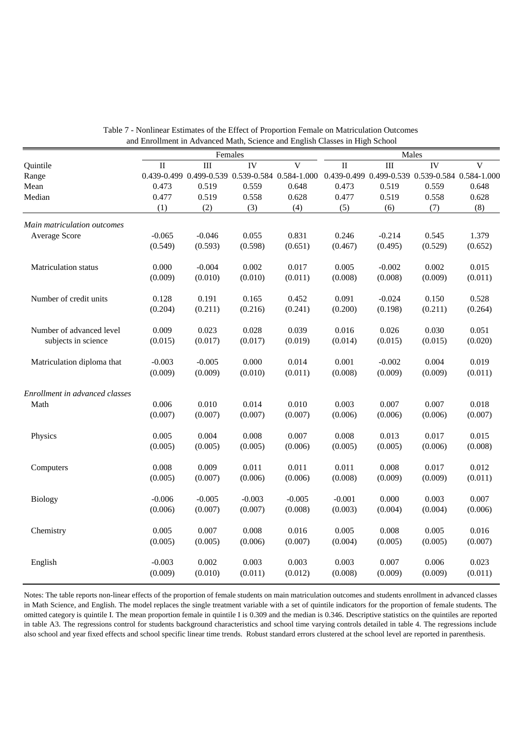|                                |          |          | Females  |                                                 | Males                                           |          |         |                |  |
|--------------------------------|----------|----------|----------|-------------------------------------------------|-------------------------------------------------|----------|---------|----------------|--|
| Quintile                       | $\rm II$ | III      | IV       | $\overline{\mathbf{V}}$                         | $\rm II$                                        | III      | IV      | $\overline{V}$ |  |
| Range                          |          |          |          | 0.439-0.499 0.499-0.539 0.539-0.584 0.584-1.000 | 0.439-0.499 0.499-0.539 0.539-0.584 0.584-1.000 |          |         |                |  |
| Mean                           | 0.473    | 0.519    | 0.559    | 0.648                                           | 0.473                                           | 0.519    | 0.559   | 0.648          |  |
| Median                         | 0.477    | 0.519    | 0.558    | 0.628                                           | 0.477                                           | 0.519    | 0.558   | 0.628          |  |
|                                | (1)      | (2)      | (3)      | (4)                                             | (5)                                             | (6)      | (7)     | (8)            |  |
| Main matriculation outcomes    |          |          |          |                                                 |                                                 |          |         |                |  |
| Average Score                  | $-0.065$ | $-0.046$ | 0.055    | 0.831                                           | 0.246                                           | $-0.214$ | 0.545   | 1.379          |  |
|                                | (0.549)  | (0.593)  | (0.598)  | (0.651)                                         | (0.467)                                         | (0.495)  | (0.529) | (0.652)        |  |
| Matriculation status           | 0.000    | $-0.004$ | 0.002    | 0.017                                           | 0.005                                           | $-0.002$ | 0.002   | 0.015          |  |
|                                | (0.009)  | (0.010)  | (0.010)  | (0.011)                                         | (0.008)                                         | (0.008)  | (0.009) | (0.011)        |  |
| Number of credit units         | 0.128    | 0.191    | 0.165    | 0.452                                           | 0.091                                           | $-0.024$ | 0.150   | 0.528          |  |
|                                | (0.204)  | (0.211)  | (0.216)  | (0.241)                                         | (0.200)                                         | (0.198)  | (0.211) | (0.264)        |  |
| Number of advanced level       | 0.009    | 0.023    | 0.028    | 0.039                                           | 0.016                                           | 0.026    | 0.030   | 0.051          |  |
| subjects in science            | (0.015)  | (0.017)  | (0.017)  | (0.019)                                         | (0.014)                                         | (0.015)  | (0.015) | (0.020)        |  |
| Matriculation diploma that     | $-0.003$ | $-0.005$ | 0.000    | 0.014                                           | 0.001                                           | $-0.002$ | 0.004   | 0.019          |  |
|                                | (0.009)  | (0.009)  | (0.010)  | (0.011)                                         | (0.008)                                         | (0.009)  | (0.009) | (0.011)        |  |
| Enrollment in advanced classes |          |          |          |                                                 |                                                 |          |         |                |  |
| Math                           | 0.006    | 0.010    | 0.014    | 0.010                                           | 0.003                                           | 0.007    | 0.007   | 0.018          |  |
|                                | (0.007)  | (0.007)  | (0.007)  | (0.007)                                         | (0.006)                                         | (0.006)  | (0.006) | (0.007)        |  |
| Physics                        | 0.005    | 0.004    | 0.008    | 0.007                                           | 0.008                                           | 0.013    | 0.017   | 0.015          |  |
|                                | (0.005)  | (0.005)  | (0.005)  | (0.006)                                         | (0.005)                                         | (0.005)  | (0.006) | (0.008)        |  |
| Computers                      | 0.008    | 0.009    | 0.011    | 0.011                                           | 0.011                                           | 0.008    | 0.017   | 0.012          |  |
|                                | (0.005)  | (0.007)  | (0.006)  | (0.006)                                         | (0.008)                                         | (0.009)  | (0.009) | (0.011)        |  |
| Biology                        | $-0.006$ | $-0.005$ | $-0.003$ | $-0.005$                                        | $-0.001$                                        | 0.000    | 0.003   | 0.007          |  |
|                                | (0.006)  | (0.007)  | (0.007)  | (0.008)                                         | (0.003)                                         | (0.004)  | (0.004) | (0.006)        |  |
| Chemistry                      | 0.005    | 0.007    | 0.008    | 0.016                                           | 0.005                                           | 0.008    | 0.005   | 0.016          |  |
|                                | (0.005)  | (0.005)  | (0.006)  | (0.007)                                         | (0.004)                                         | (0.005)  | (0.005) | (0.007)        |  |
| English                        | $-0.003$ | 0.002    | 0.003    | 0.003                                           | 0.003                                           | 0.007    | 0.006   | 0.023          |  |
|                                | (0.009)  | (0.010)  | (0.011)  | (0.012)                                         | (0.008)                                         | (0.009)  | (0.009) | (0.011)        |  |

| Table 7 - Nonlinear Estimates of the Effect of Proportion Female on Matriculation Outcomes |
|--------------------------------------------------------------------------------------------|
| and Enrollment in Advanced Math, Science and English Classes in High School                |

Notes: The table reports non-linear effects of the proportion of female students on main matriculation outcomes and students enrollment in advanced classes in Math Science, and English. The model replaces the single treatment variable with a set of quintile indicators for the proportion of female students. The omitted category is quintile I. The mean proportion female in quintile I is 0.309 and the median is 0.346. Descriptive statistics on the quintiles are reported in table A3. The regressions control for students background characteristics and school time varying controls detailed in table 4. The regressions include also school and year fixed effects and school specific linear time trends. Robust standard errors clustered at the school level are reported in parenthesis.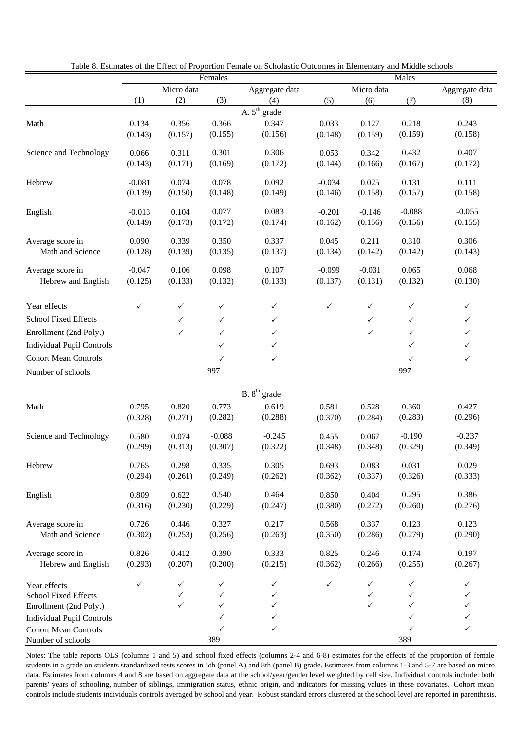|                                        |                  |                  | Females          |                          | Males            |                  |                  |                |  |
|----------------------------------------|------------------|------------------|------------------|--------------------------|------------------|------------------|------------------|----------------|--|
|                                        |                  | Micro data       |                  | Aggregate data           |                  | Micro data       |                  | Aggregate data |  |
|                                        | (1)              | (2)              | (3)              | (4)                      | (5)              | (6)              | (7)              | (8)            |  |
|                                        |                  |                  |                  | A. 5 <sup>th</sup> grade |                  |                  |                  |                |  |
| Math                                   | 0.134            | 0.356            | 0.366            | 0.347                    | 0.033            | 0.127            | 0.218            | 0.243          |  |
|                                        | (0.143)          | (0.157)          | (0.155)          | (0.156)                  | (0.148)          | (0.159)          | (0.159)          | (0.158)        |  |
|                                        |                  |                  |                  |                          |                  |                  |                  |                |  |
| Science and Technology                 | 0.066            | 0.311            | 0.301            | 0.306                    | 0.053            | 0.342            | 0.432            | 0.407          |  |
|                                        | (0.143)          | (0.171)          | (0.169)          | (0.172)                  | (0.144)          | (0.166)          | (0.167)          | (0.172)        |  |
| Hebrew                                 | $-0.081$         | 0.074            | 0.078            | 0.092                    | $-0.034$         | 0.025            | 0.131            | 0.111          |  |
|                                        | (0.139)          | (0.150)          | (0.148)          | (0.149)                  | (0.146)          | (0.158)          | (0.157)          | (0.158)        |  |
|                                        |                  |                  |                  |                          |                  |                  |                  |                |  |
| English                                | $-0.013$         | 0.104            | 0.077            | 0.083                    | $-0.201$         | $-0.146$         | $-0.088$         | $-0.055$       |  |
|                                        | (0.149)          | (0.173)          | (0.172)          | (0.174)                  | (0.162)          | (0.156)          | (0.156)          | (0.155)        |  |
| Average score in                       | 0.090            | 0.339            | 0.350            | 0.337                    | 0.045            | 0.211            | 0.310            | 0.306          |  |
| Math and Science                       | (0.128)          | (0.139)          | (0.135)          | (0.137)                  | (0.134)          | (0.142)          | (0.142)          | (0.143)        |  |
|                                        |                  |                  |                  |                          |                  |                  |                  |                |  |
| Average score in                       | $-0.047$         | 0.106            | 0.098            | 0.107                    | $-0.099$         | $-0.031$         | 0.065            | 0.068          |  |
| Hebrew and English                     | (0.125)          | (0.133)          | (0.132)          | (0.133)                  | (0.137)          | (0.131)          | (0.132)          | (0.130)        |  |
|                                        |                  |                  |                  |                          |                  |                  |                  |                |  |
| Year effects                           | $\checkmark$     | $\checkmark$     | $\checkmark$     | $\checkmark$             | $\checkmark$     | $\checkmark$     | $\checkmark$     | $\checkmark$   |  |
| <b>School Fixed Effects</b>            |                  | $\checkmark$     | $\checkmark$     | $\checkmark$             |                  | $\checkmark$     | $\checkmark$     | $\checkmark$   |  |
| Enrollment (2nd Poly.)                 |                  | $\checkmark$     | $\checkmark$     | ✓                        |                  | $\checkmark$     | $\checkmark$     | $\checkmark$   |  |
| <b>Individual Pupil Controls</b>       |                  |                  | $\checkmark$     | ✓                        |                  |                  | $\checkmark$     | $\checkmark$   |  |
|                                        |                  |                  |                  |                          |                  |                  |                  |                |  |
| <b>Cohort Mean Controls</b>            |                  |                  | $\checkmark$     | $\checkmark$             |                  |                  | $\checkmark$     | $\checkmark$   |  |
| Number of schools                      |                  |                  | 997              |                          |                  |                  | 997              |                |  |
|                                        |                  |                  |                  | B. 8 <sup>th</sup> grade |                  |                  |                  |                |  |
|                                        |                  |                  |                  |                          |                  |                  |                  |                |  |
| Math                                   | 0.795            | 0.820            | 0.773            | 0.619                    | 0.581            | 0.528            | 0.360            | 0.427          |  |
|                                        | (0.328)          | (0.271)          | (0.282)          | (0.288)                  | (0.370)          | (0.284)          | (0.283)          | (0.296)        |  |
| Science and Technology                 | 0.580            | 0.074            | $-0.088$         | $-0.245$                 | 0.455            | 0.067            | $-0.190$         | $-0.237$       |  |
|                                        | (0.299)          | (0.313)          | (0.307)          | (0.322)                  | (0.348)          | (0.348)          | (0.329)          | (0.349)        |  |
|                                        |                  |                  |                  |                          |                  |                  |                  |                |  |
| Hebrew                                 | 0.765            | 0.298            | 0.335            | 0.305                    | 0.693            | 0.083            | 0.031            | 0.029          |  |
|                                        | (0.294)          | (0.261)          | (0.249)          | (0.262)                  | (0.362)          | (0.337)          | (0.326)          | (0.333)        |  |
| English                                | 0.809            | 0.622            | 0.540            | 0.464                    | 0.850            | 0.404            | 0.295            | 0.386          |  |
|                                        | (0.316)          | (0.230)          | (0.229)          | (0.247)                  | (0.380)          | (0.272)          | (0.260)          | (0.276)        |  |
|                                        |                  |                  |                  |                          |                  |                  |                  |                |  |
| Average score in                       | 0.726            | 0.446            | 0.327            | 0.217                    | 0.568            | 0.337            | 0.123            | 0.123          |  |
| Math and Science                       | (0.302)          | (0.253)          | (0.256)          | (0.263)                  | (0.350)          | (0.286)          | (0.279)          | (0.290)        |  |
|                                        |                  |                  |                  |                          |                  |                  |                  | 0.197          |  |
| Average score in<br>Hebrew and English | 0.826<br>(0.293) | 0.412<br>(0.207) | 0.390<br>(0.200) | 0.333<br>(0.215)         | 0.825<br>(0.362) | 0.246<br>(0.266) | 0.174<br>(0.255) | (0.267)        |  |
|                                        |                  |                  |                  |                          |                  |                  |                  |                |  |
| Year effects                           | ✓                | $\checkmark$     | ✓                | ✓                        | ✓                | ✓                | ✓                | ✓              |  |
| School Fixed Effects                   |                  | ✓                | ✓                | ✓                        |                  | ✓                | ✓                | ✓              |  |
| Enrollment (2nd Poly.)                 |                  | $\checkmark$     | ✓                | ✓                        |                  | $\checkmark$     | ✓                | ✓              |  |
| <b>Individual Pupil Controls</b>       |                  |                  | ✓                | ✓                        |                  |                  | ✓                | ✓              |  |
| <b>Cohort Mean Controls</b>            |                  |                  | ✓                | ✓                        |                  |                  | ✓                | $\checkmark$   |  |
| Number of schools                      |                  |                  | 389              |                          |                  |                  | 389              |                |  |

Table 8. Estimates of the Effect of Proportion Female on Scholastic Outcomes in Elementary and Middle schools

Notes: The table reports OLS (columns 1 and 5) and school fixed effects (columns 2-4 and 6-8) estimates for the effects of the proportion of female students in a grade on students standardized tests scores in 5th (panel A) and 8th (panel B) grade. Estimates from columns 1-3 and 5-7 are based on micro data. Estimates from columns 4 and 8 are based on aggregate data at the school/year/gender level weighted by cell size. Individual controls include: both parents' years of schooling, number of siblings, immigration status, ethnic origin, and indicators for missing values in these covariates. Cohort mean controls include students individuals controls averaged by school and year. Robust standard errors clustered at the school level are reported in parenthesis.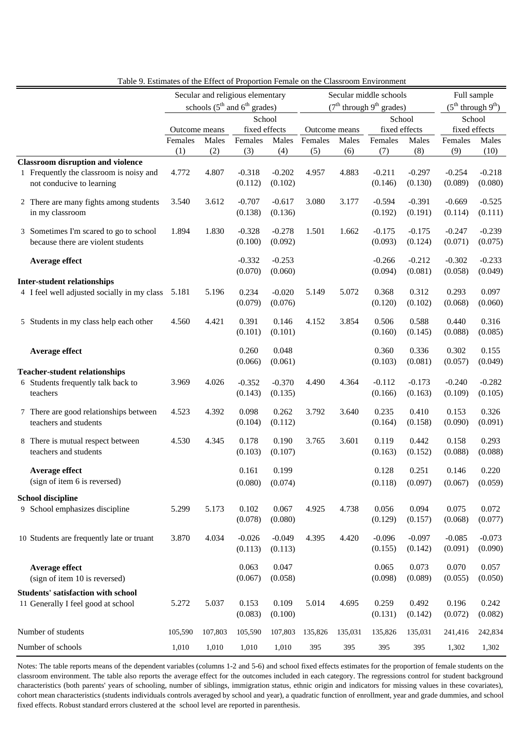| Table 9. Estimates of the Effect of Proportion Female on the Classroom Environment |                                  |         |                                                      |                     |               |                        |                                        |                     |                     |                              |
|------------------------------------------------------------------------------------|----------------------------------|---------|------------------------------------------------------|---------------------|---------------|------------------------|----------------------------------------|---------------------|---------------------|------------------------------|
|                                                                                    | Secular and religious elementary |         |                                                      |                     |               | Secular middle schools |                                        | Full sample         |                     |                              |
|                                                                                    |                                  |         | schools $(5^{\text{th}}$ and $6^{\text{th}}$ grades) |                     |               |                        | $(7th$ through 9 <sup>th</sup> grades) |                     |                     | $(5^{th}$ through $9^{th}$ ) |
|                                                                                    |                                  |         |                                                      | School              |               |                        |                                        | School              |                     | School                       |
|                                                                                    | Outcome means                    |         | fixed effects                                        |                     | Outcome means |                        | fixed effects                          |                     | fixed effects       |                              |
|                                                                                    | Females                          | Males   | Females                                              | Males               | Females       | Males                  | Females                                | Males               | Females             | Males                        |
|                                                                                    | (1)                              | (2)     | (3)                                                  | (4)                 | (5)           | (6)                    | (7)                                    | (8)                 | (9)                 | (10)                         |
| <b>Classroom disruption and violence</b>                                           |                                  |         |                                                      |                     |               |                        |                                        |                     |                     |                              |
| 1 Frequently the classroom is noisy and<br>not conducive to learning               | 4.772                            | 4.807   | $-0.318$<br>(0.112)                                  | $-0.202$<br>(0.102) | 4.957         | 4.883                  | $-0.211$<br>(0.146)                    | $-0.297$<br>(0.130) | $-0.254$<br>(0.089) | $-0.218$<br>(0.080)          |
| 2 There are many fights among students<br>in my classroom                          | 3.540                            | 3.612   | $-0.707$<br>(0.138)                                  | $-0.617$<br>(0.136) | 3.080         | 3.177                  | $-0.594$<br>(0.192)                    | $-0.391$<br>(0.191) | $-0.669$<br>(0.114) | $-0.525$<br>(0.111)          |
| 3 Sometimes I'm scared to go to school<br>because there are violent students       | 1.894                            | 1.830   | $-0.328$<br>(0.100)                                  | $-0.278$<br>(0.092) | 1.501         | 1.662                  | $-0.175$<br>(0.093)                    | $-0.175$<br>(0.124) | $-0.247$<br>(0.071) | $-0.239$<br>(0.075)          |
| Average effect                                                                     |                                  |         | $-0.332$                                             | $-0.253$            |               |                        | $-0.266$                               | $-0.212$            | $-0.302$            | $-0.233$                     |
|                                                                                    |                                  |         | (0.070)                                              | (0.060)             |               |                        | (0.094)                                | (0.081)             | (0.058)             | (0.049)                      |
| <b>Inter-student relationships</b>                                                 |                                  |         |                                                      |                     |               |                        |                                        |                     |                     |                              |
| 4 I feel well adjusted socially in my class                                        | 5.181                            | 5.196   | 0.234                                                | $-0.020$            | 5.149         | 5.072                  | 0.368                                  | 0.312               | 0.293               | 0.097                        |
|                                                                                    |                                  |         | (0.079)                                              | (0.076)             |               |                        | (0.120)                                | (0.102)             | (0.068)             | (0.060)                      |
| 5 Students in my class help each other                                             | 4.560                            | 4.421   | 0.391<br>(0.101)                                     | 0.146<br>(0.101)    | 4.152         | 3.854                  | 0.506<br>(0.160)                       | 0.588<br>(0.145)    | 0.440<br>(0.088)    | 0.316<br>(0.085)             |
| Average effect                                                                     |                                  |         | 0.260                                                | 0.048               |               |                        | 0.360                                  | 0.336               | 0.302               | 0.155                        |
|                                                                                    |                                  |         | (0.066)                                              | (0.061)             |               |                        | (0.103)                                | (0.081)             | (0.057)             | (0.049)                      |
| <b>Teacher-student relationships</b>                                               |                                  |         |                                                      |                     |               |                        |                                        |                     |                     |                              |
| 6 Students frequently talk back to<br>teachers                                     | 3.969                            | 4.026   | $-0.352$<br>(0.143)                                  | $-0.370$<br>(0.135) | 4.490         | 4.364                  | $-0.112$<br>(0.166)                    | $-0.173$<br>(0.163) | $-0.240$<br>(0.109) | $-0.282$<br>(0.105)          |
| 7 There are good relationships between<br>teachers and students                    | 4.523                            | 4.392   | 0.098<br>(0.104)                                     | 0.262<br>(0.112)    | 3.792         | 3.640                  | 0.235<br>(0.164)                       | 0.410<br>(0.158)    | 0.153<br>(0.090)    | 0.326<br>(0.091)             |
| 8 There is mutual respect between<br>teachers and students                         | 4.530                            | 4.345   | 0.178<br>(0.103)                                     | 0.190<br>(0.107)    | 3.765         | 3.601                  | 0.119<br>(0.163)                       | 0.442<br>(0.152)    | 0.158<br>(0.088)    | 0.293<br>(0.088)             |
| Average effect                                                                     |                                  |         | 0.161                                                | 0.199               |               |                        | 0.128                                  | 0.251               | 0.146               | 0.220                        |
| (sign of item 6 is reversed)                                                       |                                  |         | (0.080)                                              | (0.074)             |               |                        | (0.118)                                | (0.097)             | (0.067)             | (0.059)                      |
| <b>School discipline</b>                                                           |                                  |         |                                                      |                     |               |                        |                                        |                     |                     |                              |
| 9 School emphasizes discipline                                                     | 5.299                            | 5.173   | 0.102<br>(0.078)                                     | 0.067<br>(0.080)    | 4.925         | 4.738                  | 0.056<br>(0.129)                       | 0.094<br>(0.157)    | 0.075<br>(0.068)    | 0.072<br>(0.077)             |
| 10 Students are frequently late or truant                                          | 3.870                            | 4.034   | $-0.026$<br>(0.113)                                  | $-0.049$<br>(0.113) | 4.395         | 4.420                  | $-0.096$<br>(0.155)                    | $-0.097$<br>(0.142) | $-0.085$<br>(0.091) | $-0.073$<br>(0.090)          |
| Average effect<br>(sign of item 10 is reversed)                                    |                                  |         | 0.063<br>(0.067)                                     | 0.047<br>(0.058)    |               |                        | 0.065<br>(0.098)                       | 0.073<br>(0.089)    | 0.070<br>(0.055)    | 0.057<br>(0.050)             |
| <b>Students' satisfaction with school</b><br>11 Generally I feel good at school    | 5.272                            | 5.037   | 0.153<br>(0.083)                                     | 0.109<br>(0.100)    | 5.014         | 4.695                  | 0.259<br>(0.131)                       | 0.492<br>(0.142)    | 0.196<br>(0.072)    | 0.242<br>(0.082)             |
| Number of students                                                                 | 105,590                          | 107,803 | 105,590                                              | 107,803             | 135,826       | 135,031                | 135,826                                | 135,031             | 241,416             | 242,834                      |
| Number of schools                                                                  | 1,010                            | 1,010   | 1,010                                                | 1,010               | 395           | 395                    | 395                                    | 395                 | 1,302               | 1,302                        |

Notes: The table reports means of the dependent variables (columns 1-2 and 5-6) and school fixed effects estimates for the proportion of female students on the classroom environment. The table also reports the average effect for the outcomes included in each category. The regressions control for student background characteristics (both parents' years of schooling, number of siblings, immigration status, ethnic origin and indicators for missing values in these covariates), cohort mean characteristics (students individuals controls averaged by school and year), a quadratic function of enrollment, year and grade dummies, and school fixed effects. Robust standard errors clustered at the school level are reported in parenthesis.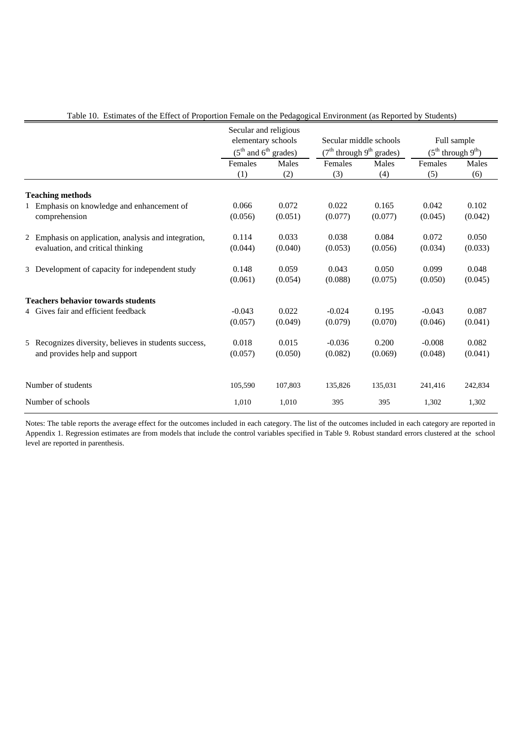|                                                       | Secular and religious<br>elementary schools<br>$(5th$ and $6th$ grades) |         | Secular middle schools<br>$(7th$ through 9 <sup>th</sup> grades) |         | Full sample<br>$(5^{th}$ through $9^{th}$ ) |         |
|-------------------------------------------------------|-------------------------------------------------------------------------|---------|------------------------------------------------------------------|---------|---------------------------------------------|---------|
|                                                       | Males<br>Females                                                        |         | Females                                                          | Males   | Females                                     | Males   |
|                                                       | (1)                                                                     | (2)     | (3)                                                              | (4)     | (5)                                         | (6)     |
| <b>Teaching methods</b>                               |                                                                         |         |                                                                  |         |                                             |         |
| Emphasis on knowledge and enhancement of              | 0.066                                                                   | 0.072   | 0.022                                                            | 0.165   | 0.042                                       | 0.102   |
| comprehension                                         | (0.056)                                                                 | (0.051) | (0.077)                                                          | (0.077) | (0.045)                                     | (0.042) |
| 2 Emphasis on application, analysis and integration,  | 0.114                                                                   | 0.033   | 0.038                                                            | 0.084   | 0.072                                       | 0.050   |
| evaluation, and critical thinking                     | (0.044)                                                                 | (0.040) | (0.053)                                                          | (0.056) | (0.034)                                     | (0.033) |
| 3 Development of capacity for independent study       | 0.148                                                                   | 0.059   | 0.043                                                            | 0.050   | 0.099                                       | 0.048   |
|                                                       | (0.061)                                                                 | (0.054) | (0.088)                                                          | (0.075) | (0.050)                                     | (0.045) |
| <b>Teachers behavior towards students</b>             |                                                                         |         |                                                                  |         |                                             |         |
| 4 Gives fair and efficient feedback                   | $-0.043$                                                                | 0.022   | $-0.024$                                                         | 0.195   | $-0.043$                                    | 0.087   |
|                                                       | (0.057)                                                                 | (0.049) | (0.079)                                                          | (0.070) | (0.046)                                     | (0.041) |
| 5 Recognizes diversity, believes in students success, | 0.018                                                                   | 0.015   | $-0.036$                                                         | 0.200   | $-0.008$                                    | 0.082   |
| and provides help and support                         | (0.057)                                                                 | (0.050) | (0.082)                                                          | (0.069) | (0.048)                                     | (0.041) |
|                                                       |                                                                         |         |                                                                  |         |                                             |         |
| Number of students                                    | 105,590                                                                 | 107,803 | 135,826                                                          | 135,031 | 241,416                                     | 242,834 |
| Number of schools                                     | 1,010                                                                   | 1,010   | 395                                                              | 395     | 1,302                                       | 1,302   |

Table 10. Estimates of the Effect of Proportion Female on the Pedagogical Environment (as Reported by Students)

Notes: The table reports the average effect for the outcomes included in each category. The list of the outcomes included in each category are reported in Appendix 1. Regression estimates are from models that include the control variables specified in Table 9. Robust standard errors clustered at the school level are reported in parenthesis.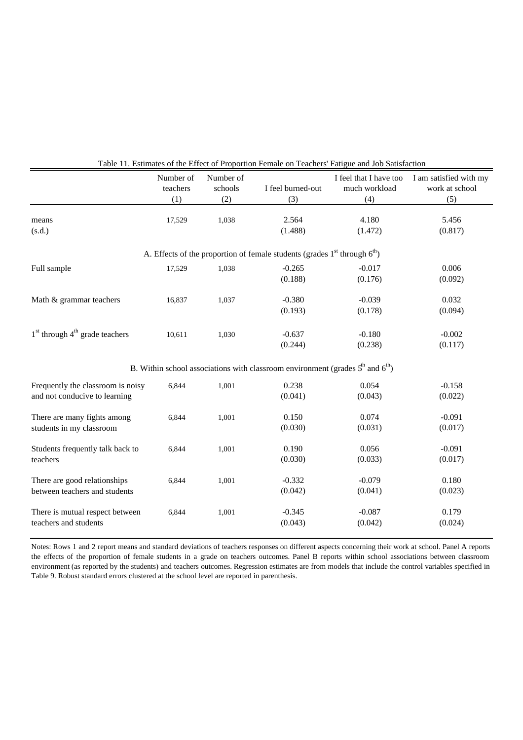|                                                                    | Number of<br>teachers<br>(1) | Number of<br>schools<br>(2) | I feel burned-out<br>(3)                                                                               | I feel that I have too<br>much workload<br>(4) | I am satisfied with my<br>work at school<br>(5) |
|--------------------------------------------------------------------|------------------------------|-----------------------------|--------------------------------------------------------------------------------------------------------|------------------------------------------------|-------------------------------------------------|
| means<br>(s.d.)                                                    | 17,529                       | 1,038                       | 2.564<br>(1.488)                                                                                       | 4.180<br>(1.472)                               | 5.456<br>(0.817)                                |
|                                                                    |                              |                             | A. Effects of the proportion of female students (grades $1st$ through $6th$ )                          |                                                |                                                 |
| Full sample                                                        | 17,529                       | 1,038                       | $-0.265$<br>(0.188)                                                                                    | $-0.017$<br>(0.176)                            | 0.006<br>(0.092)                                |
| Math & grammar teachers                                            | 16,837                       | 1,037                       | $-0.380$<br>(0.193)                                                                                    | $-0.039$<br>(0.178)                            | 0.032<br>(0.094)                                |
| $1st$ through $4th$ grade teachers                                 | 10,611                       | 1,030                       | $-0.637$<br>(0.244)                                                                                    | $-0.180$<br>(0.238)                            | $-0.002$<br>(0.117)                             |
|                                                                    |                              |                             | B. Within school associations with classroom environment (grades $5^{\text{th}}$ and $6^{\text{th}}$ ) |                                                |                                                 |
| Frequently the classroom is noisy<br>and not conducive to learning | 6,844                        | 1,001                       | 0.238<br>(0.041)                                                                                       | 0.054<br>(0.043)                               | $-0.158$<br>(0.022)                             |
| There are many fights among<br>students in my classroom            | 6,844                        | 1,001                       | 0.150<br>(0.030)                                                                                       | 0.074<br>(0.031)                               | $-0.091$<br>(0.017)                             |
| Students frequently talk back to<br>teachers                       | 6,844                        | 1,001                       | 0.190<br>(0.030)                                                                                       | 0.056<br>(0.033)                               | $-0.091$<br>(0.017)                             |
| There are good relationships<br>between teachers and students      | 6,844                        | 1,001                       | $-0.332$<br>(0.042)                                                                                    | $-0.079$<br>(0.041)                            | 0.180<br>(0.023)                                |
| There is mutual respect between<br>teachers and students           | 6,844                        | 1,001                       | $-0.345$<br>(0.043)                                                                                    | $-0.087$<br>(0.042)                            | 0.179<br>(0.024)                                |

Table 11. Estimates of the Effect of Proportion Female on Teachers' Fatigue and Job Satisfaction

Notes: Rows 1 and 2 report means and standard deviations of teachers responses on different aspects concerning their work at school. Panel A reports the effects of the proportion of female students in a grade on teachers outcomes. Panel B reports within school associations between classroom environment (as reported by the students) and teachers outcomes. Regression estimates are from models that include the control variables specified in Table 9. Robust standard errors clustered at the school level are reported in parenthesis.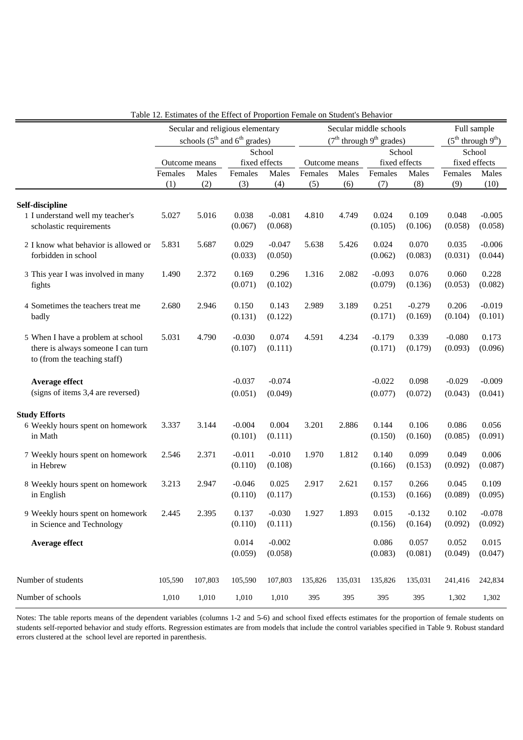|                                      | Secular and religious elementary |                                                                  |                                                      | Secular middle schools |               |                              |          | Full sample |          |                              |
|--------------------------------------|----------------------------------|------------------------------------------------------------------|------------------------------------------------------|------------------------|---------------|------------------------------|----------|-------------|----------|------------------------------|
|                                      |                                  |                                                                  | schools $(5^{\text{th}}$ and $6^{\text{th}}$ grades) |                        |               | $(7th$ through $9th$ grades) |          |             |          | $(5^{th}$ through $9^{th}$ ) |
|                                      |                                  |                                                                  |                                                      | School                 |               | School                       |          |             |          | School                       |
|                                      |                                  | fixed effects<br>fixed effects<br>Outcome means<br>Outcome means |                                                      |                        | fixed effects |                              |          |             |          |                              |
|                                      | Females                          | Males                                                            | Females                                              | Males                  | Females       | Males                        | Females  | Males       | Females  | Males                        |
|                                      | (1)                              | (2)                                                              | (3)                                                  | (4)                    | (5)           | (6)                          | (7)      | (8)         | (9)      | (10)                         |
|                                      |                                  |                                                                  |                                                      |                        |               |                              |          |             |          |                              |
| Self-discipline                      |                                  |                                                                  |                                                      |                        |               |                              |          |             |          |                              |
| 1 I understand well my teacher's     | 5.027                            | 5.016                                                            | 0.038                                                | $-0.081$               | 4.810         | 4.749                        | 0.024    | 0.109       | 0.048    | $-0.005$                     |
| scholastic requirements              |                                  |                                                                  | (0.067)                                              | (0.068)                |               |                              | (0.105)  | (0.106)     | (0.058)  | (0.058)                      |
| 2 I know what behavior is allowed or | 5.831                            | 5.687                                                            | 0.029                                                | $-0.047$               | 5.638         | 5.426                        | 0.024    | 0.070       | 0.035    | $-0.006$                     |
| forbidden in school                  |                                  |                                                                  | (0.033)                                              | (0.050)                |               |                              | (0.062)  | (0.083)     | (0.031)  | (0.044)                      |
|                                      |                                  |                                                                  |                                                      |                        |               |                              |          |             |          |                              |
| 3 This year I was involved in many   | 1.490                            | 2.372                                                            | 0.169                                                | 0.296                  | 1.316         | 2.082                        | $-0.093$ | 0.076       | 0.060    | 0.228                        |
| fights                               |                                  |                                                                  | (0.071)                                              | (0.102)                |               |                              | (0.079)  | (0.136)     | (0.053)  | (0.082)                      |
| 4 Sometimes the teachers treat me    | 2.680                            | 2.946                                                            | 0.150                                                | 0.143                  | 2.989         | 3.189                        | 0.251    | $-0.279$    | 0.206    | $-0.019$                     |
| badly                                |                                  |                                                                  | (0.131)                                              | (0.122)                |               |                              | (0.171)  | (0.169)     | (0.104)  | (0.101)                      |
|                                      |                                  |                                                                  |                                                      |                        |               |                              |          |             |          |                              |
| 5 When I have a problem at school    | 5.031                            | 4.790                                                            | $-0.030$                                             | 0.074                  | 4.591         | 4.234                        | $-0.179$ | 0.339       | $-0.080$ | 0.173                        |
| there is always someone I can turn   |                                  |                                                                  | (0.107)                                              | (0.111)                |               |                              | (0.171)  | (0.179)     | (0.093)  | (0.096)                      |
| to (from the teaching staff)         |                                  |                                                                  |                                                      |                        |               |                              |          |             |          |                              |
|                                      |                                  |                                                                  |                                                      | $-0.074$               |               |                              |          |             |          | $-0.009$                     |
| Average effect                       |                                  |                                                                  | $-0.037$                                             |                        |               |                              | $-0.022$ | 0.098       | $-0.029$ |                              |
| (signs of items 3,4 are reversed)    |                                  |                                                                  | (0.051)                                              | (0.049)                |               |                              | (0.077)  | (0.072)     | (0.043)  | (0.041)                      |
| <b>Study Efforts</b>                 |                                  |                                                                  |                                                      |                        |               |                              |          |             |          |                              |
| 6 Weekly hours spent on homework     | 3.337                            | 3.144                                                            | $-0.004$                                             | 0.004                  | 3.201         | 2.886                        | 0.144    | 0.106       | 0.086    | 0.056                        |
| in Math                              |                                  |                                                                  | (0.101)                                              | (0.111)                |               |                              | (0.150)  | (0.160)     | (0.085)  | (0.091)                      |
|                                      |                                  |                                                                  |                                                      |                        |               |                              |          |             |          |                              |
| 7 Weekly hours spent on homework     | 2.546                            | 2.371                                                            | $-0.011$                                             | $-0.010$               | 1.970         | 1.812                        | 0.140    | 0.099       | 0.049    | 0.006                        |
| in Hebrew                            |                                  |                                                                  | (0.110)                                              | (0.108)                |               |                              | (0.166)  | (0.153)     | (0.092)  | (0.087)                      |
| 8 Weekly hours spent on homework     | 3.213                            | 2.947                                                            | $-0.046$                                             | 0.025                  | 2.917         | 2.621                        | 0.157    | 0.266       | 0.045    | 0.109                        |
| in English                           |                                  |                                                                  | (0.110)                                              | (0.117)                |               |                              | (0.153)  | (0.166)     | (0.089)  | (0.095)                      |
|                                      |                                  |                                                                  |                                                      |                        |               |                              |          |             | 0.102    |                              |
| 9 Weekly hours spent on homework     | 2.445                            | 2.395                                                            | 0.137                                                | $-0.030$               | 1.927         | 1.893                        | 0.015    | $-0.132$    |          | $-0.078$                     |
| in Science and Technology            |                                  |                                                                  | (0.110)                                              | (0.111)                |               |                              | (0.156)  | (0.164)     | (0.092)  | (0.092)                      |
| Average effect                       |                                  |                                                                  | 0.014                                                | $-0.002$               |               |                              | 0.086    | 0.057       | 0.052    | 0.015                        |
|                                      |                                  |                                                                  | (0.059)                                              | (0.058)                |               |                              | (0.083)  | (0.081)     | (0.049)  | (0.047)                      |
|                                      |                                  |                                                                  |                                                      |                        |               |                              |          |             |          |                              |
| Number of students                   | 105,590                          | 107,803                                                          | 105,590                                              | 107,803                | 135,826       | 135,031                      | 135,826  | 135,031     | 241,416  | 242,834                      |
| Number of schools                    | 1,010                            | 1,010                                                            | 1,010                                                | 1,010                  | 395           | 395                          | 395      | 395         | 1,302    | 1,302                        |
|                                      |                                  |                                                                  |                                                      |                        |               |                              |          |             |          |                              |

Table 12. Estimates of the Effect of Proportion Female on Student's Behavior

Notes: The table reports means of the dependent variables (columns 1-2 and 5-6) and school fixed effects estimates for the proportion of female students on students self-reported behavior and study efforts. Regression estimates are from models that include the control variables specified in Table 9. Robust standard errors clustered at the school level are reported in parenthesis.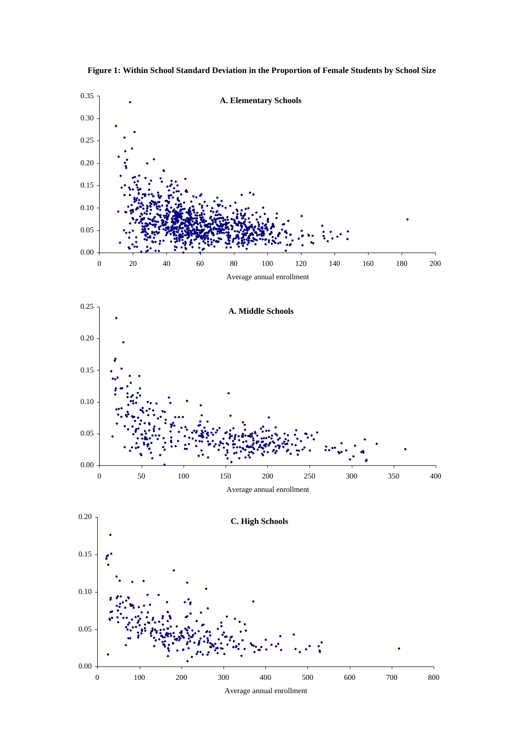

**Figure 1: Within School Standard Deviation in the Proportion of Female Students by School Size**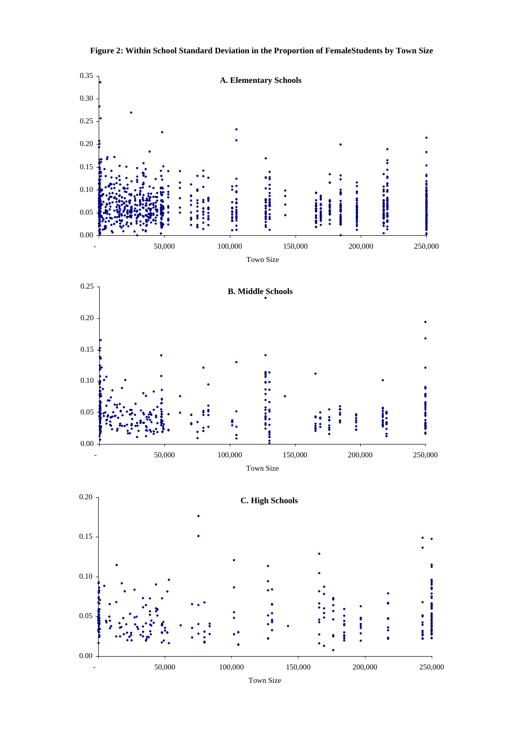

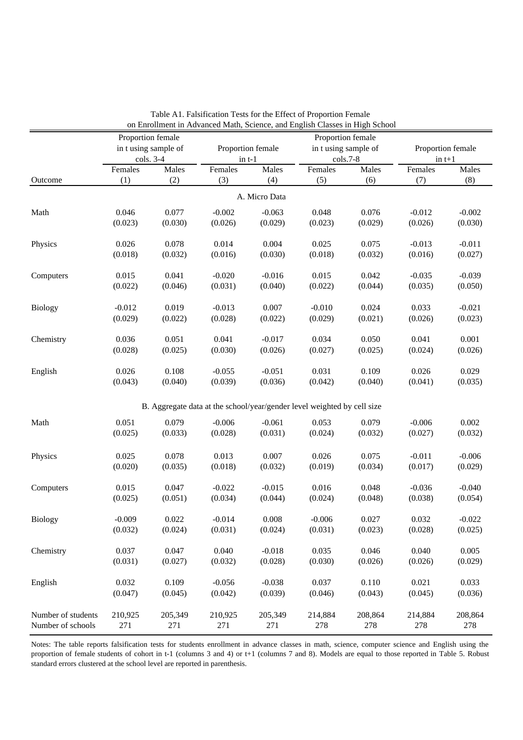|                    | Proportion female |                      |          |                   | on Emonificat in Advanced Math, Science, and English Classes in Fight School<br>Proportion female |         |          |                   |
|--------------------|-------------------|----------------------|----------|-------------------|---------------------------------------------------------------------------------------------------|---------|----------|-------------------|
|                    |                   | in t using sample of |          | Proportion female | in t using sample of                                                                              |         |          | Proportion female |
|                    |                   | cols. 3-4            | $in t-1$ |                   | cols.7-8                                                                                          |         | $in t+1$ |                   |
|                    | Females           | Males                | Females  | Males             | Females                                                                                           | Males   | Females  | Males             |
| Outcome            | (1)               | (2)                  | (3)      | (4)               | (5)                                                                                               | (6)     | (7)      | (8)               |
|                    |                   |                      |          | A. Micro Data     |                                                                                                   |         |          |                   |
| Math               | 0.046             | 0.077                | $-0.002$ | $-0.063$          | 0.048                                                                                             | 0.076   | $-0.012$ | $-0.002$          |
|                    | (0.023)           | (0.030)              | (0.026)  | (0.029)           | (0.023)                                                                                           | (0.029) | (0.026)  | (0.030)           |
|                    |                   |                      |          |                   |                                                                                                   |         |          |                   |
| Physics            | 0.026             | 0.078                | 0.014    | 0.004             | 0.025                                                                                             | 0.075   | $-0.013$ | $-0.011$          |
|                    | (0.018)           | (0.032)              | (0.016)  | (0.030)           | (0.018)                                                                                           | (0.032) | (0.016)  | (0.027)           |
| Computers          | 0.015             | 0.041                | $-0.020$ | $-0.016$          | 0.015                                                                                             | 0.042   | $-0.035$ | $-0.039$          |
|                    | (0.022)           | (0.046)              | (0.031)  | (0.040)           | (0.022)                                                                                           | (0.044) | (0.035)  | (0.050)           |
|                    |                   |                      |          |                   |                                                                                                   |         |          |                   |
| <b>Biology</b>     | $-0.012$          | 0.019                | $-0.013$ | 0.007             | $-0.010$                                                                                          | 0.024   | 0.033    | $-0.021$          |
|                    | (0.029)           | (0.022)              | (0.028)  | (0.022)           | (0.029)                                                                                           | (0.021) | (0.026)  | (0.023)           |
|                    |                   |                      |          |                   |                                                                                                   |         |          |                   |
| Chemistry          | 0.036             | 0.051                | 0.041    | $-0.017$          | 0.034                                                                                             | 0.050   | 0.041    | 0.001             |
|                    | (0.028)           | (0.025)              | (0.030)  | (0.026)           | (0.027)                                                                                           | (0.025) | (0.024)  | (0.026)           |
| English            | 0.026             | 0.108                | $-0.055$ | $-0.051$          | 0.031                                                                                             | 0.109   | 0.026    | 0.029             |
|                    | (0.043)           | (0.040)              | (0.039)  | (0.036)           | (0.042)                                                                                           | (0.040) | (0.041)  | (0.035)           |
|                    |                   |                      |          |                   |                                                                                                   |         |          |                   |
|                    |                   |                      |          |                   | B. Aggregate data at the school/year/gender level weighted by cell size                           |         |          |                   |
| Math               | 0.051             | 0.079                | $-0.006$ | $-0.061$          | 0.053                                                                                             | 0.079   | $-0.006$ | 0.002             |
|                    | (0.025)           | (0.033)              | (0.028)  | (0.031)           | (0.024)                                                                                           | (0.032) | (0.027)  | (0.032)           |
|                    |                   |                      |          |                   |                                                                                                   |         |          |                   |
| Physics            | 0.025             | 0.078                | 0.013    | 0.007             | 0.026                                                                                             | 0.075   | $-0.011$ | $-0.006$          |
|                    | (0.020)           | (0.035)              | (0.018)  | (0.032)           | (0.019)                                                                                           | (0.034) | (0.017)  | (0.029)           |
| Computers          | 0.015             | 0.047                | $-0.022$ | $-0.015$          | 0.016                                                                                             | 0.048   | $-0.036$ | $-0.040$          |
|                    | (0.025)           | (0.051)              | (0.034)  | (0.044)           | (0.024)                                                                                           | (0.048) | (0.038)  | (0.054)           |
|                    |                   |                      |          |                   |                                                                                                   |         |          |                   |
| Biology            | $-0.009$          | 0.022                | $-0.014$ | 0.008             | $-0.006$                                                                                          | 0.027   | 0.032    | $-0.022$          |
|                    | (0.032)           | (0.024)              | (0.031)  | (0.024)           | (0.031)                                                                                           | (0.023) | (0.028)  | (0.025)           |
| Chemistry          | 0.037             | 0.047                | 0.040    | $-0.018$          | 0.035                                                                                             | 0.046   | 0.040    | 0.005             |
|                    | (0.031)           | (0.027)              | (0.032)  | (0.028)           | (0.030)                                                                                           | (0.026) | (0.026)  | (0.029)           |
|                    |                   |                      |          |                   |                                                                                                   |         |          |                   |
| English            | 0.032             | 0.109                | $-0.056$ | $-0.038$          | 0.037                                                                                             | 0.110   | 0.021    | 0.033             |
|                    | (0.047)           | (0.045)              | (0.042)  | (0.039)           | (0.046)                                                                                           | (0.043) | (0.045)  | (0.036)           |
|                    |                   |                      |          |                   |                                                                                                   |         |          |                   |
| Number of students | 210,925           | 205,349              | 210,925  | 205,349           | 214,884                                                                                           | 208,864 | 214,884  | 208,864           |
| Number of schools  | 271               | 271                  | 271      | 271               | 278                                                                                               | 278     | 278      | 278               |

Table A1. Falsification Tests for the Effect of Proportion Female on Enrollment in Advanced Math, Science, and English Classes in High School

Notes: The table reports falsification tests for students enrollment in advance classes in math, science, computer science and English using the proportion of female students of cohort in t-1 (columns 3 and 4) or t+1 (columns 7 and 8). Models are equal to those reported in Table 5. Robust standard errors clustered at the school level are reported in parenthesis.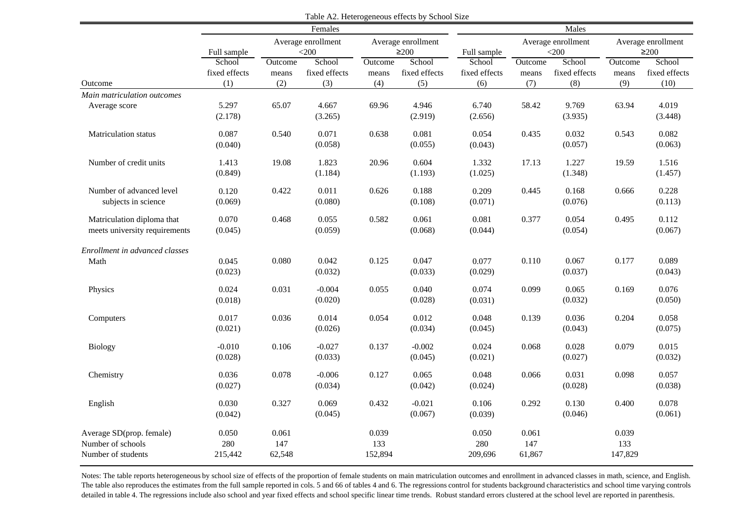|                                                                     |                         |                        | Females                       |                         |                                  |                         |                         | Males                         |                         |                                  |
|---------------------------------------------------------------------|-------------------------|------------------------|-------------------------------|-------------------------|----------------------------------|-------------------------|-------------------------|-------------------------------|-------------------------|----------------------------------|
|                                                                     | Full sample             |                        | Average enrollment<br>$<$ 200 |                         | Average enrollment<br>$\geq$ 200 | Full sample             |                         | Average enrollment<br>$<$ 200 |                         | Average enrollment<br>$\geq$ 200 |
|                                                                     | School<br>fixed effects | Outcome<br>means       | School<br>fixed effects       | Outcome<br>means        | School<br>fixed effects          | School<br>fixed effects | <b>Outcome</b><br>means | School<br>fixed effects       | Outcome<br>means        | School<br>fixed effects          |
| Outcome                                                             | (1)                     | (2)                    | (3)                           | (4)                     | (5)                              | (6)                     | (7)                     | (8)                           | (9)                     | (10)                             |
| Main matriculation outcomes<br>Average score                        | 5.297<br>(2.178)        | 65.07                  | 4.667<br>(3.265)              | 69.96                   | 4.946<br>(2.919)                 | 6.740<br>(2.656)        | 58.42                   | 9.769<br>(3.935)              | 63.94                   | 4.019<br>(3.448)                 |
| Matriculation status                                                | 0.087<br>(0.040)        | 0.540                  | 0.071<br>(0.058)              | 0.638                   | 0.081<br>(0.055)                 | 0.054<br>(0.043)        | 0.435                   | 0.032<br>(0.057)              | 0.543                   | 0.082<br>(0.063)                 |
| Number of credit units                                              | 1.413<br>(0.849)        | 19.08                  | 1.823<br>(1.184)              | 20.96                   | 0.604<br>(1.193)                 | 1.332<br>(1.025)        | 17.13                   | 1.227<br>(1.348)              | 19.59                   | 1.516<br>(1.457)                 |
| Number of advanced level<br>subjects in science                     | 0.120<br>(0.069)        | 0.422                  | 0.011<br>(0.080)              | 0.626                   | 0.188<br>(0.108)                 | 0.209<br>(0.071)        | 0.445                   | 0.168<br>(0.076)              | 0.666                   | 0.228<br>(0.113)                 |
| Matriculation diploma that<br>meets university requirements         | 0.070<br>(0.045)        | 0.468                  | 0.055<br>(0.059)              | 0.582                   | 0.061<br>(0.068)                 | 0.081<br>(0.044)        | 0.377                   | 0.054<br>(0.054)              | 0.495                   | 0.112<br>(0.067)                 |
| Enrollment in advanced classes<br>Math                              | 0.045<br>(0.023)        | 0.080                  | 0.042<br>(0.032)              | 0.125                   | 0.047<br>(0.033)                 | 0.077<br>(0.029)        | 0.110                   | 0.067<br>(0.037)              | 0.177                   | 0.089<br>(0.043)                 |
| Physics                                                             | 0.024<br>(0.018)        | 0.031                  | $-0.004$<br>(0.020)           | 0.055                   | 0.040<br>(0.028)                 | 0.074<br>(0.031)        | 0.099                   | 0.065<br>(0.032)              | 0.169                   | 0.076<br>(0.050)                 |
| Computers                                                           | 0.017<br>(0.021)        | 0.036                  | 0.014<br>(0.026)              | 0.054                   | 0.012<br>(0.034)                 | 0.048<br>(0.045)        | 0.139                   | 0.036<br>(0.043)              | 0.204                   | 0.058<br>(0.075)                 |
| <b>Biology</b>                                                      | $-0.010$<br>(0.028)     | 0.106                  | $-0.027$<br>(0.033)           | 0.137                   | $-0.002$<br>(0.045)              | 0.024<br>(0.021)        | 0.068                   | 0.028<br>(0.027)              | 0.079                   | 0.015<br>(0.032)                 |
| Chemistry                                                           | 0.036<br>(0.027)        | 0.078                  | $-0.006$<br>(0.034)           | 0.127                   | 0.065<br>(0.042)                 | 0.048<br>(0.024)        | 0.066                   | 0.031<br>(0.028)              | 0.098                   | 0.057<br>(0.038)                 |
| English                                                             | 0.030<br>(0.042)        | 0.327                  | 0.069<br>(0.045)              | 0.432                   | $-0.021$<br>(0.067)              | 0.106<br>(0.039)        | 0.292                   | 0.130<br>(0.046)              | 0.400                   | 0.078<br>(0.061)                 |
| Average SD(prop. female)<br>Number of schools<br>Number of students | 0.050<br>280<br>215,442 | 0.061<br>147<br>62,548 |                               | 0.039<br>133<br>152,894 |                                  | 0.050<br>280<br>209,696 | 0.061<br>147<br>61,867  |                               | 0.039<br>133<br>147,829 |                                  |

Table A2. Heterogeneous effects by School Size

Notes: The table reports heterogeneous by school size of effects of the proportion of female students on main matriculation outcomes and enrollment in advanced classes in math, science, and English. The table also reproduces the estimates from the full sample reported in cols. 5 and 66 of tables 4 and 6. The regressions control for students background characteristics and school time varying controls detailed in table 4. The regressions include also school and year fixed effects and school specific linear time trends. Robust standard errors clustered at the school level are reported in parenthesis.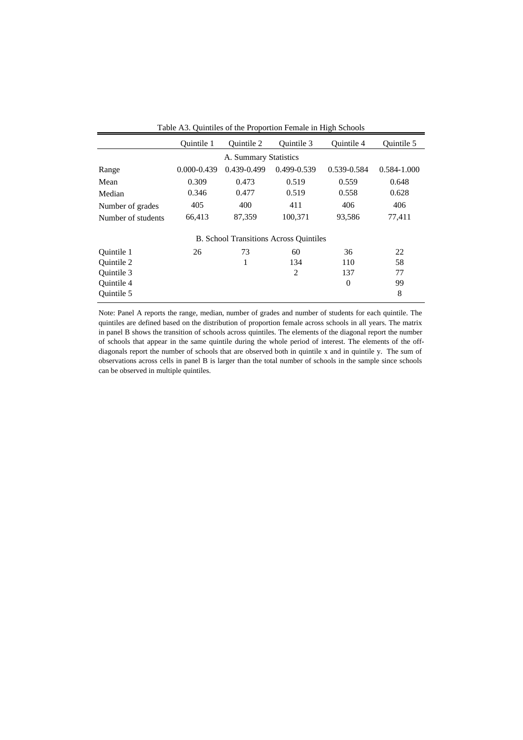|                    | <b>Ouintile 1</b> | <b>Ouintile 2</b>     | Ouintile 3                                    | <b>Ouintile 4</b> | Ouintile 5      |
|--------------------|-------------------|-----------------------|-----------------------------------------------|-------------------|-----------------|
|                    |                   | A. Summary Statistics |                                               |                   |                 |
| Range              | $0.000 - 0.439$   | 0.439-0.499           | 0.499-0.539                                   | 0.539-0.584       | $0.584 - 1.000$ |
| Mean               | 0.309             | 0.473                 | 0.519                                         | 0.559             | 0.648           |
| Median             | 0.346             | 0.477                 | 0.519                                         | 0.558             | 0.628           |
| Number of grades   | 405               | 400                   | 411                                           | 406               | 406             |
| Number of students | 66,413            | 87,359                | 100,371                                       | 93,586            | 77,411          |
|                    |                   |                       | <b>B.</b> School Transitions Across Quintiles |                   |                 |
| Ouintile 1         | 26                | 73                    | 60                                            | 36                | 22              |
| <b>Ouintile 2</b>  |                   | 1                     | 134                                           | 110               | 58              |
| Ouintile 3         |                   |                       | $\overline{c}$                                | 137               | 77              |
| Quintile 4         |                   |                       |                                               | $\overline{0}$    | 99              |
| Ouintile 5         |                   |                       |                                               |                   | 8               |

Table A3. Quintiles of the Proportion Female in High Schools

Note: Panel A reports the range, median, number of grades and number of students for each quintile. The quintiles are defined based on the distribution of proportion female across schools in all years. The matrix in panel B shows the transition of schools across quintiles. The elements of the diagonal report the number of schools that appear in the same quintile during the whole period of interest. The elements of the offdiagonals report the number of schools that are observed both in quintile x and in quintile y. The sum of observations across cells in panel B is larger than the total number of schools in the sample since schools can be observed in multiple quintiles.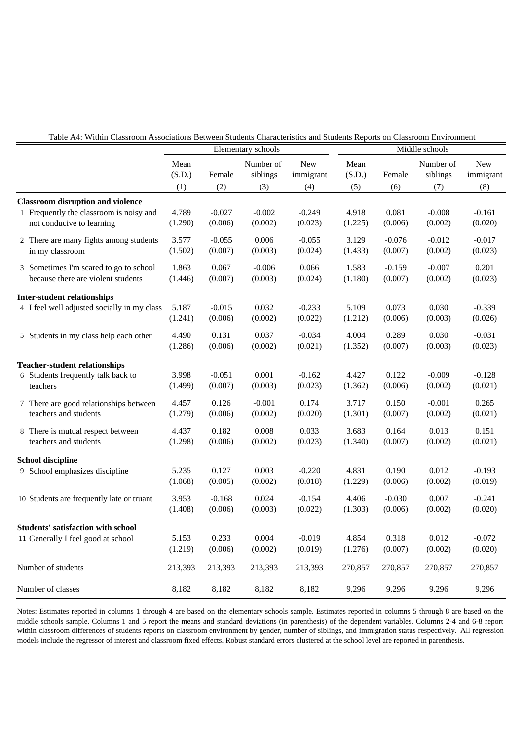| Table A4: Within Classroom Associations Between Students Characteristics and Students Reports on Classroom Environment |  |  |  |
|------------------------------------------------------------------------------------------------------------------------|--|--|--|
|                                                                                                                        |  |  |  |

|                                                                                                                  |                       | Elementary schools  |                              |                         | Middle schools        |                  |                              |                         |
|------------------------------------------------------------------------------------------------------------------|-----------------------|---------------------|------------------------------|-------------------------|-----------------------|------------------|------------------------------|-------------------------|
|                                                                                                                  | Mean<br>(S.D.)<br>(1) | Female<br>(2)       | Number of<br>siblings<br>(3) | New<br>immigrant<br>(4) | Mean<br>(S.D.)<br>(5) | Female<br>(6)    | Number of<br>siblings<br>(7) | New<br>immigrant<br>(8) |
| <b>Classroom disruption and violence</b><br>1 Frequently the classroom is noisy and<br>not conducive to learning | 4.789<br>(1.290)      | $-0.027$<br>(0.006) | $-0.002$<br>(0.002)          | $-0.249$<br>(0.023)     | 4.918<br>(1.225)      | 0.081<br>(0.006) | $-0.008$<br>(0.002)          | $-0.161$<br>(0.020)     |
| 2 There are many fights among students                                                                           | 3.577                 | $-0.055$            | 0.006                        | $-0.055$                | 3.129                 | $-0.076$         | $-0.012$                     | $-0.017$                |
| in my classroom                                                                                                  | (1.502)               | (0.007)             | (0.003)                      | (0.024)                 | (1.433)               | (0.007)          | (0.002)                      | (0.023)                 |
| 3 Sometimes I'm scared to go to school                                                                           | 1.863                 | 0.067               | $-0.006$                     | 0.066                   | 1.583                 | $-0.159$         | $-0.007$                     | 0.201                   |
| because there are violent students                                                                               | (1.446)               | (0.007)             | (0.003)                      | (0.024)                 | (1.180)               | (0.007)          | (0.002)                      | (0.023)                 |
| <b>Inter-student relationships</b>                                                                               |                       |                     |                              |                         |                       |                  |                              |                         |
| 4 I feel well adjusted socially in my class                                                                      | 5.187                 | $-0.015$            | 0.032                        | $-0.233$                | 5.109                 | 0.073            | 0.030                        | $-0.339$                |
|                                                                                                                  | (1.241)               | (0.006)             | (0.002)                      | (0.022)                 | (1.212)               | (0.006)          | (0.003)                      | (0.026)                 |
| 5 Students in my class help each other                                                                           | 4.490                 | 0.131               | 0.037                        | $-0.034$                | 4.004                 | 0.289            | 0.030                        | $-0.031$                |
|                                                                                                                  | (1.286)               | (0.006)             | (0.002)                      | (0.021)                 | (1.352)               | (0.007)          | (0.003)                      | (0.023)                 |
| <b>Teacher-student relationships</b>                                                                             |                       |                     |                              |                         |                       |                  |                              |                         |
| 6 Students frequently talk back to                                                                               | 3.998                 | $-0.051$            | 0.001                        | $-0.162$                | 4.427                 | 0.122            | $-0.009$                     | $-0.128$                |
| teachers                                                                                                         | (1.499)               | (0.007)             | (0.003)                      | (0.023)                 | (1.362)               | (0.006)          | (0.002)                      | (0.021)                 |
| 7 There are good relationships between                                                                           | 4.457                 | 0.126               | $-0.001$                     | 0.174                   | 3.717                 | 0.150            | $-0.001$                     | 0.265                   |
| teachers and students                                                                                            | (1.279)               | (0.006)             | (0.002)                      | (0.020)                 | (1.301)               | (0.007)          | (0.002)                      | (0.021)                 |
| 8 There is mutual respect between                                                                                | 4.437                 | 0.182               | 0.008                        | 0.033                   | 3.683                 | 0.164            | 0.013                        | 0.151                   |
| teachers and students                                                                                            | (1.298)               | (0.006)             | (0.002)                      | (0.023)                 | (1.340)               | (0.007)          | (0.002)                      | (0.021)                 |
| <b>School discipline</b>                                                                                         |                       |                     |                              |                         |                       |                  |                              |                         |
| 9 School emphasizes discipline                                                                                   | 5.235                 | 0.127               | 0.003                        | $-0.220$                | 4.831                 | 0.190            | 0.012                        | $-0.193$                |
|                                                                                                                  | (1.068)               | (0.005)             | (0.002)                      | (0.018)                 | (1.229)               | (0.006)          | (0.002)                      | (0.019)                 |
| 10 Students are frequently late or truant                                                                        | 3.953                 | $-0.168$            | 0.024                        | $-0.154$                | 4.406                 | $-0.030$         | 0.007                        | $-0.241$                |
|                                                                                                                  | (1.408)               | (0.006)             | (0.003)                      | (0.022)                 | (1.303)               | (0.006)          | (0.002)                      | (0.020)                 |
| <b>Students' satisfaction with school</b>                                                                        |                       |                     |                              |                         |                       |                  |                              |                         |
| 11 Generally I feel good at school                                                                               | 5.153                 | 0.233               | 0.004                        | $-0.019$                | 4.854                 | 0.318            | 0.012                        | $-0.072$                |
|                                                                                                                  | (1.219)               | (0.006)             | (0.002)                      | (0.019)                 | (1.276)               | (0.007)          | (0.002)                      | (0.020)                 |
| Number of students                                                                                               | 213,393               | 213,393             | 213,393                      | 213,393                 | 270,857               | 270,857          | 270,857                      | 270,857                 |
| Number of classes                                                                                                | 8,182                 | 8,182               | 8,182                        | 8,182                   | 9,296                 | 9,296            | 9,296                        | 9,296                   |

Notes: Estimates reported in columns 1 through 4 are based on the elementary schools sample. Estimates reported in columns 5 through 8 are based on the middle schools sample. Columns 1 and 5 report the means and standard deviations (in parenthesis) of the dependent variables. Columns 2-4 and 6-8 report within classroom differences of students reports on classroom environment by gender, number of siblings, and immigration status respectively. All regression models include the regressor of interest and classroom fixed effects. Robust standard errors clustered at the school level are reported in parenthesis.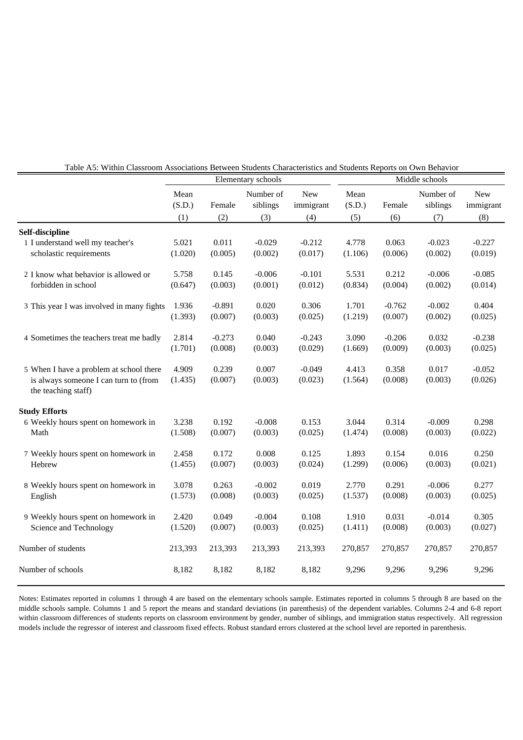|                                                                                                         |                  |                     | Elementary schools    |                     | Middle schools   |                     |                       |                         |
|---------------------------------------------------------------------------------------------------------|------------------|---------------------|-----------------------|---------------------|------------------|---------------------|-----------------------|-------------------------|
|                                                                                                         | Mean<br>(S.D.)   | Female              | Number of<br>siblings | New<br>immigrant    | Mean<br>(S.D.)   | Female              | Number of<br>siblings | <b>New</b><br>immigrant |
|                                                                                                         | (1)              | (2)                 | (3)                   | (4)                 | (5)              | (6)                 | (7)                   | (8)                     |
| Self-discipline                                                                                         |                  |                     |                       |                     |                  |                     |                       |                         |
| 1 I understand well my teacher's<br>scholastic requirements                                             | 5.021<br>(1.020) | 0.011<br>(0.005)    | $-0.029$<br>(0.002)   | $-0.212$<br>(0.017) | 4.778<br>(1.106) | 0.063<br>(0.006)    | $-0.023$<br>(0.002)   | $-0.227$<br>(0.019)     |
| 2 I know what behavior is allowed or<br>forbidden in school                                             | 5.758<br>(0.647) | 0.145<br>(0.003)    | $-0.006$<br>(0.001)   | $-0.101$<br>(0.012) | 5.531<br>(0.834) | 0.212<br>(0.004)    | $-0.006$<br>(0.002)   | $-0.085$<br>(0.014)     |
| 3 This year I was involved in many fights                                                               | 1.936<br>(1.393) | $-0.891$<br>(0.007) | 0.020<br>(0.003)      | 0.306<br>(0.025)    | 1.701<br>(1.219) | $-0.762$<br>(0.007) | $-0.002$<br>(0.002)   | 0.404<br>(0.025)        |
| 4 Sometimes the teachers treat me badly                                                                 | 2.814<br>(1.701) | $-0.273$<br>(0.008) | 0.040<br>(0.003)      | $-0.243$<br>(0.029) | 3.090<br>(1.669) | $-0.206$<br>(0.009) | 0.032<br>(0.003)      | $-0.238$<br>(0.025)     |
| 5 When I have a problem at school there<br>is always someone I can turn to (from<br>the teaching staff) | 4.909<br>(1.435) | 0.239<br>(0.007)    | 0.007<br>(0.003)      | $-0.049$<br>(0.023) | 4.413<br>(1.564) | 0.358<br>(0.008)    | 0.017<br>(0.003)      | $-0.052$<br>(0.026)     |
| <b>Study Efforts</b><br>6 Weekly hours spent on homework in<br>Math                                     | 3.238<br>(1.508) | 0.192<br>(0.007)    | $-0.008$<br>(0.003)   | 0.153<br>(0.025)    | 3.044<br>(1.474) | 0.314<br>(0.008)    | $-0.009$<br>(0.003)   | 0.298<br>(0.022)        |
| 7 Weekly hours spent on homework in<br>Hebrew                                                           | 2.458<br>(1.455) | 0.172<br>(0.007)    | 0.008<br>(0.003)      | 0.125<br>(0.024)    | 1.893<br>(1.299) | 0.154<br>(0.006)    | 0.016<br>(0.003)      | 0.250<br>(0.021)        |
| 8 Weekly hours spent on homework in<br>English                                                          | 3.078<br>(1.573) | 0.263<br>(0.008)    | $-0.002$<br>(0.003)   | 0.019<br>(0.025)    | 2.770<br>(1.537) | 0.291<br>(0.008)    | $-0.006$<br>(0.003)   | 0.277<br>(0.025)        |
| 9 Weekly hours spent on homework in<br>Science and Technology                                           | 2.420<br>(1.520) | 0.049<br>(0.007)    | $-0.004$<br>(0.003)   | 0.108<br>(0.025)    | 1.910<br>(1.411) | 0.031<br>(0.008)    | $-0.014$<br>(0.003)   | 0.305<br>(0.027)        |
| Number of students                                                                                      | 213,393          | 213,393             | 213,393               | 213,393             | 270,857          | 270,857             | 270,857               | 270,857                 |
| Number of schools                                                                                       | 8,182            | 8,182               | 8,182                 | 8,182               | 9,296            | 9,296               | 9,296                 | 9,296                   |

Table A5: Within Classroom Associations Between Students Characteristics and Students Reports on Own Behavior

Notes: Estimates reported in columns 1 through 4 are based on the elementary schools sample. Estimates reported in columns 5 through 8 are based on the middle schools sample. Columns 1 and 5 report the means and standard deviations (in parenthesis) of the dependent variables. Columns 2-4 and 6-8 report within classroom differences of students reports on classroom environment by gender, number of siblings, and immigration status respectively. All regression models include the regressor of interest and classroom fixed effects. Robust standard errors clustered at the school level are reported in parenthesis.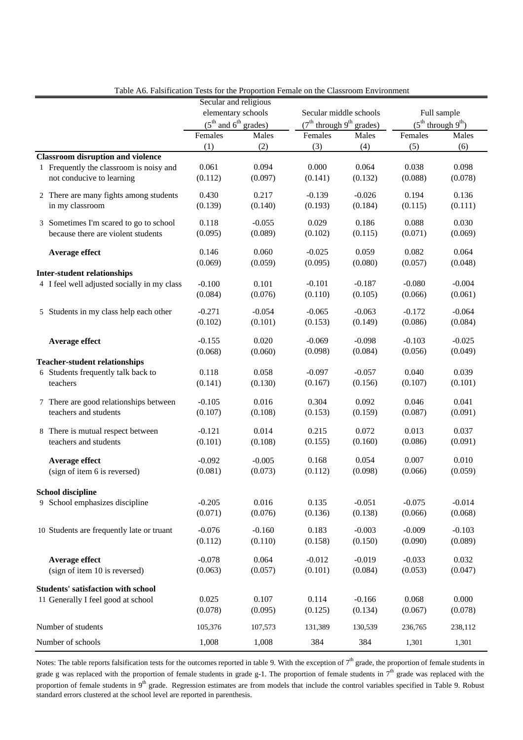|                                             | Secular and religious    |          |                                        |          |          |                              |  |
|---------------------------------------------|--------------------------|----------|----------------------------------------|----------|----------|------------------------------|--|
|                                             | elementary schools       |          | Secular middle schools                 |          |          | Full sample                  |  |
|                                             | $(5th$ and $6th$ grades) |          | $(7th$ through 9 <sup>th</sup> grades) |          |          | $(5^{th}$ through $9^{th}$ ) |  |
|                                             | Females                  | Males    | Females                                | Males    | Females  | Males                        |  |
|                                             | (1)                      | (2)      | (3)                                    | (4)      | (5)      | (6)                          |  |
| <b>Classroom disruption and violence</b>    |                          |          |                                        |          |          |                              |  |
| 1 Frequently the classroom is noisy and     | 0.061                    | 0.094    | 0.000                                  | 0.064    | 0.038    | 0.098                        |  |
| not conducive to learning                   | (0.112)                  | (0.097)  | (0.141)                                | (0.132)  | (0.088)  | (0.078)                      |  |
|                                             |                          |          |                                        |          |          |                              |  |
| 2 There are many fights among students      | 0.430                    | 0.217    | $-0.139$                               | $-0.026$ | 0.194    | 0.136                        |  |
| in my classroom                             | (0.139)                  | (0.140)  | (0.193)                                | (0.184)  | (0.115)  | (0.111)                      |  |
| 3 Sometimes I'm scared to go to school      | 0.118                    | $-0.055$ | 0.029                                  | 0.186    | 0.088    | 0.030                        |  |
| because there are violent students          | (0.095)                  | (0.089)  | (0.102)                                | (0.115)  | (0.071)  | (0.069)                      |  |
|                                             |                          |          |                                        |          |          |                              |  |
| Average effect                              | 0.146                    | 0.060    | $-0.025$                               | 0.059    | 0.082    | 0.064                        |  |
|                                             | (0.069)                  | (0.059)  | (0.095)                                | (0.080)  | (0.057)  | (0.048)                      |  |
| <b>Inter-student relationships</b>          |                          |          |                                        |          |          |                              |  |
| 4 I feel well adjusted socially in my class | $-0.100$                 | 0.101    | $-0.101$                               | $-0.187$ | $-0.080$ | $-0.004$                     |  |
|                                             | (0.084)                  | (0.076)  | (0.110)                                | (0.105)  | (0.066)  | (0.061)                      |  |
| 5 Students in my class help each other      | $-0.271$                 | $-0.054$ | $-0.065$                               | $-0.063$ | $-0.172$ | $-0.064$                     |  |
|                                             | (0.102)                  | (0.101)  | (0.153)                                | (0.149)  | (0.086)  | (0.084)                      |  |
|                                             |                          |          |                                        |          |          |                              |  |
| Average effect                              | $-0.155$                 | 0.020    | $-0.069$                               | $-0.098$ | $-0.103$ | $-0.025$                     |  |
|                                             | (0.068)                  | (0.060)  | (0.098)                                | (0.084)  | (0.056)  | (0.049)                      |  |
| <b>Teacher-student relationships</b>        |                          |          |                                        |          |          |                              |  |
| 6 Students frequently talk back to          | 0.118                    | 0.058    | $-0.097$                               | $-0.057$ | 0.040    | 0.039                        |  |
| teachers                                    | (0.141)                  | (0.130)  | (0.167)                                | (0.156)  | (0.107)  | (0.101)                      |  |
|                                             |                          | 0.016    |                                        |          |          |                              |  |
| 7 There are good relationships between      | $-0.105$                 |          | 0.304                                  | 0.092    | 0.046    | 0.041                        |  |
| teachers and students                       | (0.107)                  | (0.108)  | (0.153)                                | (0.159)  | (0.087)  | (0.091)                      |  |
| 8 There is mutual respect between           | $-0.121$                 | 0.014    | 0.215                                  | 0.072    | 0.013    | 0.037                        |  |
| teachers and students                       | (0.101)                  | (0.108)  | (0.155)                                | (0.160)  | (0.086)  | (0.091)                      |  |
|                                             |                          |          |                                        |          |          |                              |  |
| Average effect                              | $-0.092$                 | $-0.005$ | 0.168                                  | 0.054    | 0.007    | 0.010                        |  |
| (sign of item 6 is reversed)                | (0.081)                  | (0.073)  | (0.112)                                | (0.098)  | (0.066)  | (0.059)                      |  |
|                                             |                          |          |                                        |          |          |                              |  |
| <b>School discipline</b>                    |                          |          |                                        |          |          |                              |  |
| 9 School emphasizes discipline              | $-0.205$                 | 0.016    | 0.135                                  | $-0.051$ | $-0.075$ | $-0.014$                     |  |
|                                             | (0.071)                  | (0.076)  | (0.136)                                | (0.138)  | (0.066)  | (0.068)                      |  |
| 10 Students are frequently late or truant   | $-0.076$                 | $-0.160$ | 0.183                                  | $-0.003$ | $-0.009$ | $-0.103$                     |  |
|                                             | (0.112)                  | (0.110)  | (0.158)                                | (0.150)  | (0.090)  | (0.089)                      |  |
|                                             |                          |          |                                        |          |          |                              |  |
| Average effect                              | $-0.078$                 | 0.064    | $-0.012$                               | $-0.019$ | $-0.033$ | 0.032                        |  |
| (sign of item 10 is reversed)               | (0.063)                  | (0.057)  | (0.101)                                | (0.084)  | (0.053)  | (0.047)                      |  |
| <b>Students' satisfaction with school</b>   |                          |          |                                        |          |          |                              |  |
| 11 Generally I feel good at school          | 0.025                    | 0.107    | 0.114                                  | $-0.166$ | 0.068    | 0.000                        |  |
|                                             | (0.078)                  | (0.095)  | (0.125)                                | (0.134)  | (0.067)  | (0.078)                      |  |
|                                             |                          |          |                                        |          |          |                              |  |
| Number of students                          | 105,376                  | 107,573  | 131,389                                | 130,539  | 236,765  | 238,112                      |  |
| Number of schools                           | 1,008                    | 1,008    | 384                                    | 384      | 1,301    | 1,301                        |  |
|                                             |                          |          |                                        |          |          |                              |  |

Table A6. Falsification Tests for the Proportion Female on the Classroom Environment

Notes: The table reports falsification tests for the outcomes reported in table 9. With the exception of  $7<sup>th</sup>$  grade, the proportion of female students in grade g was replaced with the proportion of female students in grade g-1. The proportion of female students in 7<sup>th</sup> grade was replaced with the proportion of female students in 9<sup>th</sup> grade. Regression estimates are from models that include the control variables specified in Table 9. Robust standard errors clustered at the school level are reported in parenthesis.